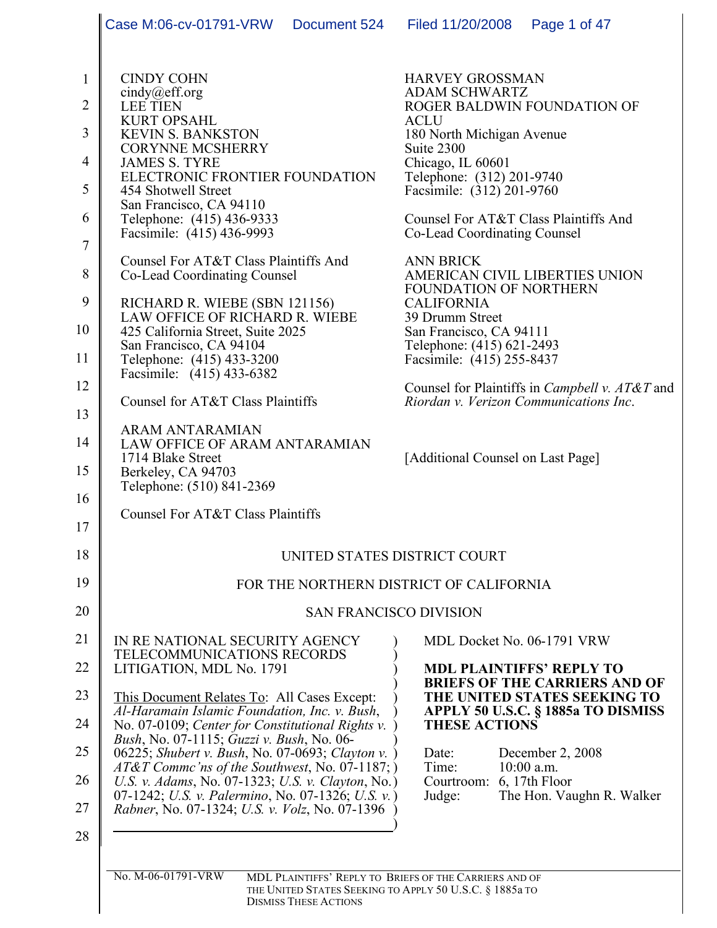|                                                                                                                                     | Case M:06-cv-01791-VRW<br>Document 524                                                                                                                                                                                                                                                                                                                                                                                                                                                                                                                                                                                                                                                                                                                                                      | Page 1 of 47<br>Filed 11/20/2008                                                                                                                                                                                                                                                                                                                                                                                                                                                                                                                                                                                                                         |  |  |
|-------------------------------------------------------------------------------------------------------------------------------------|---------------------------------------------------------------------------------------------------------------------------------------------------------------------------------------------------------------------------------------------------------------------------------------------------------------------------------------------------------------------------------------------------------------------------------------------------------------------------------------------------------------------------------------------------------------------------------------------------------------------------------------------------------------------------------------------------------------------------------------------------------------------------------------------|----------------------------------------------------------------------------------------------------------------------------------------------------------------------------------------------------------------------------------------------------------------------------------------------------------------------------------------------------------------------------------------------------------------------------------------------------------------------------------------------------------------------------------------------------------------------------------------------------------------------------------------------------------|--|--|
| $\mathbf{1}$<br>$\overline{2}$<br>3<br>$\overline{4}$<br>5<br>6<br>$\tau$<br>8<br>9<br>10<br>11<br>12<br>13<br>14<br>15<br>16<br>17 | <b>CINDY COHN</b><br>cindy@eff.org<br><b>LEE TIEN</b><br><b>KURT OPSAHL</b><br><b>KEVIN S. BANKSTON</b><br><b>CORYNNE MCSHERRY</b><br><b>JAMES S. TYRE</b><br>ELECTRONIC FRONTIER FOUNDATION<br>454 Shotwell Street<br>San Francisco, CA 94110<br>Telephone: (415) 436-9333<br>Facsimile: (415) 436-9993<br>Counsel For AT&T Class Plaintiffs And<br>Co-Lead Coordinating Counsel<br>RICHARD R. WIEBE (SBN 121156)<br>LAW OFFICE OF RICHARD R. WIEBE<br>425 California Street, Suite 2025<br>San Francisco, CA 94104<br>Telephone: (415) 433-3200<br>Facsimile: (415) 433-6382<br>Counsel for AT&T Class Plaintiffs<br><b>ARAM ANTARAMIAN</b><br>LAW OFFICE OF ARAM ANTARAMIAN<br>1714 Blake Street<br>Berkeley, CA 94703<br>Telephone: (510) 841-2369<br>Counsel For AT&T Class Plaintiffs | <b>HARVEY GROSSMAN</b><br><b>ADAM SCHWARTZ</b><br>ROGER BALDWIN FOUNDATION OF<br><b>ACLU</b><br>180 North Michigan Avenue<br>Suite 2300<br>Chicago, IL 60601<br>Telephone: (312) 201-9740<br>Facsimile: (312) 201-9760<br>Counsel For AT&T Class Plaintiffs And<br>Co-Lead Coordinating Counsel<br><b>ANN BRICK</b><br>AMERICAN CIVIL LIBERTIES UNION<br>FOUNDATION OF NORTHERN<br><b>CALIFORNIA</b><br>39 Drumm Street<br>San Francisco, CA 94111<br>Telephone: (415) 621-2493<br>Facsimile: (415) 255-8437<br>Counsel for Plaintiffs in <i>Campbell v. AT&amp;T</i> and<br>Riordan v. Verizon Communications Inc.<br>[Additional Counsel on Last Page] |  |  |
| 18                                                                                                                                  | UNITED STATES DISTRICT COURT                                                                                                                                                                                                                                                                                                                                                                                                                                                                                                                                                                                                                                                                                                                                                                |                                                                                                                                                                                                                                                                                                                                                                                                                                                                                                                                                                                                                                                          |  |  |
| 19                                                                                                                                  | FOR THE NORTHERN DISTRICT OF CALIFORNIA                                                                                                                                                                                                                                                                                                                                                                                                                                                                                                                                                                                                                                                                                                                                                     |                                                                                                                                                                                                                                                                                                                                                                                                                                                                                                                                                                                                                                                          |  |  |
| 20                                                                                                                                  |                                                                                                                                                                                                                                                                                                                                                                                                                                                                                                                                                                                                                                                                                                                                                                                             | <b>SAN FRANCISCO DIVISION</b>                                                                                                                                                                                                                                                                                                                                                                                                                                                                                                                                                                                                                            |  |  |
| 21<br>22<br>23<br>24<br>25<br>26<br>27<br>28                                                                                        | IN RE NATIONAL SECURITY AGENCY<br>TELECOMMUNICATIONS RECORDS<br>LITIGATION, MDL No. 1791<br>This Document Relates To: All Cases Except:<br>Al-Haramain Islamic Foundation, Inc. v. Bush,<br>No. 07-0109; Center for Constitutional Rights v.<br>Bush, No. 07-1115; Guzzi v. Bush, No. 06-<br>06225; Shubert v. Bush, No. 07-0693; Clayton v.<br>AT&T Commc'ns of the Southwest, No. 07-1187; )<br>U.S. v. Adams, No. 07-1323; U.S. v. Clayton, No.)<br>07-1242; U.S. v. Palermino, No. 07-1326; U.S. v.)<br>Rabner, No. 07-1324; U.S. v. Volz, No. 07-1396                                                                                                                                                                                                                                  | MDL Docket No. 06-1791 VRW<br><b>MDL PLAINTIFFS' REPLY TO</b><br><b>BRIEFS OF THE CARRIERS AND OF</b><br>THE UNITED STATES SEEKING TO<br>APPLY 50 U.S.C. § 1885a TO DISMISS<br><b>THESE ACTIONS</b><br>Date:<br>December 2, 2008<br>$10:00$ a.m.<br>Time:<br>Courtroom: 6, 17th Floor<br>The Hon. Vaughn R. Walker<br>Judge:                                                                                                                                                                                                                                                                                                                             |  |  |
|                                                                                                                                     | No. M-06-01791-VRW<br>THE UNITED STATES SEEKING TO APPLY 50 U.S.C. § 1885a TO<br><b>DISMISS THESE ACTIONS</b>                                                                                                                                                                                                                                                                                                                                                                                                                                                                                                                                                                                                                                                                               | MDL PLAINTIFFS' REPLY TO BRIEFS OF THE CARRIERS AND OF                                                                                                                                                                                                                                                                                                                                                                                                                                                                                                                                                                                                   |  |  |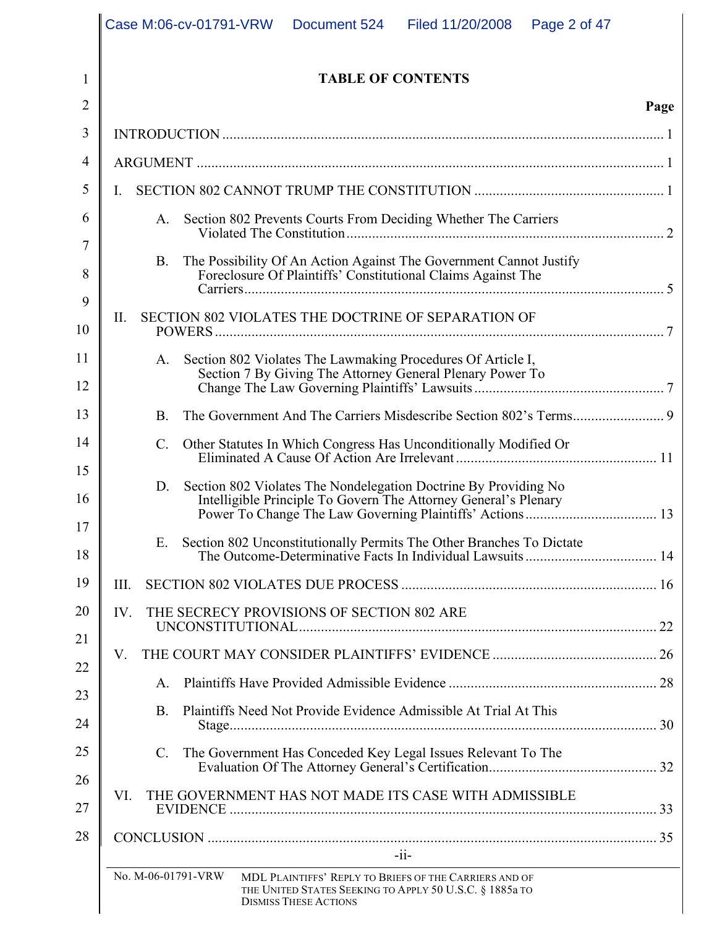|    | Case M:06-cv-01791-VRW<br>Document 524<br>Filed 11/20/2008<br>Page 2 of 47                                                                                              |      |
|----|-------------------------------------------------------------------------------------------------------------------------------------------------------------------------|------|
| 1  | <b>TABLE OF CONTENTS</b>                                                                                                                                                |      |
| 2  |                                                                                                                                                                         | Page |
| 3  |                                                                                                                                                                         |      |
| 4  |                                                                                                                                                                         |      |
| 5  | I.                                                                                                                                                                      |      |
| 6  | Section 802 Prevents Courts From Deciding Whether The Carriers<br>A.                                                                                                    |      |
| 7  |                                                                                                                                                                         |      |
| 8  | The Possibility Of An Action Against The Government Cannot Justify<br><b>B.</b><br>Foreclosure Of Plaintiffs' Constitutional Claims Against The                         |      |
| 9  |                                                                                                                                                                         |      |
| 10 | SECTION 802 VIOLATES THE DOCTRINE OF SEPARATION OF<br>II.                                                                                                               |      |
| 11 | Section 802 Violates The Lawmaking Procedures Of Article I,<br>A.                                                                                                       |      |
| 12 | Section 7 By Giving The Attorney General Plenary Power To                                                                                                               |      |
| 13 | <b>B.</b>                                                                                                                                                               |      |
| 14 | Other Statutes In Which Congress Has Unconditionally Modified Or<br>$\mathcal{C}$ .                                                                                     |      |
| 15 | Section 802 Violates The Nondelegation Doctrine By Providing No<br>D.                                                                                                   |      |
| 16 | Intelligible Principle To Govern The Attorney General's Plenary                                                                                                         |      |
| 17 | Section 802 Unconstitutionally Permits The Other Branches To Dictate<br>Ε.                                                                                              |      |
| 18 |                                                                                                                                                                         |      |
| 19 | III.                                                                                                                                                                    |      |
| 20 | IV.<br>THE SECRECY PROVISIONS OF SECTION 802 ARE                                                                                                                        |      |
| 21 | V.                                                                                                                                                                      |      |
| 22 | $A_{\cdot}$                                                                                                                                                             |      |
| 23 | Plaintiffs Need Not Provide Evidence Admissible At Trial At This<br><b>B.</b>                                                                                           |      |
| 24 |                                                                                                                                                                         |      |
| 25 | The Government Has Conceded Key Legal Issues Relevant To The<br>$\mathcal{C}$ .                                                                                         |      |
| 26 | THE GOVERNMENT HAS NOT MADE ITS CASE WITH ADMISSIBLE<br>VI.                                                                                                             |      |
| 27 |                                                                                                                                                                         |      |
| 28 | $-i$ i-                                                                                                                                                                 |      |
|    | No. M-06-01791-VRW<br>MDL PLAINTIFFS' REPLY TO BRIEFS OF THE CARRIERS AND OF<br>THE UNITED STATES SEEKING TO APPLY 50 U.S.C. § 1885a TO<br><b>DISMISS THESE ACTIONS</b> |      |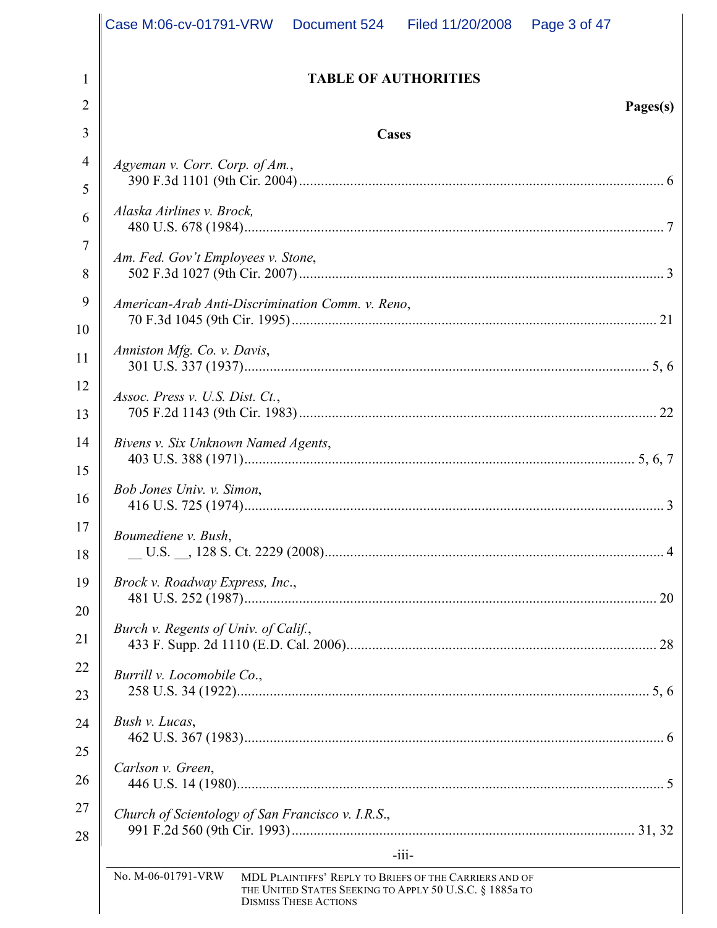|          | Case M:06-cv-01791-VRW   Document 524   Filed 11/20/2008<br>Page 3 of 47                                                                                                |
|----------|-------------------------------------------------------------------------------------------------------------------------------------------------------------------------|
| 1        | <b>TABLE OF AUTHORITIES</b>                                                                                                                                             |
| 2        | Pages(s)                                                                                                                                                                |
| 3        | Cases                                                                                                                                                                   |
| 4        | Agyeman v. Corr. Corp. of Am.,                                                                                                                                          |
| 5        |                                                                                                                                                                         |
| 6        | Alaska Airlines v. Brock,                                                                                                                                               |
| 7<br>8   | Am. Fed. Gov't Employees v. Stone,                                                                                                                                      |
| 9        | American-Arab Anti-Discrimination Comm. v. Reno,                                                                                                                        |
| 10       |                                                                                                                                                                         |
| 11       | Anniston Mfg. Co. v. Davis,                                                                                                                                             |
| 12       | Assoc. Press v. U.S. Dist. Ct.,                                                                                                                                         |
| 13       |                                                                                                                                                                         |
| 14       | Bivens v. Six Unknown Named Agents,                                                                                                                                     |
| 15       | Bob Jones Univ. v. Simon,                                                                                                                                               |
| 16       |                                                                                                                                                                         |
| 17       | Boumediene v. Bush,                                                                                                                                                     |
| 18       |                                                                                                                                                                         |
| 19       | Brock v. Roadway Express, Inc.,                                                                                                                                         |
| 20<br>21 | Burch v. Regents of Univ. of Calif.,                                                                                                                                    |
| 22       | Burrill v. Locomobile Co.,                                                                                                                                              |
| 23       |                                                                                                                                                                         |
| 24       | Bush v. Lucas,                                                                                                                                                          |
| 25       |                                                                                                                                                                         |
| 26       | Carlson v. Green,                                                                                                                                                       |
| 27       | Church of Scientology of San Francisco v. I.R.S.,                                                                                                                       |
| 28       | $-111-$                                                                                                                                                                 |
|          | No. M-06-01791-VRW<br>MDL PLAINTIFFS' REPLY TO BRIEFS OF THE CARRIERS AND OF<br>THE UNITED STATES SEEKING TO APPLY 50 U.S.C. § 1885a TO<br><b>DISMISS THESE ACTIONS</b> |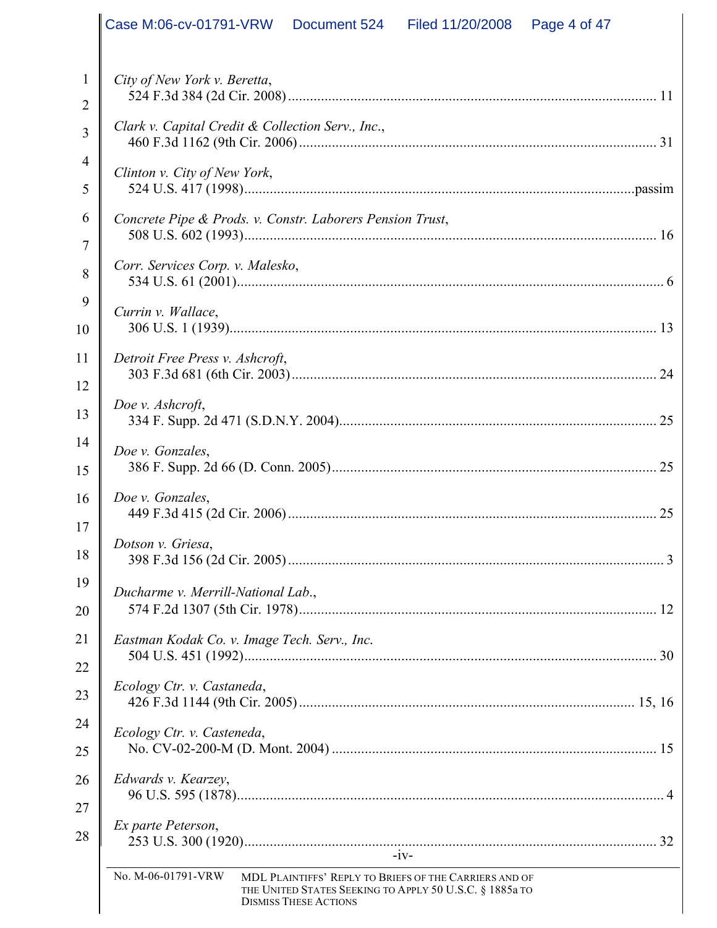|              | Case M:06-cv-01791-VRW  Document 524   Filed 11/20/2008   Page 4 of 47                                                                                                  |
|--------------|-------------------------------------------------------------------------------------------------------------------------------------------------------------------------|
| $\mathbf{1}$ | City of New York v. Beretta,                                                                                                                                            |
| 2            |                                                                                                                                                                         |
| 3            | Clark v. Capital Credit & Collection Serv., Inc.,                                                                                                                       |
| 4<br>5       | Clinton v. City of New York,                                                                                                                                            |
| 6            | Concrete Pipe & Prods. v. Constr. Laborers Pension Trust,                                                                                                               |
| 7<br>8       | Corr. Services Corp. v. Malesko,                                                                                                                                        |
| 9<br>10      | Currin v. Wallace,                                                                                                                                                      |
| 11<br>12     | Detroit Free Press v. Ashcroft,                                                                                                                                         |
| 13           | Doe v. Ashcroft,                                                                                                                                                        |
| 14<br>15     | Doe v. Gonzales,                                                                                                                                                        |
| 16<br>17     | Doe v. Gonzales,                                                                                                                                                        |
| 18           | Dotson v. Griesa,                                                                                                                                                       |
| 19<br>20     | Ducharme v. Merrill-National Lab.,                                                                                                                                      |
| 21           | Eastman Kodak Co. v. Image Tech. Serv., Inc.                                                                                                                            |
| 22           |                                                                                                                                                                         |
| 23           | Ecology Ctr. v. Castaneda,                                                                                                                                              |
| 24           | Ecology Ctr. v. Casteneda,                                                                                                                                              |
| 25           |                                                                                                                                                                         |
| 26<br>27     | Edwards v. Kearzey,                                                                                                                                                     |
| 28           | Ex parte Peterson,<br>$-iv-$                                                                                                                                            |
|              | No. M-06-01791-VRW<br>MDL PLAINTIFFS' REPLY TO BRIEFS OF THE CARRIERS AND OF<br>THE UNITED STATES SEEKING TO APPLY 50 U.S.C. § 1885a TO<br><b>DISMISS THESE ACTIONS</b> |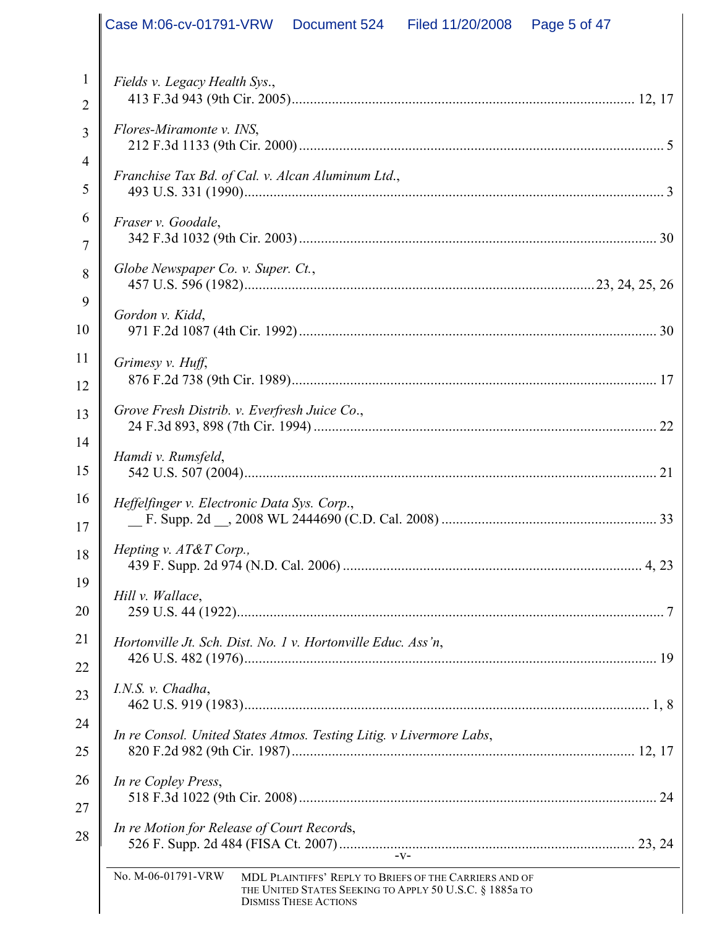|                   | Case M:06-cv-01791-VRW   Document 524   Filed 11/20/2008<br>Page 5 of 47                                                                                                |
|-------------------|-------------------------------------------------------------------------------------------------------------------------------------------------------------------------|
|                   |                                                                                                                                                                         |
| $\mathbf{1}$<br>2 | Fields v. Legacy Health Sys.,                                                                                                                                           |
| 3                 | Flores-Miramonte v. INS,                                                                                                                                                |
| $\overline{4}$    |                                                                                                                                                                         |
| 5                 | Franchise Tax Bd. of Cal. v. Alcan Aluminum Ltd.,                                                                                                                       |
| 6                 | Fraser v. Goodale,                                                                                                                                                      |
| 7                 |                                                                                                                                                                         |
| 8                 | Globe Newspaper Co. v. Super. Ct.,                                                                                                                                      |
| 9                 | Gordon v. Kidd,                                                                                                                                                         |
| 10                |                                                                                                                                                                         |
| 11<br>12          | Grimesy v. Huff,                                                                                                                                                        |
| 13                | Grove Fresh Distrib. v. Everfresh Juice Co.,                                                                                                                            |
| 14                | Hamdi v. Rumsfeld,                                                                                                                                                      |
| 15                |                                                                                                                                                                         |
| 16<br>17          | Heffelfinger v. Electronic Data Sys. Corp.,                                                                                                                             |
| 18                | Hepting v. AT&T Corp.,                                                                                                                                                  |
| 19                | Hill v. Wallace,                                                                                                                                                        |
| 20                |                                                                                                                                                                         |
| 21<br>22          | Hortonville Jt. Sch. Dist. No. 1 v. Hortonville Educ. Ass'n,                                                                                                            |
| 23                | I.N.S. v. Chadha,                                                                                                                                                       |
| 24                |                                                                                                                                                                         |
| 25                | In re Consol. United States Atmos. Testing Litig. v Livermore Labs,                                                                                                     |
| 26                | In re Copley Press,                                                                                                                                                     |
| 27                |                                                                                                                                                                         |
| 28                | In re Motion for Release of Court Records,                                                                                                                              |
|                   | No. M-06-01791-VRW<br>MDL PLAINTIFFS' REPLY TO BRIEFS OF THE CARRIERS AND OF<br>THE UNITED STATES SEEKING TO APPLY 50 U.S.C. § 1885a TO<br><b>DISMISS THESE ACTIONS</b> |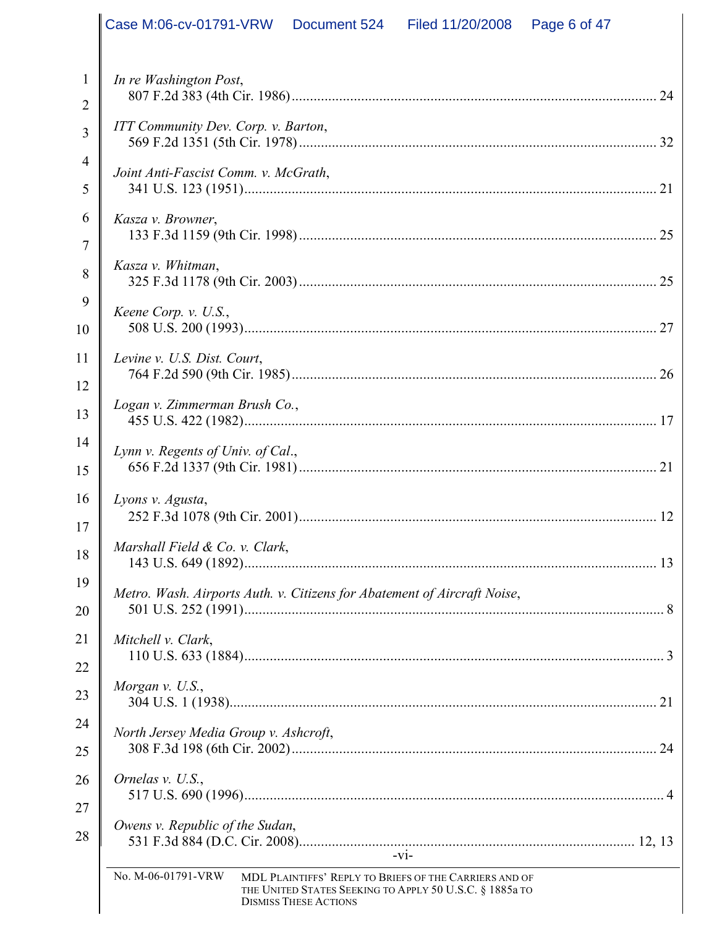|                | Case M:06-cv-01791-VRW   Document 524   Filed 11/20/2008                 |                              |                                                                                                                   | Page 6 of 47 |  |
|----------------|--------------------------------------------------------------------------|------------------------------|-------------------------------------------------------------------------------------------------------------------|--------------|--|
|                |                                                                          |                              |                                                                                                                   |              |  |
| 1              | In re Washington Post,                                                   |                              |                                                                                                                   |              |  |
| $\overline{2}$ | <b>ITT Community Dev. Corp. v. Barton,</b>                               |                              |                                                                                                                   |              |  |
| $\overline{3}$ |                                                                          |                              |                                                                                                                   |              |  |
| 4              | Joint Anti-Fascist Comm. v. McGrath,                                     |                              |                                                                                                                   |              |  |
| 5              |                                                                          |                              |                                                                                                                   |              |  |
| 6<br>7         | Kasza v. Browner,                                                        |                              |                                                                                                                   |              |  |
| 8              | Kasza v. Whitman,                                                        |                              |                                                                                                                   |              |  |
| 9              |                                                                          |                              |                                                                                                                   |              |  |
| 10             | Keene Corp. v. U.S.,                                                     |                              |                                                                                                                   |              |  |
| 11             | Levine v. U.S. Dist. Court,                                              |                              |                                                                                                                   |              |  |
| 12             |                                                                          |                              |                                                                                                                   |              |  |
| 13             | Logan v. Zimmerman Brush Co.,                                            |                              |                                                                                                                   |              |  |
| 14             | Lynn v. Regents of Univ. of Cal.,                                        |                              |                                                                                                                   |              |  |
| 15             |                                                                          |                              |                                                                                                                   |              |  |
| 16             | Lyons v. Agusta,                                                         |                              |                                                                                                                   |              |  |
| 17             |                                                                          |                              |                                                                                                                   |              |  |
| 18             | Marshall Field & Co. v. Clark,                                           |                              |                                                                                                                   |              |  |
| 19             | Metro. Wash. Airports Auth. v. Citizens for Abatement of Aircraft Noise, |                              |                                                                                                                   |              |  |
| 20             |                                                                          |                              |                                                                                                                   |              |  |
| 21             | Mitchell v. Clark,                                                       |                              |                                                                                                                   |              |  |
| 22             |                                                                          |                              |                                                                                                                   |              |  |
| 23             | Morgan v. U.S.,                                                          |                              |                                                                                                                   |              |  |
| 24             | North Jersey Media Group v. Ashcroft,                                    |                              |                                                                                                                   |              |  |
| 25             |                                                                          |                              |                                                                                                                   |              |  |
| 26             | Ornelas v. U.S.,                                                         |                              |                                                                                                                   |              |  |
| 27             |                                                                          |                              |                                                                                                                   |              |  |
| 28             | Owens v. Republic of the Sudan,                                          |                              |                                                                                                                   |              |  |
|                | No. M-06-01791-VRW                                                       |                              | $-V1-$                                                                                                            |              |  |
|                |                                                                          | <b>DISMISS THESE ACTIONS</b> | MDL PLAINTIFFS' REPLY TO BRIEFS OF THE CARRIERS AND OF<br>THE UNITED STATES SEEKING TO APPLY 50 U.S.C. § 1885a TO |              |  |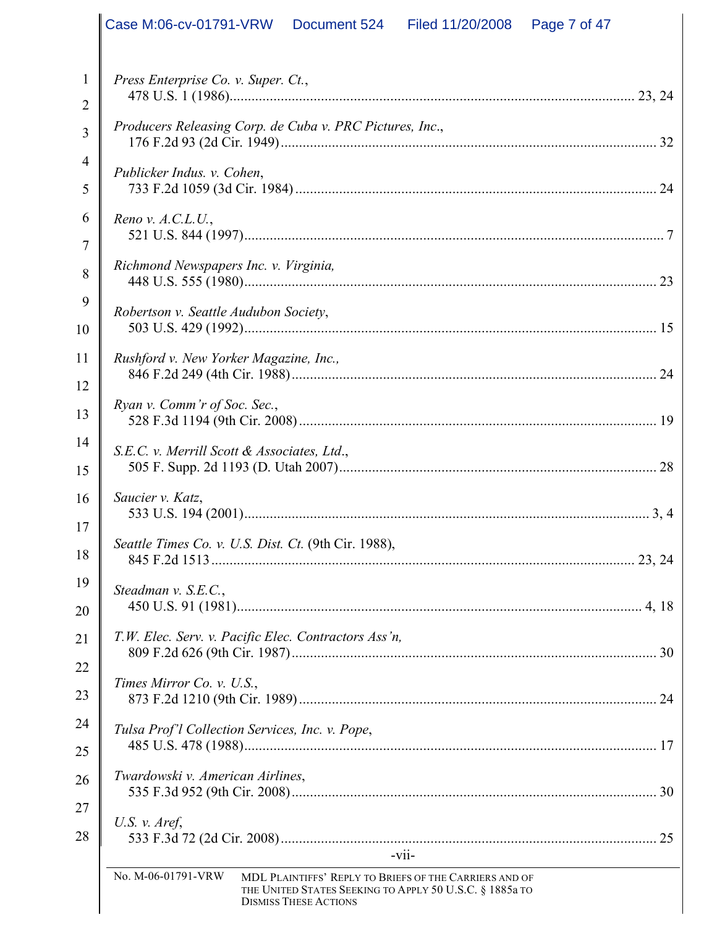|                | Case M:06-cv-01791-VRW   Document 524   Filed 11/20/2008<br>Page 7 of 47                                                                                                |
|----------------|-------------------------------------------------------------------------------------------------------------------------------------------------------------------------|
|                |                                                                                                                                                                         |
| $\mathbf{1}$   | Press Enterprise Co. v. Super. Ct.,                                                                                                                                     |
| $\overline{2}$ |                                                                                                                                                                         |
| $\overline{3}$ | Producers Releasing Corp. de Cuba v. PRC Pictures, Inc.,                                                                                                                |
| 4              | Publicker Indus. v. Cohen,                                                                                                                                              |
| 5              |                                                                                                                                                                         |
| 6              | Reno v. $A.C.L.U.,$                                                                                                                                                     |
| $\overline{7}$ |                                                                                                                                                                         |
| 8              | Richmond Newspapers Inc. v. Virginia,                                                                                                                                   |
| 9              | Robertson v. Seattle Audubon Society,                                                                                                                                   |
| 10             |                                                                                                                                                                         |
| 11             | Rushford v. New Yorker Magazine, Inc.,                                                                                                                                  |
| 12             | Ryan v. Comm'r of Soc. Sec.,                                                                                                                                            |
| 13             |                                                                                                                                                                         |
| 14             | S.E.C. v. Merrill Scott & Associates, Ltd.,                                                                                                                             |
| 15             |                                                                                                                                                                         |
| 16             | Saucier v. Katz,                                                                                                                                                        |
| 17             | Seattle Times Co. v. U.S. Dist. Ct. (9th Cir. 1988),                                                                                                                    |
| 18             |                                                                                                                                                                         |
| 19             | Steadman v. S.E.C.,                                                                                                                                                     |
| 20             |                                                                                                                                                                         |
| 21             | T.W. Elec. Serv. v. Pacific Elec. Contractors Ass'n,                                                                                                                    |
| 22             | Times Mirror Co. v. U.S.,                                                                                                                                               |
| 23             |                                                                                                                                                                         |
| 24             | Tulsa Prof'l Collection Services, Inc. v. Pope,                                                                                                                         |
| 25             | Twardowski v. American Airlines,                                                                                                                                        |
| 26             |                                                                                                                                                                         |
| 27             | U.S. $v.$ Aref,                                                                                                                                                         |
| 28             | $-V11-$                                                                                                                                                                 |
|                | No. M-06-01791-VRW<br>MDL PLAINTIFFS' REPLY TO BRIEFS OF THE CARRIERS AND OF<br>THE UNITED STATES SEEKING TO APPLY 50 U.S.C. § 1885a TO<br><b>DISMISS THESE ACTIONS</b> |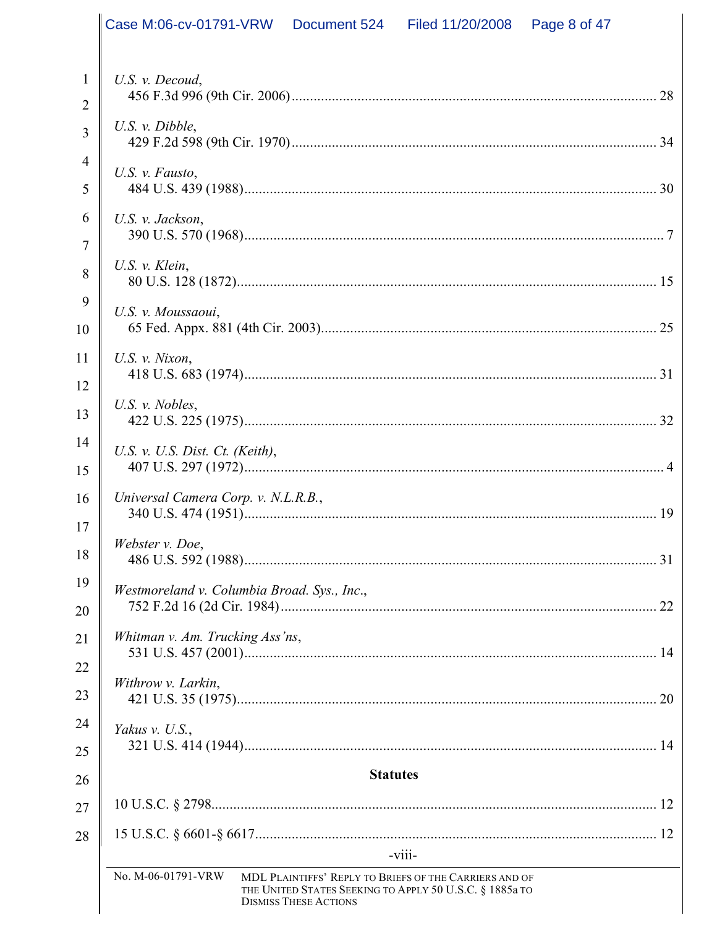|                     | Case M:06-cv-01791-VRW   Document 524   Filed 11/20/2008 |                              |                                                                    | Page 8 of 47 |  |
|---------------------|----------------------------------------------------------|------------------------------|--------------------------------------------------------------------|--------------|--|
|                     |                                                          |                              |                                                                    |              |  |
| 1<br>$\overline{2}$ | U.S. v. Decoud,                                          |                              |                                                                    |              |  |
| $\overline{3}$      | U.S. $v.$ Dibble,                                        |                              |                                                                    |              |  |
| $\overline{4}$      |                                                          |                              |                                                                    |              |  |
| 5                   | U.S. v. Fausto,                                          |                              |                                                                    |              |  |
| 6                   | U.S. v. Jackson,                                         |                              |                                                                    |              |  |
| $\overline{7}$      |                                                          |                              |                                                                    |              |  |
| 8                   | U.S. $v$ . Klein,                                        |                              |                                                                    |              |  |
| 9                   | U.S. v. Moussaoui,                                       |                              |                                                                    |              |  |
| 10                  |                                                          |                              |                                                                    |              |  |
| 11<br>12            | U.S. $v$ . Nixon,                                        |                              |                                                                    |              |  |
| 13                  | U.S. $v.$ Nobles,                                        |                              |                                                                    |              |  |
| 14                  |                                                          |                              |                                                                    |              |  |
| 15                  | U.S. v. U.S. Dist. Ct. (Keith),                          |                              |                                                                    |              |  |
| 16                  | Universal Camera Corp. v. N.L.R.B.,                      |                              |                                                                    |              |  |
| 17                  |                                                          |                              |                                                                    |              |  |
| 18                  | Webster v. Doe,                                          |                              |                                                                    |              |  |
| 19                  | Westmoreland v. Columbia Broad. Sys., Inc.,              |                              |                                                                    |              |  |
| 20                  |                                                          |                              |                                                                    |              |  |
| 21                  | Whitman v. Am. Trucking Ass'ns,                          |                              |                                                                    |              |  |
| 22                  | Withrow v. Larkin,                                       |                              |                                                                    |              |  |
| 23                  |                                                          |                              |                                                                    |              |  |
| 24                  | Yakus v. U.S.,                                           |                              |                                                                    |              |  |
| 25                  |                                                          |                              |                                                                    |              |  |
| 26                  |                                                          | <b>Statutes</b>              |                                                                    |              |  |
| 27                  |                                                          |                              |                                                                    |              |  |
| 28                  |                                                          |                              |                                                                    |              |  |
|                     | No. M-06-01791-VRW                                       |                              | $-V111-$<br>MDL PLAINTIFFS' REPLY TO BRIEFS OF THE CARRIERS AND OF |              |  |
|                     |                                                          | <b>DISMISS THESE ACTIONS</b> | THE UNITED STATES SEEKING TO APPLY 50 U.S.C. § 1885a TO            |              |  |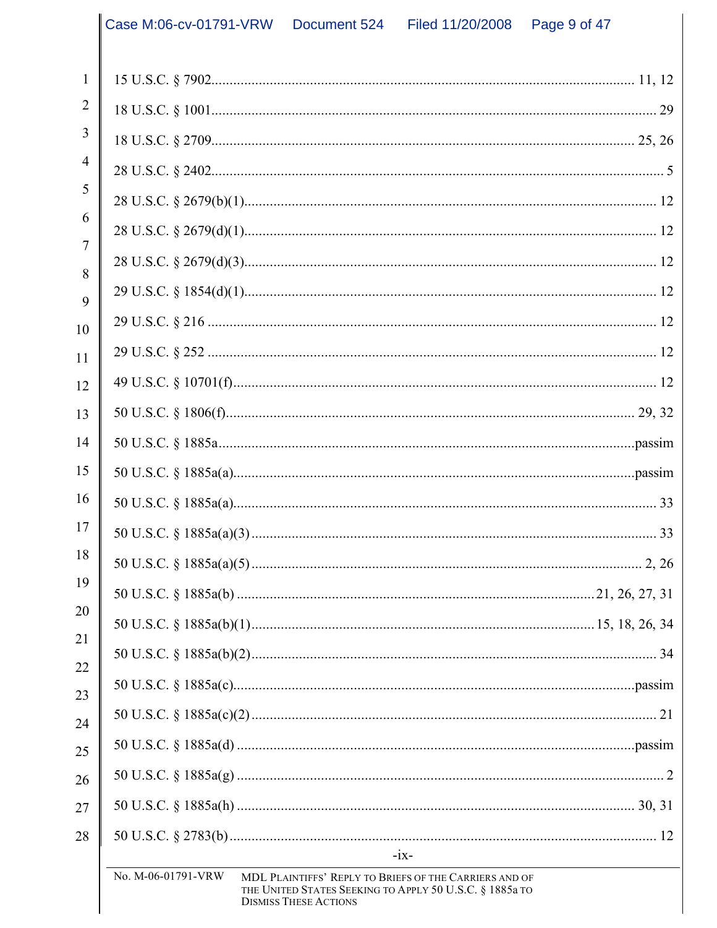|                     | Case M:06-cv-01791-VRW | Document 524                 | Filed 11/20/2008                                                                                                  | Page 9 of 47 |
|---------------------|------------------------|------------------------------|-------------------------------------------------------------------------------------------------------------------|--------------|
|                     |                        |                              |                                                                                                                   |              |
| 1                   |                        |                              |                                                                                                                   |              |
| $\overline{2}$      |                        |                              |                                                                                                                   |              |
| 3                   |                        |                              |                                                                                                                   |              |
| $\overline{4}$      |                        |                              |                                                                                                                   |              |
| 5                   |                        |                              |                                                                                                                   |              |
| 6                   |                        |                              |                                                                                                                   |              |
| $\overline{7}$<br>8 |                        |                              |                                                                                                                   |              |
| 9                   |                        |                              |                                                                                                                   |              |
| 10                  |                        |                              |                                                                                                                   |              |
| 11                  |                        |                              |                                                                                                                   |              |
| 12                  |                        |                              |                                                                                                                   |              |
| 13                  |                        |                              |                                                                                                                   |              |
| 14                  |                        |                              |                                                                                                                   |              |
| 15                  |                        |                              |                                                                                                                   |              |
| 16                  |                        |                              |                                                                                                                   |              |
| 17                  |                        |                              |                                                                                                                   |              |
| 18                  |                        |                              |                                                                                                                   |              |
| 19                  |                        |                              |                                                                                                                   |              |
| 20                  |                        |                              |                                                                                                                   |              |
| 21                  |                        |                              |                                                                                                                   |              |
| 22                  |                        |                              |                                                                                                                   |              |
| 23                  |                        |                              |                                                                                                                   |              |
| 24                  |                        |                              |                                                                                                                   |              |
| 25                  |                        |                              |                                                                                                                   |              |
| 26<br>27            |                        |                              |                                                                                                                   |              |
| 28                  |                        |                              |                                                                                                                   |              |
|                     |                        |                              | $-1X-$                                                                                                            |              |
|                     | No. M-06-01791-VRW     | <b>DISMISS THESE ACTIONS</b> | MDL PLAINTIFFS' REPLY TO BRIEFS OF THE CARRIERS AND OF<br>THE UNITED STATES SEEKING TO APPLY 50 U.S.C. § 1885a TO |              |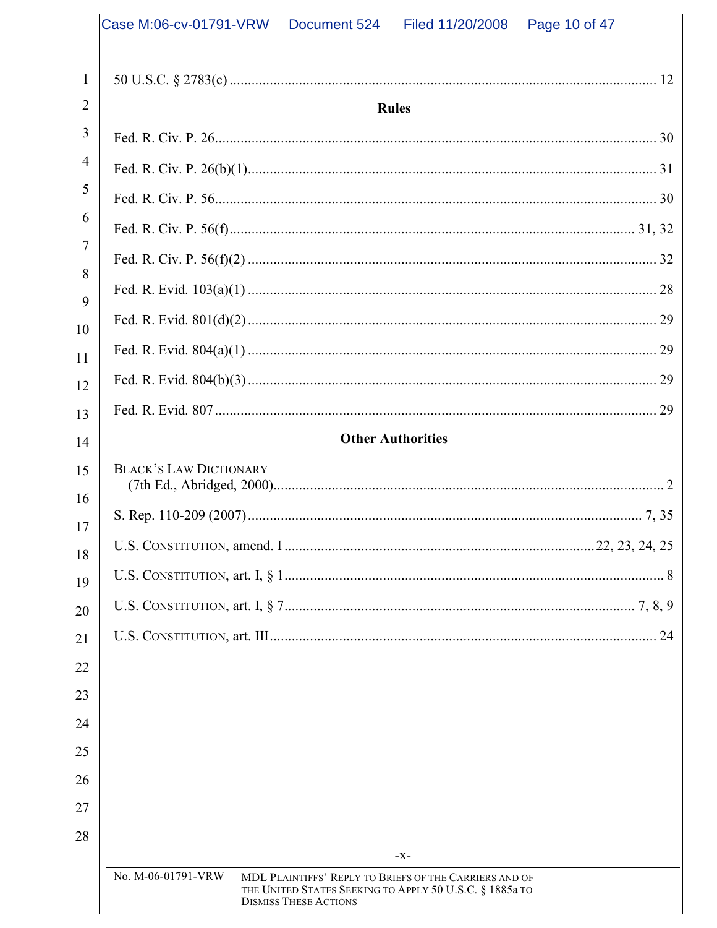|              | Case M:06-cv-01791-VRW<br>Filed 11/20/2008<br>Page 10 of 47<br>Document 524                                                                                                      |
|--------------|----------------------------------------------------------------------------------------------------------------------------------------------------------------------------------|
| $\mathbf{1}$ |                                                                                                                                                                                  |
| 2            | <b>Rules</b>                                                                                                                                                                     |
| 3            |                                                                                                                                                                                  |
| 4            |                                                                                                                                                                                  |
| 5            |                                                                                                                                                                                  |
| 6            |                                                                                                                                                                                  |
| 7            |                                                                                                                                                                                  |
| 8            |                                                                                                                                                                                  |
| 9<br>10      |                                                                                                                                                                                  |
| 11           |                                                                                                                                                                                  |
| 12           |                                                                                                                                                                                  |
| 13           |                                                                                                                                                                                  |
| 14           | <b>Other Authorities</b>                                                                                                                                                         |
| 15           | <b>BLACK'S LAW DICTIONARY</b>                                                                                                                                                    |
| 16           |                                                                                                                                                                                  |
| 17           |                                                                                                                                                                                  |
| 18           |                                                                                                                                                                                  |
| 19           |                                                                                                                                                                                  |
| 20<br>21     | 24                                                                                                                                                                               |
| 22           |                                                                                                                                                                                  |
| 23           |                                                                                                                                                                                  |
| 24           |                                                                                                                                                                                  |
| 25           |                                                                                                                                                                                  |
| 26           |                                                                                                                                                                                  |
| 27           |                                                                                                                                                                                  |
| 28           |                                                                                                                                                                                  |
|              | $-X-$<br>No. M-06-01791-VRW<br>MDL PLAINTIFFS' REPLY TO BRIEFS OF THE CARRIERS AND OF<br>THE UNITED STATES SEEKING TO APPLY 50 U.S.C. § 1885a TO<br><b>DISMISS THESE ACTIONS</b> |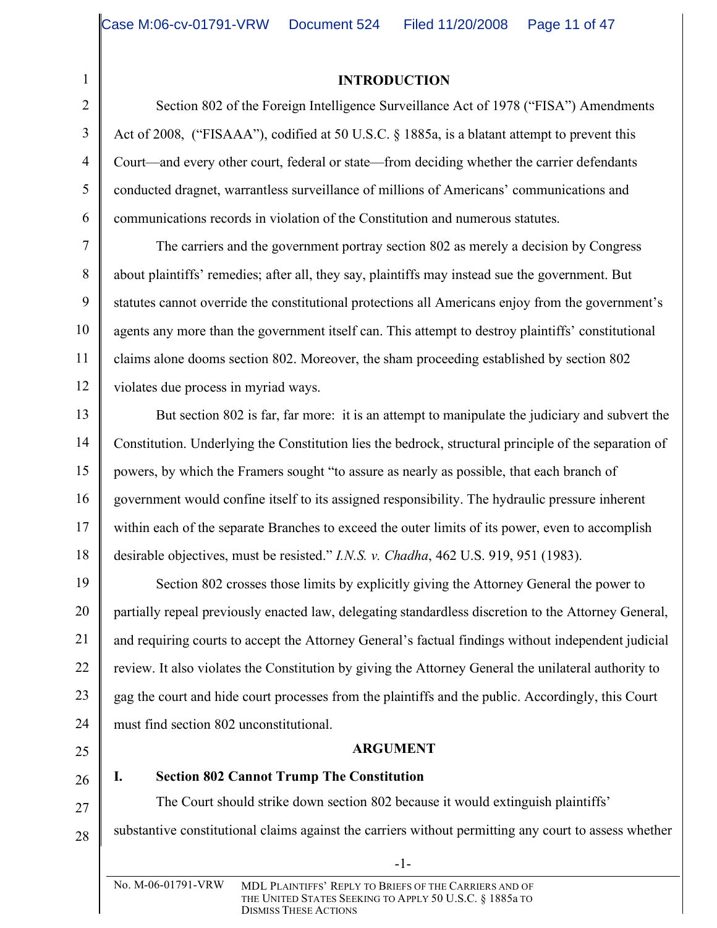# **INTRODUCTION**

Section 802 of the Foreign Intelligence Surveillance Act of 1978 ("FISA") Amendments Act of 2008, ("FISAAA"), codified at 50 U.S.C. § 1885a, is a blatant attempt to prevent this Court—and every other court, federal or state—from deciding whether the carrier defendants conducted dragnet, warrantless surveillance of millions of Americans' communications and communications records in violation of the Constitution and numerous statutes.

The carriers and the government portray section 802 as merely a decision by Congress about plaintiffs' remedies; after all, they say, plaintiffs may instead sue the government. But statutes cannot override the constitutional protections all Americans enjoy from the government's agents any more than the government itself can. This attempt to destroy plaintiffs' constitutional claims alone dooms section 802. Moreover, the sham proceeding established by section 802 violates due process in myriad ways.

But section 802 is far, far more: it is an attempt to manipulate the judiciary and subvert the Constitution. Underlying the Constitution lies the bedrock, structural principle of the separation of powers, by which the Framers sought "to assure as nearly as possible, that each branch of government would confine itself to its assigned responsibility. The hydraulic pressure inherent within each of the separate Branches to exceed the outer limits of its power, even to accomplish desirable objectives, must be resisted." *I.N.S. v. Chadha*, 462 U.S. 919, 951 (1983).

19 Section 802 crosses those limits by explicitly giving the Attorney General the power to partially repeal previously enacted law, delegating standardless discretion to the Attorney General, and requiring courts to accept the Attorney General's factual findings without independent judicial review. It also violates the Constitution by giving the Attorney General the unilateral authority to gag the court and hide court processes from the plaintiffs and the public. Accordingly, this Court must find section 802 unconstitutional.

# **ARGUMENT**

25

**I. Section 802 Cannot Trump The Constitution**

The Court should strike down section 802 because it would extinguish plaintiffs' substantive constitutional claims against the carriers without permitting any court to assess whether

-1-

1

2

3

4

5

6

7

8

9

10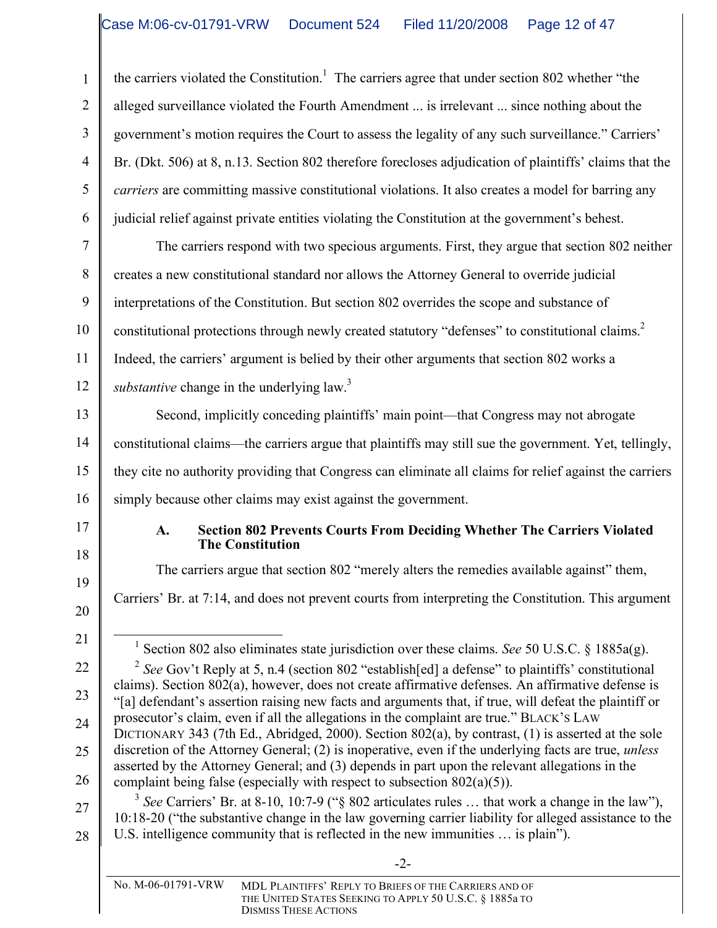the carriers violated the Constitution.<sup>1</sup> The carriers agree that under section 802 whether "the alleged surveillance violated the Fourth Amendment ... is irrelevant ... since nothing about the government's motion requires the Court to assess the legality of any such surveillance." Carriers' Br. (Dkt. 506) at 8, n.13. Section 802 therefore forecloses adjudication of plaintiffs' claims that the *carriers* are committing massive constitutional violations. It also creates a model for barring any judicial relief against private entities violating the Constitution at the government's behest.

The carriers respond with two specious arguments. First, they argue that section 802 neither creates a new constitutional standard nor allows the Attorney General to override judicial interpretations of the Constitution. But section 802 overrides the scope and substance of constitutional protections through newly created statutory "defenses" to constitutional claims.<sup>2</sup> Indeed, the carriers' argument is belied by their other arguments that section 802 works a substantive change in the underlying law.<sup>3</sup>

Second, implicitly conceding plaintiffs' main point—that Congress may not abrogate constitutional claims—the carriers argue that plaintiffs may still sue the government. Yet, tellingly, they cite no authority providing that Congress can eliminate all claims for relief against the carriers simply because other claims may exist against the government.

# 17 18

1

2

3

4

5

6

7

8

9

10

11

12

13

14

15

16

#### **A. Section 802 Prevents Courts From Deciding Whether The Carriers Violated The Constitution**

The carriers argue that section 802 "merely alters the remedies available against" them, Carriers' Br. at 7:14, and does not prevent courts from interpreting the Constitution. This argument

20 21

22

23

24

25

26

19

1 Section <sup>802</sup> also eliminates state jurisdiction over these claims. *See* 50 U.S.C. § 1885a(g).

<sup>2</sup> See Gov't Reply at 5, n.4 (section 802 "establish[ed] a defense" to plaintiffs' constitutional claims). Section 802(a), however, does not create affirmative defenses. An affirmative defense is "[a] defendant's assertion raising new facts and arguments that, if true, will defeat the plaintiff or prosecutor's claim, even if all the allegations in the complaint are true." BLACK'S LAW DICTIONARY 343 (7th Ed., Abridged, 2000). Section 802(a), by contrast, (1) is asserted at the sole discretion of the Attorney General; (2) is inoperative, even if the underlying facts are true, *unless* asserted by the Attorney General; and (3) depends in part upon the relevant allegations in the complaint being false (especially with respect to subsection 802(a)(5)).

27 28 <sup>3</sup> See Carriers' Br. at 8-10, 10:7-9 ("§ 802 articulates rules ... that work a change in the law"), 10:18-20 ("the substantive change in the law governing carrier liability for alleged assistance to the U.S. intelligence community that is reflected in the new immunities … is plain").

-2-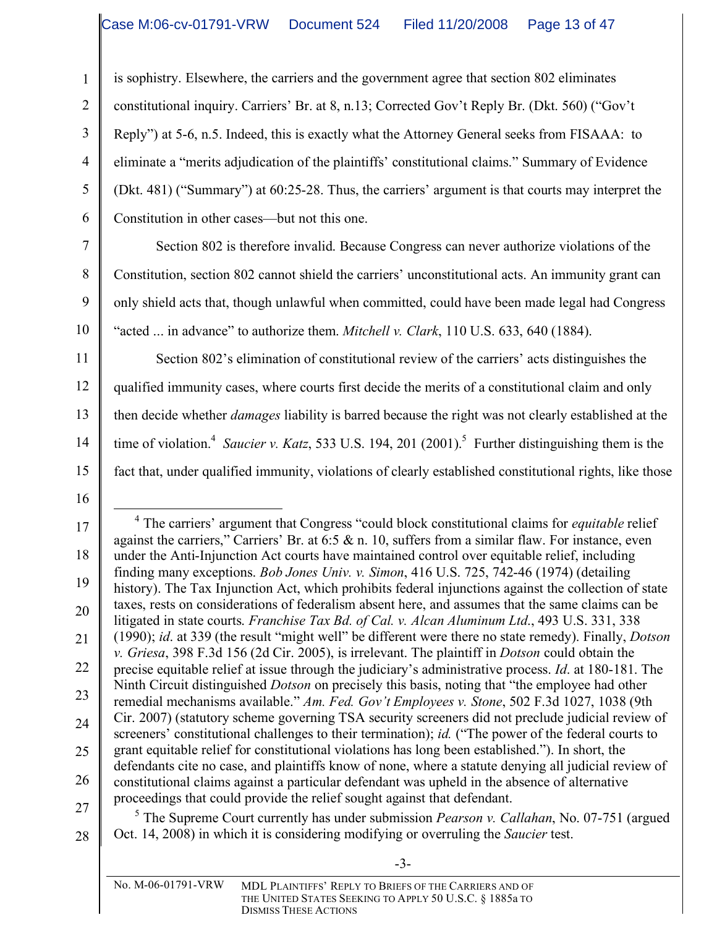is sophistry. Elsewhere, the carriers and the government agree that section 802 eliminates

constitutional inquiry. Carriers' Br. at 8, n.13; Corrected Gov't Reply Br. (Dkt. 560) ("Gov't

Reply") at 5-6, n.5. Indeed, this is exactly what the Attorney General seeks from FISAAA: to

eliminate a "merits adjudication of the plaintiffs' constitutional claims." Summary of Evidence

(Dkt. 481) ("Summary") at 60:25-28. Thus, the carriers' argument is that courts may interpret the Constitution in other cases—but not this one.

Section 802 is therefore invalid. Because Congress can never authorize violations of the Constitution, section 802 cannot shield the carriers' unconstitutional acts. An immunity grant can only shield acts that, though unlawful when committed, could have been made legal had Congress "acted ... in advance" to authorize them. *Mitchell v. Clark*, 110 U.S. 633, 640 (1884).

11 12 13 14 15 Section 802's elimination of constitutional review of the carriers' acts distinguishes the qualified immunity cases, where courts first decide the merits of a constitutional claim and only then decide whether *damages* liability is barred because the right was not clearly established at the time of violation.<sup>4</sup> *Saucier v. Katz*, 533 U.S. 194, 201 (2001).<sup>5</sup> Further distinguishing them is the fact that, under qualified immunity, violations of clearly established constitutional rights, like those

16

1

2

3

4

5

6

7

8

9

10

27 28 <sup>5</sup> The Supreme Court currently has under submission *Pearson v. Callahan*, No. 07-751 (argued Oct. 14, 2008) in which it is considering modifying or overruling the *Saucier* test.

-3-

<sup>17</sup> 18 19 20 21 22 23 24 25 26 4 The carriers' argument that Congress "could block constitutional claims for *equitable* relief against the carriers," Carriers' Br. at  $6:5 \& n$ . 10, suffers from a similar flaw. For instance, even under the Anti-Injunction Act courts have maintained control over equitable relief, including finding many exceptions. *Bob Jones Univ. v. Simon*, 416 U.S. 725, 742-46 (1974) (detailing history). The Tax Injunction Act, which prohibits federal injunctions against the collection of state taxes, rests on considerations of federalism absent here, and assumes that the same claims can be litigated in state courts. *Franchise Tax Bd. of Cal. v. Alcan Aluminum Ltd*., 493 U.S. 331, 338 (1990); *id*. at 339 (the result "might well" be different were there no state remedy). Finally, *Dotson v. Griesa*, 398 F.3d 156 (2d Cir. 2005), is irrelevant. The plaintiff in *Dotson* could obtain the precise equitable relief at issue through the judiciary's administrative process. *Id*. at 180-181. The Ninth Circuit distinguished *Dotson* on precisely this basis, noting that "the employee had other remedial mechanisms available." *Am. Fed. Gov't Employees v. Stone*, 502 F.3d 1027, 1038 (9th Cir. 2007) (statutory scheme governing TSA security screeners did not preclude judicial review of screeners' constitutional challenges to their termination); *id.* ("The power of the federal courts to grant equitable relief for constitutional violations has long been established."). In short, the defendants cite no case, and plaintiffs know of none, where a statute denying all judicial review of constitutional claims against a particular defendant was upheld in the absence of alternative proceedings that could provide the relief sought against that defendant.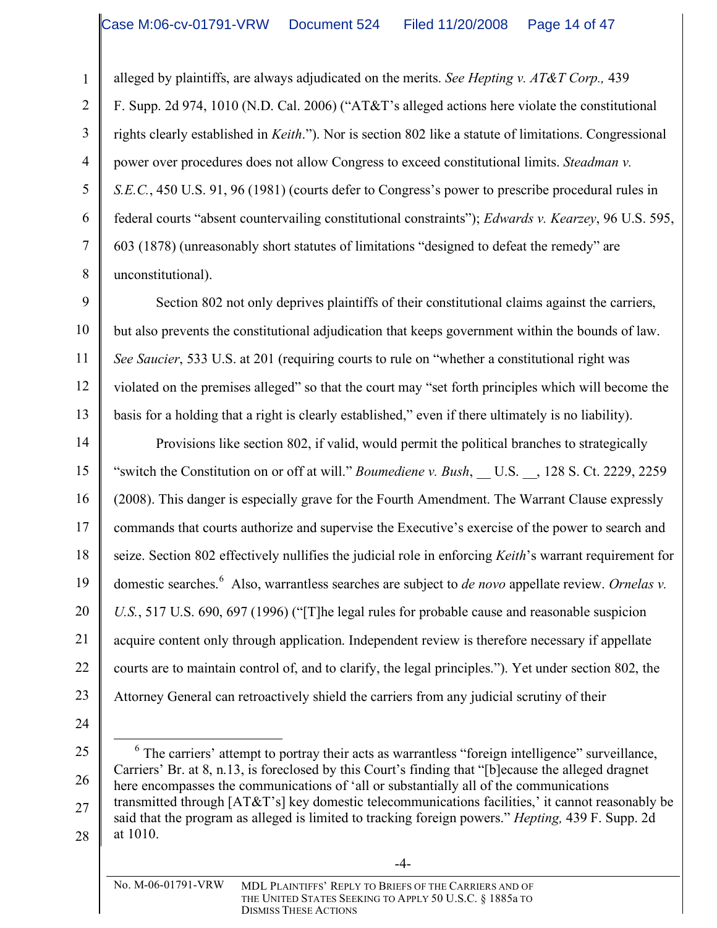alleged by plaintiffs, are always adjudicated on the merits. *See Hepting v. AT&T Corp.,* 439

F. Supp. 2d 974, 1010 (N.D. Cal. 2006) ("AT&T's alleged actions here violate the constitutional rights clearly established in *Keith*."). Nor is section 802 like a statute of limitations. Congressional power over procedures does not allow Congress to exceed constitutional limits. *Steadman v. S.E.C.*, 450 U.S. 91, 96 (1981) (courts defer to Congress's power to prescribe procedural rules in federal courts "absent countervailing constitutional constraints"); *Edwards v. Kearzey*, 96 U.S. 595, 603 (1878) (unreasonably short statutes of limitations "designed to defeat the remedy" are unconstitutional).

9 10 11 12 13 Section 802 not only deprives plaintiffs of their constitutional claims against the carriers, but also prevents the constitutional adjudication that keeps government within the bounds of law. *See Saucier*, 533 U.S. at 201 (requiring courts to rule on "whether a constitutional right was violated on the premises alleged" so that the court may "set forth principles which will become the basis for a holding that a right is clearly established," even if there ultimately is no liability).

14 15 16 17 18 19 20 21 22 23 Provisions like section 802, if valid, would permit the political branches to strategically "switch the Constitution on or off at will." *Boumediene v. Bush*, U.S. , 128 S. Ct. 2229, 2259 (2008). This danger is especially grave for the Fourth Amendment. The Warrant Clause expressly commands that courts authorize and supervise the Executive's exercise of the power to search and seize. Section 802 effectively nullifies the judicial role in enforcing *Keith*'s warrant requirement for domestic searches. <sup>6</sup> Also, warrantless searches are subject to *de novo* appellate review. *Ornelas v. U.S.*, 517 U.S. 690, 697 (1996) ("[T]he legal rules for probable cause and reasonable suspicion acquire content only through application. Independent review is therefore necessary if appellate courts are to maintain control of, and to clarify, the legal principles."). Yet under section 802, the Attorney General can retroactively shield the carriers from any judicial scrutiny of their

24

1

2

3

4

5

6

7

8

25

26

27

28

<sup>&</sup>lt;sup>6</sup> The carriers' attempt to portray their acts as warrantless "foreign intelligence" surveillance, Carriers' Br. at 8, n.13, is foreclosed by this Court's finding that "[b]ecause the alleged dragnet here encompasses the communications of 'all or substantially all of the communications transmitted through [AT&T's] key domestic telecommunications facilities,' it cannot reasonably be said that the program as alleged is limited to tracking foreign powers." *Hepting,* 439 F. Supp. 2d at 1010.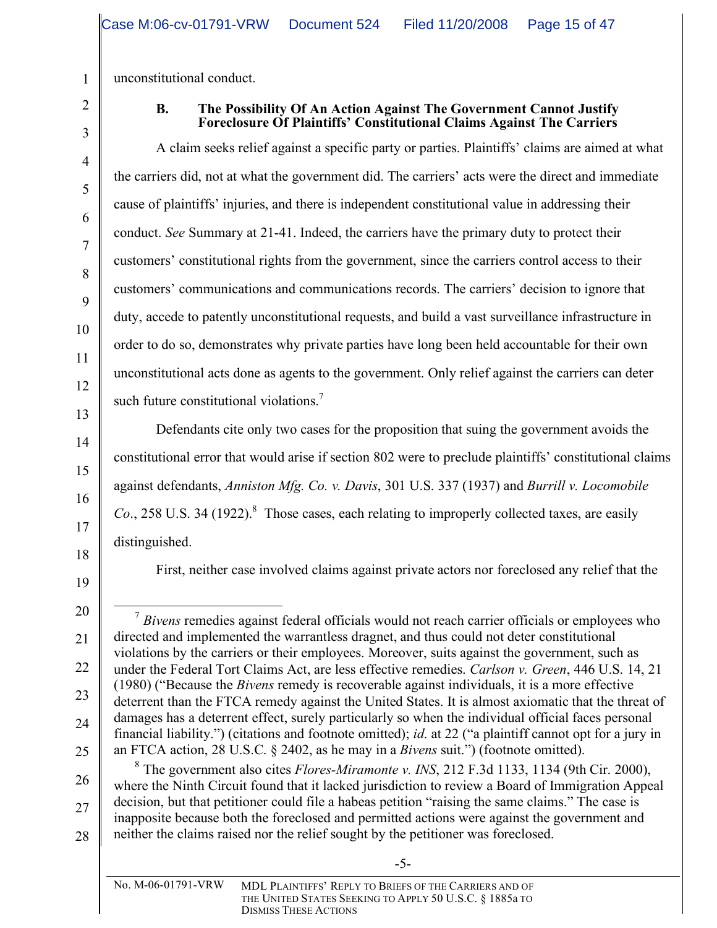unconstitutional conduct.

1

2

3

4

5

6

7

8

9

10

11

12

13

14

15

16

17

18

19

20

21

22

23

24

25

#### **B. The Possibility Of An Action Against The Government Cannot Justify Foreclosure Of Plaintiffs' Constitutional Claims Against The Carriers**

A claim seeks relief against a specific party or parties. Plaintiffs' claims are aimed at what the carriers did, not at what the government did. The carriers' acts were the direct and immediate cause of plaintiffs' injuries, and there is independent constitutional value in addressing their conduct. *See* Summary at 21-41. Indeed, the carriers have the primary duty to protect their customers' constitutional rights from the government, since the carriers control access to their customers' communications and communications records. The carriers' decision to ignore that duty, accede to patently unconstitutional requests, and build a vast surveillance infrastructure in order to do so, demonstrates why private parties have long been held accountable for their own unconstitutional acts done as agents to the government. Only relief against the carriers can deter such future constitutional violations.<sup>7</sup>

Defendants cite only two cases for the proposition that suing the government avoids the constitutional error that would arise if section 802 were to preclude plaintiffs' constitutional claims against defendants, *Anniston Mfg. Co. v. Davis*, 301 U.S. 337 (1937) and *Burrill v. Locomobile* Co., 258 U.S. 34 (1922).<sup>8</sup> Those cases, each relating to improperly collected taxes, are easily distinguished.

First, neither case involved claims against private actors nor foreclosed any relief that the

-5-

<sup>&</sup>lt;sup>7</sup> Bivens remedies against federal officials would not reach carrier officials or employees who directed and implemented the warrantless dragnet, and thus could not deter constitutional violations by the carriers or their employees. Moreover, suits against the government, such as under the Federal Tort Claims Act, are less effective remedies. *Carlson v. Green*, 446 U.S. 14, 21 (1980) ("Because the *Bivens* remedy is recoverable against individuals, it is a more effective deterrent than the FTCA remedy against the United States. It is almost axiomatic that the threat of damages has a deterrent effect, surely particularly so when the individual official faces personal financial liability.") (citations and footnote omitted); *id*. at 22 ("a plaintiff cannot opt for a jury in an FTCA action, 28 U.S.C. § 2402, as he may in a *Bivens* suit.") (footnote omitted).

<sup>26</sup> 27 28 <sup>8</sup> The government also cites *Flores-Miramonte v. INS*, 212 F.3d 1133, 1134 (9th Cir. 2000), where the Ninth Circuit found that it lacked jurisdiction to review a Board of Immigration Appeal decision, but that petitioner could file a habeas petition "raising the same claims." The case is inapposite because both the foreclosed and permitted actions were against the government and neither the claims raised nor the relief sought by the petitioner was foreclosed.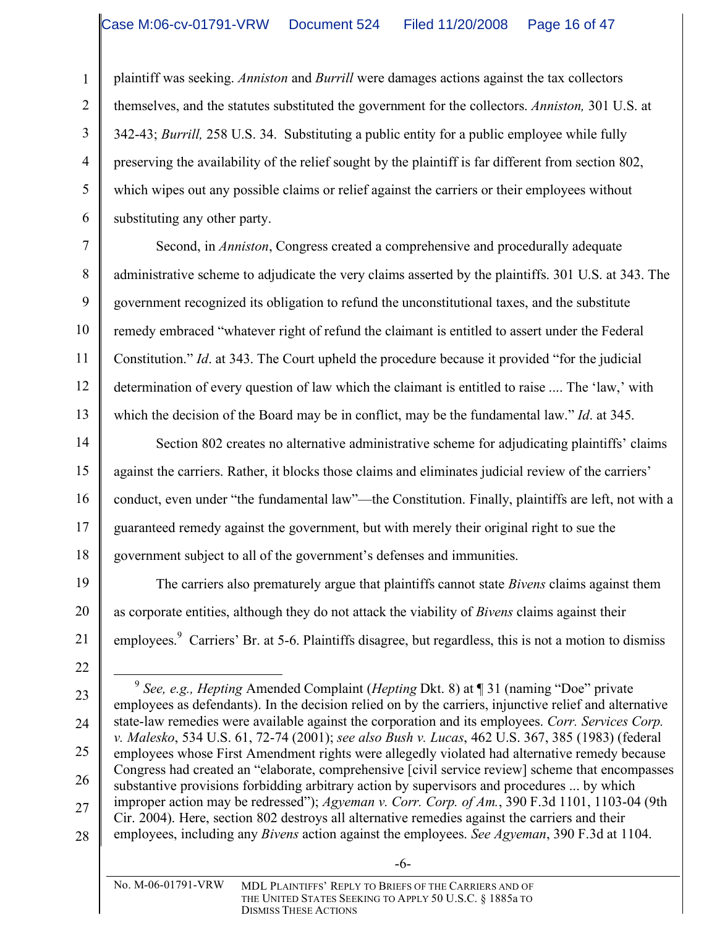plaintiff was seeking. *Anniston* and *Burrill* were damages actions against the tax collectors themselves, and the statutes substituted the government for the collectors. *Anniston,* 301 U.S. at 342-43; *Burrill,* 258 U.S. 34. Substituting a public entity for a public employee while fully preserving the availability of the relief sought by the plaintiff is far different from section 802, which wipes out any possible claims or relief against the carriers or their employees without substituting any other party.

Second, in *Anniston*, Congress created a comprehensive and procedurally adequate administrative scheme to adjudicate the very claims asserted by the plaintiffs. 301 U.S. at 343. The government recognized its obligation to refund the unconstitutional taxes, and the substitute remedy embraced "whatever right of refund the claimant is entitled to assert under the Federal Constitution." *Id*. at 343. The Court upheld the procedure because it provided "for the judicial determination of every question of law which the claimant is entitled to raise .... The 'law,' with which the decision of the Board may be in conflict, may be the fundamental law." *Id*. at 345.

14 15 16 17 18 Section 802 creates no alternative administrative scheme for adjudicating plaintiffs' claims against the carriers. Rather, it blocks those claims and eliminates judicial review of the carriers' conduct, even under "the fundamental law"—the Constitution. Finally, plaintiffs are left, not with a guaranteed remedy against the government, but with merely their original right to sue the government subject to all of the government's defenses and immunities.

The carriers also prematurely argue that plaintiffs cannot state *Bivens* claims against them as corporate entities, although they do not attack the viability of *Bivens* claims against their employees.<sup>9</sup> Carriers' Br. at 5-6. Plaintiffs disagree, but regardless, this is not a motion to dismiss

22

19

20

21

1

2

3

4

5

6

7

8

9

10

11

12

13

23 24

27

28

25 26

 <sup>9</sup> *See, e.g., Hepting* Amended Complaint (*Hepting* Dkt. 8) at ¶ <sup>31</sup> (naming "Doe" private employees as defendants). In the decision relied on by the carriers, injunctive relief and alternative state-law remedies were available against the corporation and its employees. *Corr. Services Corp. v. Malesko*, 534 U.S. 61, 72-74 (2001); *see also Bush v. Lucas*, 462 U.S. 367, 385 (1983) (federal employees whose First Amendment rights were allegedly violated had alternative remedy because Congress had created an "elaborate, comprehensive [civil service review] scheme that encompasses substantive provisions forbidding arbitrary action by supervisors and procedures ... by which improper action may be redressed"); *Agyeman v. Corr. Corp. of Am.*, 390 F.3d 1101, 1103-04 (9th Cir. 2004). Here, section 802 destroys all alternative remedies against the carriers and their employees, including any *Bivens* action against the employees. *See Agyeman*, 390 F.3d at 1104.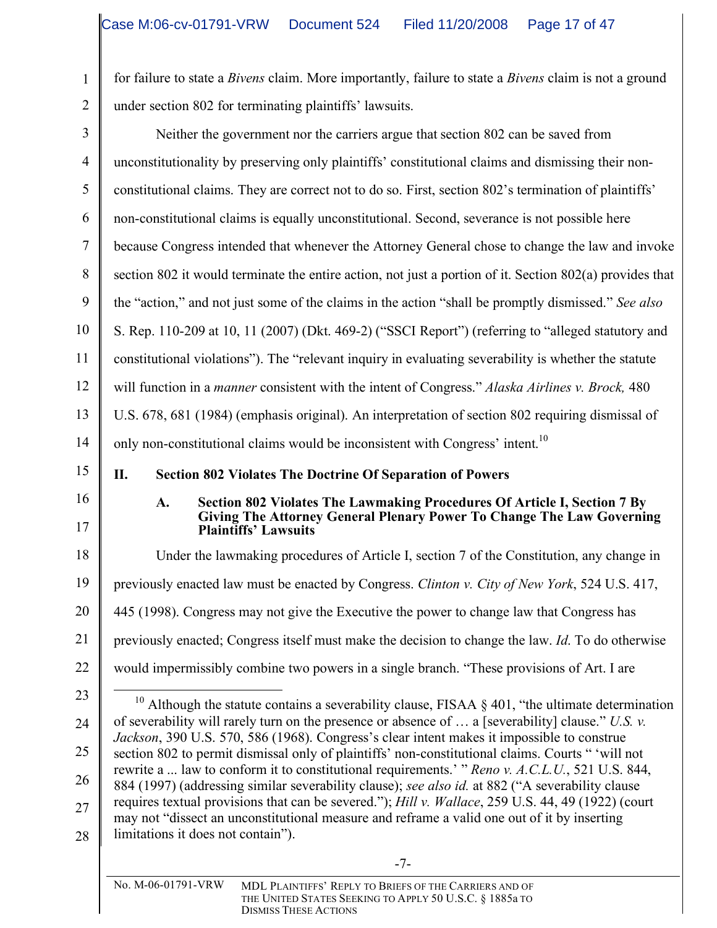1

2

for failure to state a *Bivens* claim. More importantly, failure to state a *Bivens* claim is not a ground under section 802 for terminating plaintiffs' lawsuits.

| 3  | Neither the government nor the carriers argue that section 802 can be saved from                                                                                                                        |
|----|---------------------------------------------------------------------------------------------------------------------------------------------------------------------------------------------------------|
| 4  | unconstitutionality by preserving only plaintiffs' constitutional claims and dismissing their non-                                                                                                      |
| 5  | constitutional claims. They are correct not to do so. First, section 802's termination of plaintiffs'                                                                                                   |
| 6  | non-constitutional claims is equally unconstitutional. Second, severance is not possible here                                                                                                           |
| 7  | because Congress intended that whenever the Attorney General chose to change the law and invoke                                                                                                         |
| 8  | section 802 it would terminate the entire action, not just a portion of it. Section 802(a) provides that                                                                                                |
| 9  | the "action," and not just some of the claims in the action "shall be promptly dismissed." See also                                                                                                     |
| 10 | S. Rep. 110-209 at 10, 11 (2007) (Dkt. 469-2) ("SSCI Report") (referring to "alleged statutory and                                                                                                      |
| 11 | constitutional violations"). The "relevant inquiry in evaluating severability is whether the statute                                                                                                    |
| 12 | will function in a <i>manner</i> consistent with the intent of Congress." Alaska Airlines v. Brock, 480                                                                                                 |
| 13 | U.S. 678, 681 (1984) (emphasis original). An interpretation of section 802 requiring dismissal of                                                                                                       |
| 14 | only non-constitutional claims would be inconsistent with Congress' intent. <sup>10</sup>                                                                                                               |
| 15 | II.<br><b>Section 802 Violates The Doctrine Of Separation of Powers</b>                                                                                                                                 |
| 16 | Section 802 Violates The Lawmaking Procedures Of Article I, Section 7 By<br>A.                                                                                                                          |
| 17 | Giving The Attorney General Plenary Power To Change The Law Governing<br><b>Plaintiffs' Lawsuits</b>                                                                                                    |
| 18 | Under the lawmaking procedures of Article I, section 7 of the Constitution, any change in                                                                                                               |
| 19 | previously enacted law must be enacted by Congress. Clinton v. City of New York, 524 U.S. 417,                                                                                                          |
| 20 | 445 (1998). Congress may not give the Executive the power to change law that Congress has                                                                                                               |
| 21 | previously enacted; Congress itself must make the decision to change the law. <i>Id</i> . To do otherwise                                                                                               |
| 22 | would impermissibly combine two powers in a single branch. "These provisions of Art. I are                                                                                                              |
| 23 | <sup>10</sup> Although the statute contains a severability clause, FISAA $\S$ 401, "the ultimate determination                                                                                          |
| 24 | of severability will rarely turn on the presence or absence of $\ldots$ a [severability] clause." U.S. v.<br>Jackson, 390 U.S. 570, 586 (1968). Congress's clear intent makes it impossible to construe |
| 25 | section 802 to permit dismissal only of plaintiffs' non-constitutional claims. Courts "vill not                                                                                                         |
| 26 | rewrite a  law to conform it to constitutional requirements.' " Reno v. A.C.L.U., 521 U.S. 844,<br>884 (1997) (addressing similar severability clause); see also id. at 882 ("A severability clause     |
| 27 | requires textual provisions that can be severed."); Hill v. Wallace, 259 U.S. 44, 49 (1922) (court<br>may not "dissect an unconstitutional measure and reframe a valid one out of it by inserting       |
| 28 | limitations it does not contain").                                                                                                                                                                      |
|    | $-7-$                                                                                                                                                                                                   |
|    | No. M-06-01791-VRW<br>MDL PLAINTIFFS' REPLY TO BRIEFS OF THE CARRIERS AND OF<br>THE UNITED STATES SEEKING TO APPLY 50 U.S.C. § 1885a TO                                                                 |

DISMISS THESE ACTIONS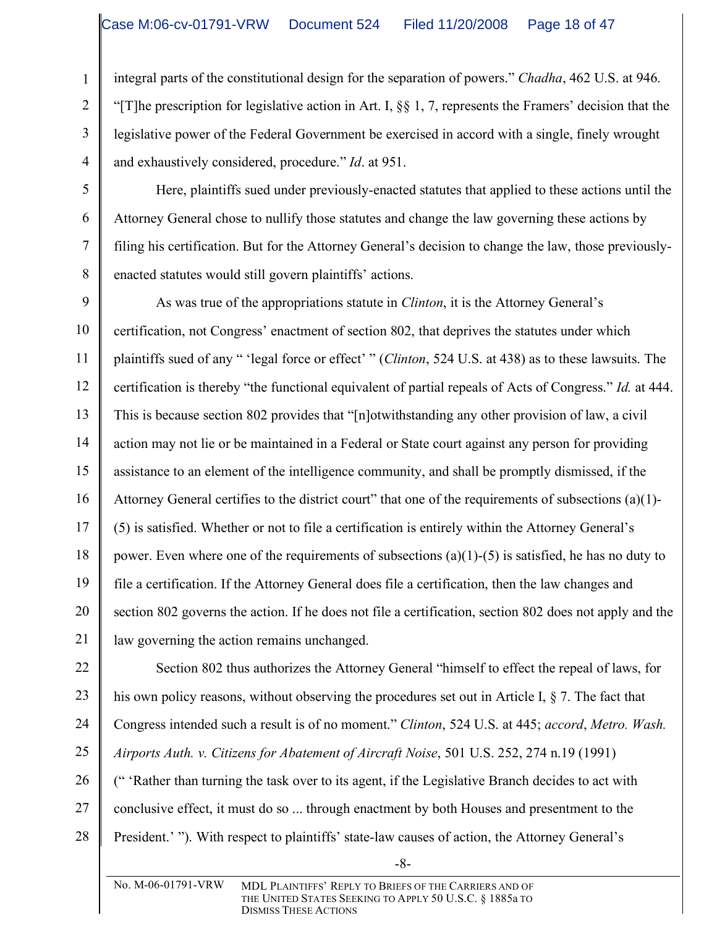integral parts of the constitutional design for the separation of powers." *Chadha*, 462 U.S. at 946. "[T]he prescription for legislative action in Art. I, §§ 1, 7, represents the Framers' decision that the legislative power of the Federal Government be exercised in accord with a single, finely wrought and exhaustively considered, procedure." *Id*. at 951.

5 6 7

8

1

2

3

4

Here, plaintiffs sued under previously-enacted statutes that applied to these actions until the Attorney General chose to nullify those statutes and change the law governing these actions by filing his certification. But for the Attorney General's decision to change the law, those previouslyenacted statutes would still govern plaintiffs' actions.

9 10 11 12 13 14 15 16 17 18 19 20 21 As was true of the appropriations statute in *Clinton*, it is the Attorney General's certification, not Congress' enactment of section 802, that deprives the statutes under which plaintiffs sued of any " 'legal force or effect' " (*Clinton*, 524 U.S. at 438) as to these lawsuits. The certification is thereby "the functional equivalent of partial repeals of Acts of Congress." *Id.* at 444. This is because section 802 provides that "[n]otwithstanding any other provision of law, a civil action may not lie or be maintained in a Federal or State court against any person for providing assistance to an element of the intelligence community, and shall be promptly dismissed, if the Attorney General certifies to the district court" that one of the requirements of subsections (a)(1)- (5) is satisfied. Whether or not to file a certification is entirely within the Attorney General's power. Even where one of the requirements of subsections  $(a)(1)-(5)$  is satisfied, he has no duty to file a certification. If the Attorney General does file a certification, then the law changes and section 802 governs the action. If he does not file a certification, section 802 does not apply and the law governing the action remains unchanged.

22 23 24 25 26 27 28 Section 802 thus authorizes the Attorney General "himself to effect the repeal of laws, for his own policy reasons, without observing the procedures set out in Article I, § 7. The fact that Congress intended such a result is of no moment." *Clinton*, 524 U.S. at 445; *accord*, *Metro. Wash. Airports Auth. v. Citizens for Abatement of Aircraft Noise*, 501 U.S. 252, 274 n.19 (1991) (" 'Rather than turning the task over to its agent, if the Legislative Branch decides to act with conclusive effect, it must do so ... through enactment by both Houses and presentment to the President.' "). With respect to plaintiffs' state-law causes of action, the Attorney General's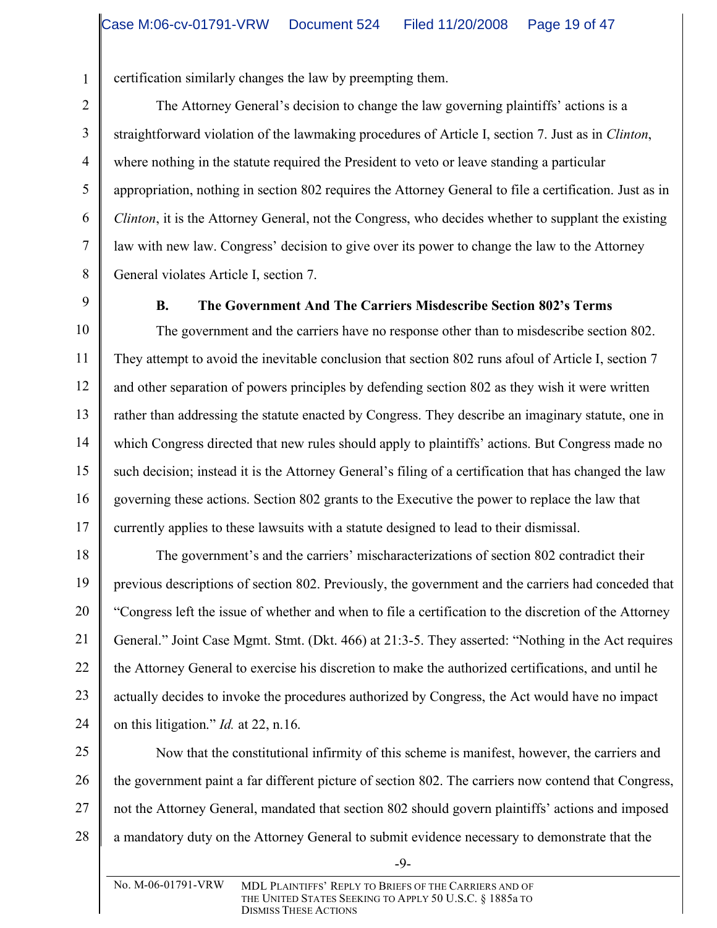certification similarly changes the law by preempting them.

The Attorney General's decision to change the law governing plaintiffs' actions is a straightforward violation of the lawmaking procedures of Article I, section 7. Just as in *Clinton*, where nothing in the statute required the President to veto or leave standing a particular appropriation, nothing in section 802 requires the Attorney General to file a certification. Just as in *Clinton*, it is the Attorney General, not the Congress, who decides whether to supplant the existing law with new law. Congress' decision to give over its power to change the law to the Attorney General violates Article I, section 7.

1

2

3

4

5

6

7

8

9

# **B. The Government And The Carriers Misdescribe Section 802's Terms**

10 11 12 13 14 15 16 17 The government and the carriers have no response other than to misdescribe section 802. They attempt to avoid the inevitable conclusion that section 802 runs afoul of Article I, section 7 and other separation of powers principles by defending section 802 as they wish it were written rather than addressing the statute enacted by Congress. They describe an imaginary statute, one in which Congress directed that new rules should apply to plaintiffs' actions. But Congress made no such decision; instead it is the Attorney General's filing of a certification that has changed the law governing these actions. Section 802 grants to the Executive the power to replace the law that currently applies to these lawsuits with a statute designed to lead to their dismissal.

18 19 20 21 22 23 24 The government's and the carriers' mischaracterizations of section 802 contradict their previous descriptions of section 802. Previously, the government and the carriers had conceded that "Congress left the issue of whether and when to file a certification to the discretion of the Attorney General." Joint Case Mgmt. Stmt. (Dkt. 466) at 21:3-5. They asserted: "Nothing in the Act requires the Attorney General to exercise his discretion to make the authorized certifications, and until he actually decides to invoke the procedures authorized by Congress, the Act would have no impact on this litigation." *Id.* at 22, n.16.

25 26

27 28 Now that the constitutional infirmity of this scheme is manifest, however, the carriers and the government paint a far different picture of section 802. The carriers now contend that Congress, not the Attorney General, mandated that section 802 should govern plaintiffs' actions and imposed a mandatory duty on the Attorney General to submit evidence necessary to demonstrate that the

-9-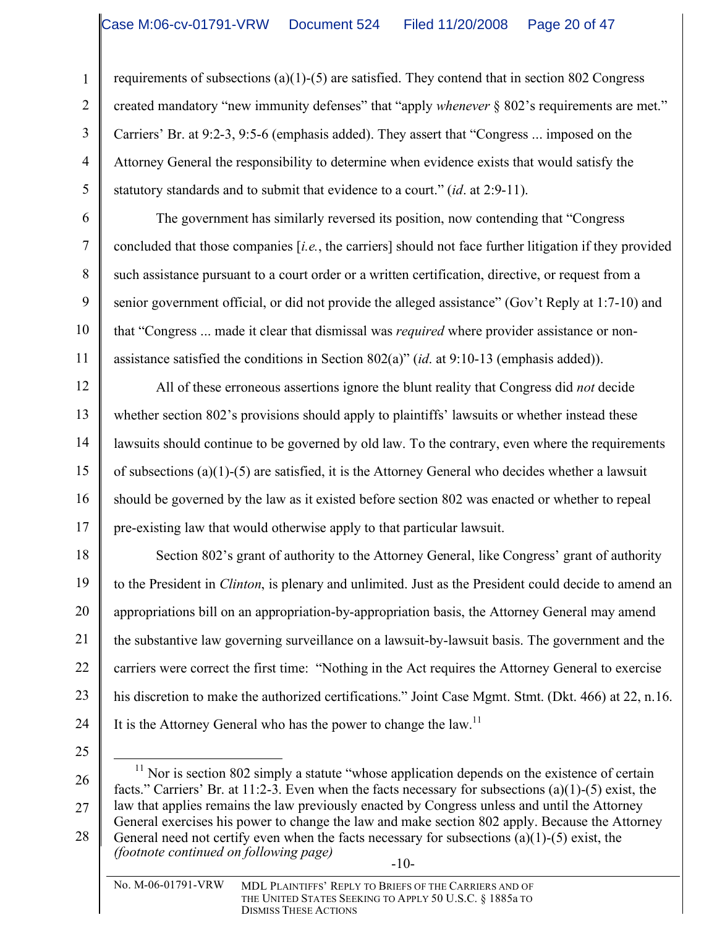requirements of subsections (a)(1)-(5) are satisfied. They contend that in section 802 Congress created mandatory "new immunity defenses" that "apply *whenever* § 802's requirements are met." Carriers' Br. at 9:2-3, 9:5-6 (emphasis added). They assert that "Congress ... imposed on the Attorney General the responsibility to determine when evidence exists that would satisfy the statutory standards and to submit that evidence to a court." (*id*. at 2:9-11).

The government has similarly reversed its position, now contending that "Congress concluded that those companies [*i.e.*, the carriers] should not face further litigation if they provided such assistance pursuant to a court order or a written certification, directive, or request from a senior government official, or did not provide the alleged assistance" (Gov't Reply at 1:7-10) and that "Congress ... made it clear that dismissal was *required* where provider assistance or nonassistance satisfied the conditions in Section 802(a)" (*id*. at 9:10-13 (emphasis added)).

12 13 14 15 16 17 All of these erroneous assertions ignore the blunt reality that Congress did *not* decide whether section 802's provisions should apply to plaintiffs' lawsuits or whether instead these lawsuits should continue to be governed by old law. To the contrary, even where the requirements of subsections (a)(1)-(5) are satisfied, it is the Attorney General who decides whether a lawsuit should be governed by the law as it existed before section 802 was enacted or whether to repeal pre-existing law that would otherwise apply to that particular lawsuit.

18 19 20 21 22 23 24 Section 802's grant of authority to the Attorney General, like Congress' grant of authority to the President in *Clinton*, is plenary and unlimited. Just as the President could decide to amend an appropriations bill on an appropriation-by-appropriation basis, the Attorney General may amend the substantive law governing surveillance on a lawsuit-by-lawsuit basis. The government and the carriers were correct the first time: "Nothing in the Act requires the Attorney General to exercise his discretion to make the authorized certifications." Joint Case Mgmt. Stmt. (Dkt. 466) at 22, n.16. It is the Attorney General who has the power to change the law.<sup>11</sup>

25

1

2

3

4

5

6

7

8

9

10

11

26 27 28  $11$  Nor is section 802 simply a statute "whose application depends on the existence of certain facts." Carriers' Br. at 11:2-3. Even when the facts necessary for subsections (a)(1)-(5) exist, the law that applies remains the law previously enacted by Congress unless and until the Attorney General exercises his power to change the law and make section 802 apply. Because the Attorney General need not certify even when the facts necessary for subsections (a)(1)-(5) exist, the *(footnote continued on following page)*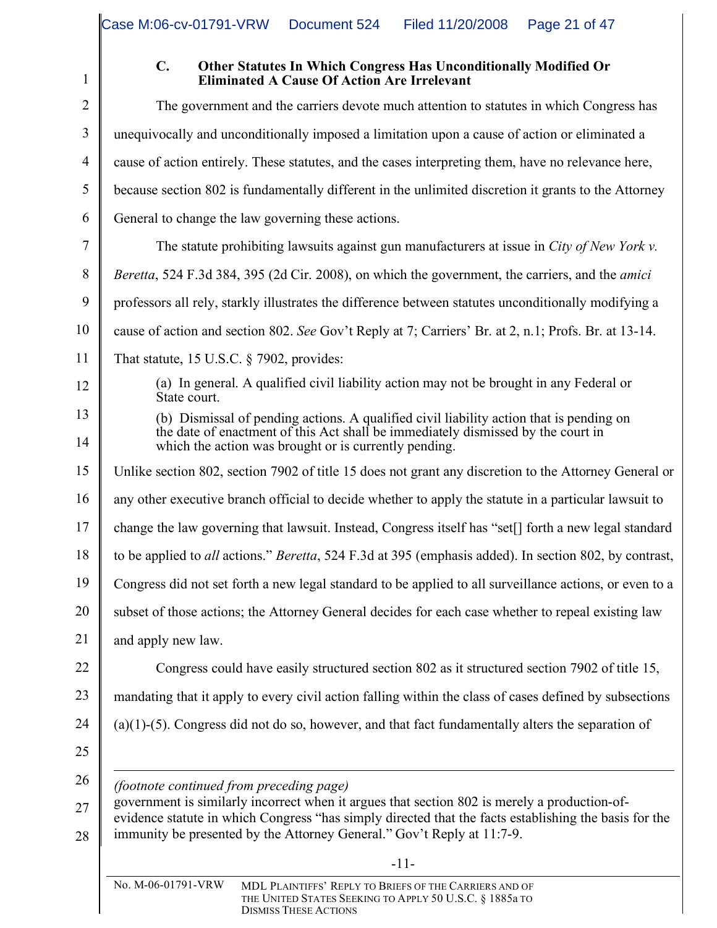1

#### **C. Other Statutes In Which Congress Has Unconditionally Modified Or Eliminated A Cause Of Action Are Irrelevant**

| $\overline{2}$ | The government and the carriers devote much attention to statutes in which Congress has                                                                                                                                                                                         |
|----------------|---------------------------------------------------------------------------------------------------------------------------------------------------------------------------------------------------------------------------------------------------------------------------------|
| 3              | unequivocally and unconditionally imposed a limitation upon a cause of action or eliminated a                                                                                                                                                                                   |
| 4              | cause of action entirely. These statutes, and the cases interpreting them, have no relevance here,                                                                                                                                                                              |
| 5              | because section 802 is fundamentally different in the unlimited discretion it grants to the Attorney                                                                                                                                                                            |
| 6              | General to change the law governing these actions.                                                                                                                                                                                                                              |
| 7              | The statute prohibiting lawsuits against gun manufacturers at issue in City of New York v.                                                                                                                                                                                      |
| 8              | Beretta, 524 F.3d 384, 395 (2d Cir. 2008), on which the government, the carriers, and the <i>amici</i>                                                                                                                                                                          |
| 9              | professors all rely, starkly illustrates the difference between statutes unconditionally modifying a                                                                                                                                                                            |
| 10             | cause of action and section 802. See Gov't Reply at 7; Carriers' Br. at 2, n.1; Profs. Br. at 13-14.                                                                                                                                                                            |
| 11             | That statute, $15$ U.S.C. § 7902, provides:                                                                                                                                                                                                                                     |
| 12             | (a) In general. A qualified civil liability action may not be brought in any Federal or<br>State court.                                                                                                                                                                         |
| 13             | (b) Dismissal of pending actions. A qualified civil liability action that is pending on                                                                                                                                                                                         |
| 14             | the date of enactment of this Act shall be immediately dismissed by the court in<br>which the action was brought or is currently pending.                                                                                                                                       |
| 15             | Unlike section 802, section 7902 of title 15 does not grant any discretion to the Attorney General or                                                                                                                                                                           |
| 16             | any other executive branch official to decide whether to apply the statute in a particular lawsuit to                                                                                                                                                                           |
| 17             | change the law governing that lawsuit. Instead, Congress itself has "set[] forth a new legal standard                                                                                                                                                                           |
| 18             | to be applied to <i>all</i> actions." <i>Beretta</i> , 524 F.3d at 395 (emphasis added). In section 802, by contrast,                                                                                                                                                           |
| 19             | Congress did not set forth a new legal standard to be applied to all surveillance actions, or even to a                                                                                                                                                                         |
| 20             | subset of those actions; the Attorney General decides for each case whether to repeal existing law                                                                                                                                                                              |
| 21             | and apply new law.                                                                                                                                                                                                                                                              |
| 22             | Congress could have easily structured section 802 as it structured section 7902 of title 15,                                                                                                                                                                                    |
| 23             | mandating that it apply to every civil action falling within the class of cases defined by subsections                                                                                                                                                                          |
| 24             | $(a)(1)-(5)$ . Congress did not do so, however, and that fact fundamentally alters the separation of                                                                                                                                                                            |
| 25             |                                                                                                                                                                                                                                                                                 |
| 26             | <i>(footnote continued from preceding page)</i>                                                                                                                                                                                                                                 |
| 27<br>28       | government is similarly incorrect when it argues that section 802 is merely a production-of-<br>evidence statute in which Congress "has simply directed that the facts establishing the basis for the<br>immunity be presented by the Attorney General." Gov't Reply at 11:7-9. |
|                |                                                                                                                                                                                                                                                                                 |

-11-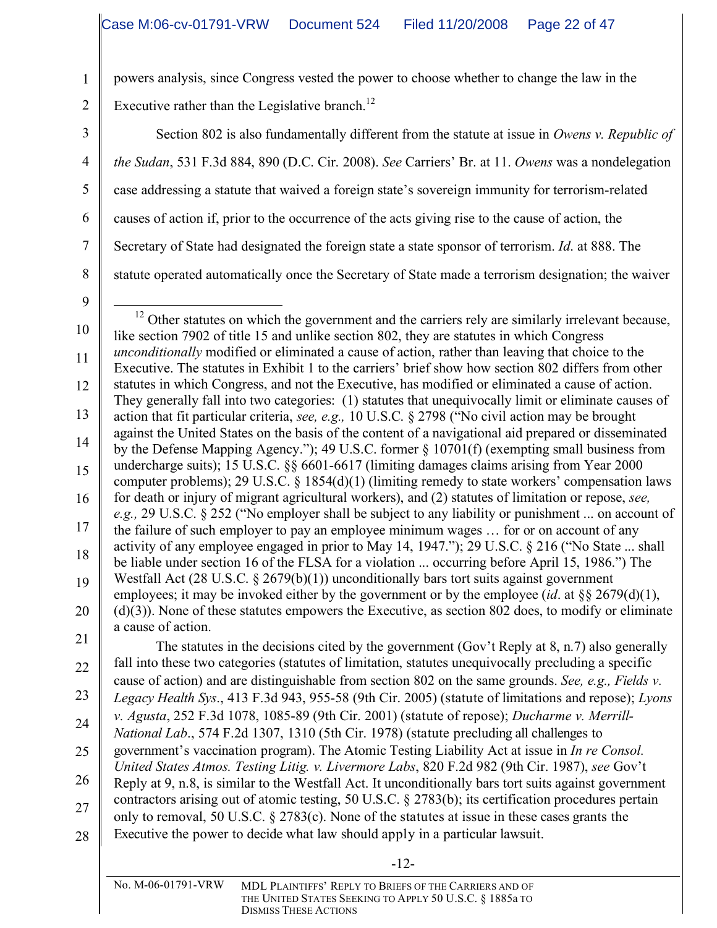powers analysis, since Congress vested the power to choose whether to change the law in the

Executive rather than the Legislative branch.<sup>12</sup>

Section 802 is also fundamentally different from the statute at issue in *Owens v. Republic of the Sudan*, 531 F.3d 884, 890 (D.C. Cir. 2008). *See* Carriers' Br. at 11. *Owens* was a nondelegation case addressing a statute that waived a foreign state's sovereign immunity for terrorism-related causes of action if, prior to the occurrence of the acts giving rise to the cause of action, the Secretary of State had designated the foreign state a state sponsor of terrorism. *Id*. at 888. The statute operated automatically once the Secretary of State made a terrorism designation; the waiver

9

1

2

3

4

5

6

7

8

10 11 12 13 14 15 16 17 18 19 20 21 <sup>12</sup> Other statutes on which the government and the carriers rely are similarly irrelevant because, like section 7902 of title 15 and unlike section 802, they are statutes in which Congress *unconditionally* modified or eliminated a cause of action, rather than leaving that choice to the Executive. The statutes in Exhibit 1 to the carriers' brief show how section 802 differs from other statutes in which Congress, and not the Executive, has modified or eliminated a cause of action. They generally fall into two categories: (1) statutes that unequivocally limit or eliminate causes of action that fit particular criteria, *see, e.g.,* 10 U.S.C. § 2798 ("No civil action may be brought against the United States on the basis of the content of a navigational aid prepared or disseminated by the Defense Mapping Agency."); 49 U.S.C. former § 10701(f) (exempting small business from undercharge suits); 15 U.S.C. §§ 6601-6617 (limiting damages claims arising from Year 2000 computer problems); 29 U.S.C. § 1854(d)(1) (limiting remedy to state workers' compensation laws for death or injury of migrant agricultural workers), and (2) statutes of limitation or repose, *see, e.g.,* 29 U.S.C. § 252 ("No employer shall be subject to any liability or punishment ... on account of the failure of such employer to pay an employee minimum wages … for or on account of any activity of any employee engaged in prior to May 14, 1947."); 29 U.S.C. § 216 ("No State ... shall be liable under section 16 of the FLSA for a violation ... occurring before April 15, 1986.") The Westfall Act (28 U.S.C. § 2679(b)(1)) unconditionally bars tort suits against government employees; it may be invoked either by the government or by the employee (*id*. at §§ 2679(d)(1),  $(d)(3)$ ). None of these statutes empowers the Executive, as section 802 does, to modify or eliminate a cause of action.

22 23 24 25 26 The statutes in the decisions cited by the government (Gov't Reply at 8, n.7) also generally fall into these two categories (statutes of limitation, statutes unequivocally precluding a specific cause of action) and are distinguishable from section 802 on the same grounds. *See, e.g., Fields v. Legacy Health Sys*., 413 F.3d 943, 955-58 (9th Cir. 2005) (statute of limitations and repose); *Lyons v. Agusta*, 252 F.3d 1078, 1085-89 (9th Cir. 2001) (statute of repose); *Ducharme v. Merrill-National Lab*., 574 F.2d 1307, 1310 (5th Cir. 1978) (statute precluding all challenges to government's vaccination program). The Atomic Testing Liability Act at issue in *In re Consol. United States Atmos. Testing Litig. v. Livermore Labs*, 820 F.2d 982 (9th Cir. 1987), *see* Gov't Reply at 9, n.8, is similar to the Westfall Act. It unconditionally bars tort suits against government

27 28 contractors arising out of atomic testing, 50 U.S.C. § 2783(b); its certification procedures pertain only to removal, 50 U.S.C. § 2783(c). None of the statutes at issue in these cases grants the Executive the power to decide what law should apply in a particular lawsuit.

No. M-06-01791-VRW MDL PLAINTIFFS' REPLY TO BRIEFS OF THE CARRIERS AND OF THE UNITED STATES SEEKING TO APPLY 50 U.S.C. § 1885a TO DISMISS THESE ACTIONS

-12-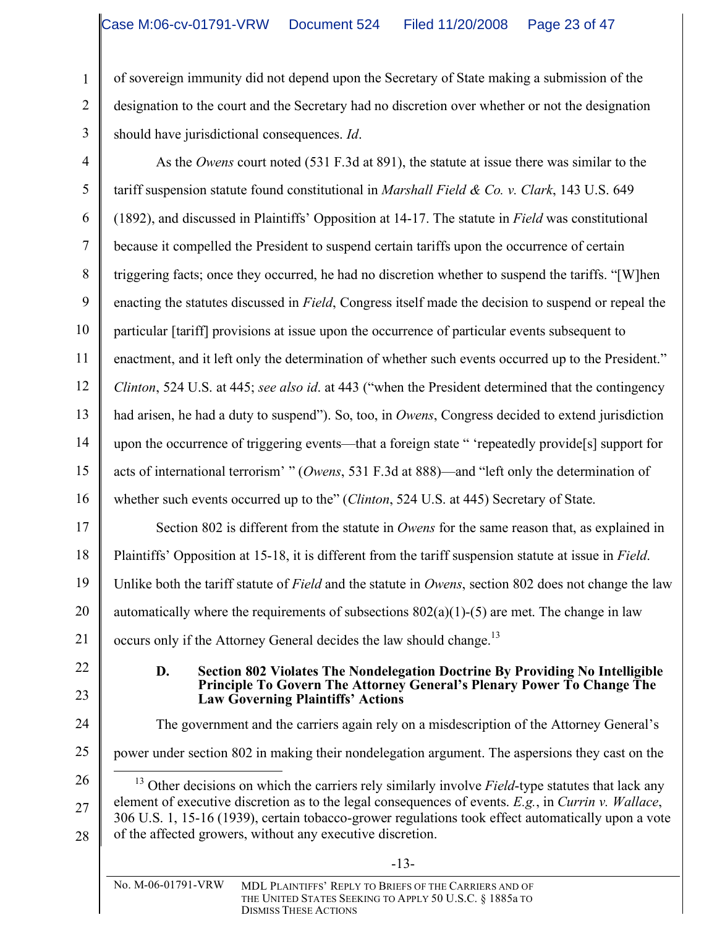of sovereign immunity did not depend upon the Secretary of State making a submission of the designation to the court and the Secretary had no discretion over whether or not the designation should have jurisdictional consequences. *Id*.

4 5 6 7 8 9 10 11 12 13 14 15 16 As the *Owens* court noted (531 F.3d at 891), the statute at issue there was similar to the tariff suspension statute found constitutional in *Marshall Field & Co. v. Clark*, 143 U.S. 649 (1892), and discussed in Plaintiffs' Opposition at 14-17. The statute in *Field* was constitutional because it compelled the President to suspend certain tariffs upon the occurrence of certain triggering facts; once they occurred, he had no discretion whether to suspend the tariffs. "[W]hen enacting the statutes discussed in *Field*, Congress itself made the decision to suspend or repeal the particular [tariff] provisions at issue upon the occurrence of particular events subsequent to enactment, and it left only the determination of whether such events occurred up to the President." *Clinton*, 524 U.S. at 445; *see also id*. at 443 ("when the President determined that the contingency had arisen, he had a duty to suspend"). So, too, in *Owens*, Congress decided to extend jurisdiction upon the occurrence of triggering events—that a foreign state " 'repeatedly provide[s] support for acts of international terrorism' " (*Owens*, 531 F.3d at 888)—and "left only the determination of whether such events occurred up to the" (*Clinton*, 524 U.S. at 445) Secretary of State.

17 18 19 20 21 Section 802 is different from the statute in *Owens* for the same reason that, as explained in Plaintiffs' Opposition at 15-18, it is different from the tariff suspension statute at issue in *Field*. Unlike both the tariff statute of *Field* and the statute in *Owens*, section 802 does not change the law automatically where the requirements of subsections  $802(a)(1)-(5)$  are met. The change in law occurs only if the Attorney General decides the law should change.<sup>13</sup>

22

1

2

3

23

24

#### **D. Section 802 Violates The Nondelegation Doctrine By Providing No Intelligible Principle To Govern The Attorney General's Plenary Power To Change The Law Governing Plaintiffs' Actions**

The government and the carriers again rely on a misdescription of the Attorney General's

-13-

- 25 power under section 802 in making their nondelegation argument. The aspersions they cast on the
- 26 27 28 <sup>13</sup> Other decisions on which the carriers rely similarly involve *Field*-type statutes that lack any element of executive discretion as to the legal consequences of events. *E.g.*, in *Currin v. Wallace*, 306 U.S. 1, 15-16 (1939), certain tobacco-grower regulations took effect automatically upon a vote of the affected growers, without any executive discretion.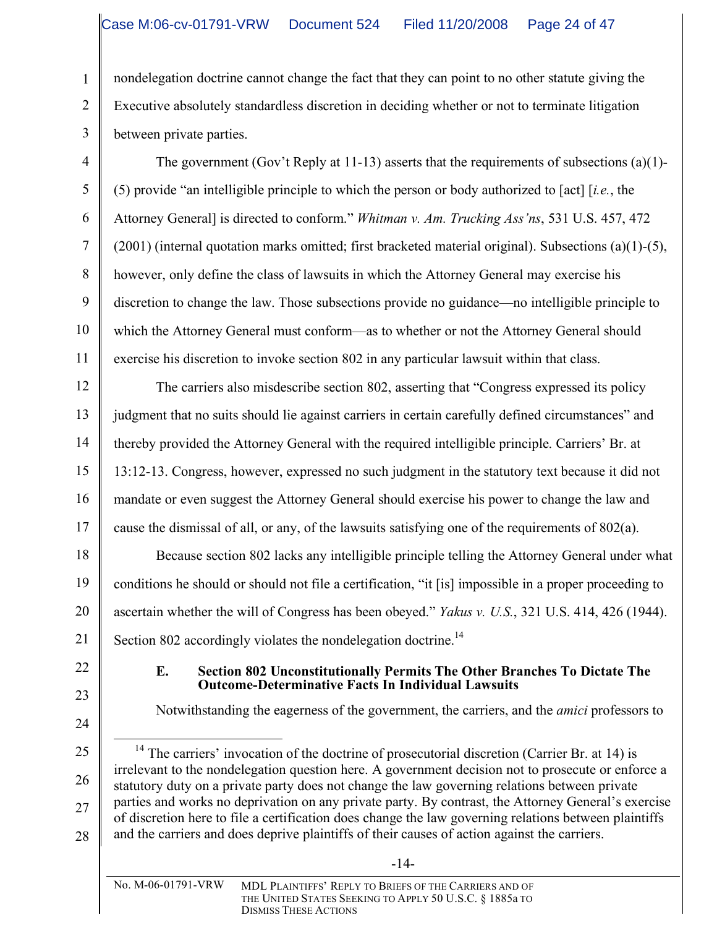nondelegation doctrine cannot change the fact that they can point to no other statute giving the Executive absolutely standardless discretion in deciding whether or not to terminate litigation between private parties.

The government (Gov't Reply at 11-13) asserts that the requirements of subsections (a)(1)- (5) provide "an intelligible principle to which the person or body authorized to [act] [*i.e.*, the Attorney General] is directed to conform." *Whitman v. Am. Trucking Ass'ns*, 531 U.S. 457, 472  $(2001)$  (internal quotation marks omitted; first bracketed material original). Subsections (a)(1)-(5), however, only define the class of lawsuits in which the Attorney General may exercise his discretion to change the law. Those subsections provide no guidance—no intelligible principle to which the Attorney General must conform—as to whether or not the Attorney General should exercise his discretion to invoke section 802 in any particular lawsuit within that class.

The carriers also misdescribe section 802, asserting that "Congress expressed its policy judgment that no suits should lie against carriers in certain carefully defined circumstances" and thereby provided the Attorney General with the required intelligible principle. Carriers' Br. at 13:12-13. Congress, however, expressed no such judgment in the statutory text because it did not mandate or even suggest the Attorney General should exercise his power to change the law and cause the dismissal of all, or any, of the lawsuits satisfying one of the requirements of 802(a).

Because section 802 lacks any intelligible principle telling the Attorney General under what conditions he should or should not file a certification, "it [is] impossible in a proper proceeding to ascertain whether the will of Congress has been obeyed." *Yakus v. U.S.*, 321 U.S. 414, 426 (1944). Section 802 accordingly violates the nondelegation doctrine.<sup>14</sup>

#### **E. Section 802 Unconstitutionally Permits The Other Branches To Dictate The Outcome-Determinative Facts In Individual Lawsuits**

Notwithstanding the eagerness of the government, the carriers, and the *amici* professors to

<sup>28</sup>  $14$  The carriers' invocation of the doctrine of prosecutorial discretion (Carrier Br. at 14) is irrelevant to the nondelegation question here. A government decision not to prosecute or enforce a statutory duty on a private party does not change the law governing relations between private parties and works no deprivation on any private party. By contrast, the Attorney General's exercise of discretion here to file a certification does change the law governing relations between plaintiffs and the carriers and does deprive plaintiffs of their causes of action against the carriers.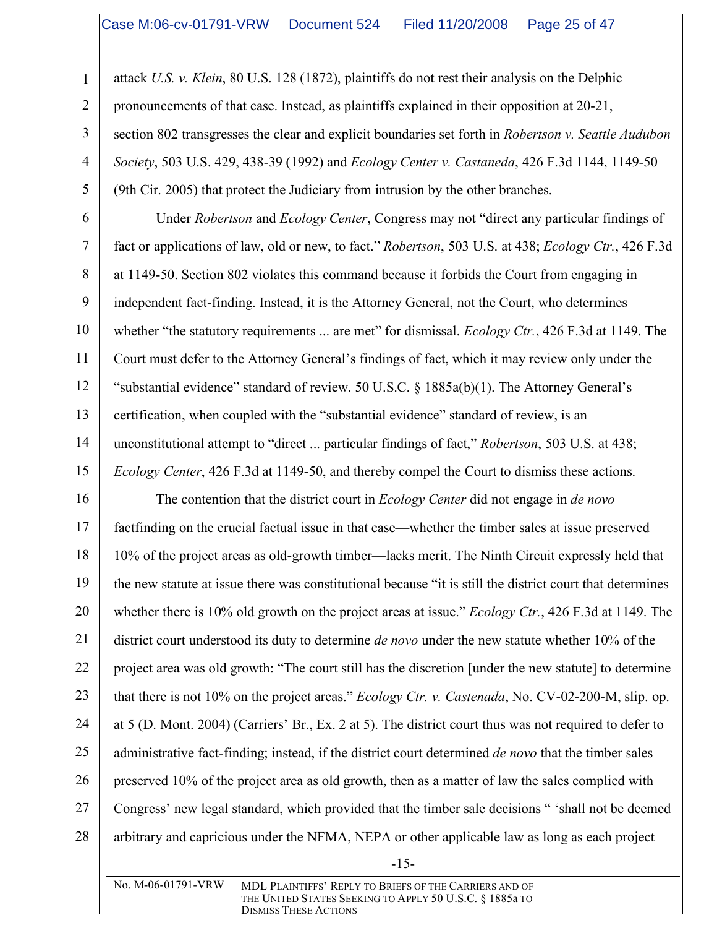1

2

3

4

5

6

7

8

9

10

11

12

13

14

15

attack *U.S. v. Klein*, 80 U.S. 128 (1872), plaintiffs do not rest their analysis on the Delphic pronouncements of that case. Instead, as plaintiffs explained in their opposition at 20-21, section 802 transgresses the clear and explicit boundaries set forth in *Robertson v. Seattle Audubon Society*, 503 U.S. 429, 438-39 (1992) and *Ecology Center v. Castaneda*, 426 F.3d 1144, 1149-50 (9th Cir. 2005) that protect the Judiciary from intrusion by the other branches.

Under *Robertson* and *Ecology Center*, Congress may not "direct any particular findings of fact or applications of law, old or new, to fact." *Robertson*, 503 U.S. at 438; *Ecology Ctr.*, 426 F.3d at 1149-50. Section 802 violates this command because it forbids the Court from engaging in independent fact-finding. Instead, it is the Attorney General, not the Court, who determines whether "the statutory requirements ... are met" for dismissal. *Ecology Ctr.*, 426 F.3d at 1149. The Court must defer to the Attorney General's findings of fact, which it may review only under the "substantial evidence" standard of review. 50 U.S.C. § 1885a(b)(1). The Attorney General's certification, when coupled with the "substantial evidence" standard of review, is an unconstitutional attempt to "direct ... particular findings of fact," *Robertson*, 503 U.S. at 438; *Ecology Center*, 426 F.3d at 1149-50, and thereby compel the Court to dismiss these actions.

16 17 18 19 20 21 22 23 24 25 26 27 28 The contention that the district court in *Ecology Center* did not engage in *de novo* factfinding on the crucial factual issue in that case—whether the timber sales at issue preserved 10% of the project areas as old-growth timber—lacks merit. The Ninth Circuit expressly held that the new statute at issue there was constitutional because "it is still the district court that determines whether there is 10% old growth on the project areas at issue." *Ecology Ctr.*, 426 F.3d at 1149. The district court understood its duty to determine *de novo* under the new statute whether 10% of the project area was old growth: "The court still has the discretion [under the new statute] to determine that there is not 10% on the project areas." *Ecology Ctr. v. Castenada*, No. CV-02-200-M, slip. op. at 5 (D. Mont. 2004) (Carriers' Br., Ex. 2 at 5). The district court thus was not required to defer to administrative fact-finding; instead, if the district court determined *de novo* that the timber sales preserved 10% of the project area as old growth, then as a matter of law the sales complied with Congress' new legal standard, which provided that the timber sale decisions " 'shall not be deemed arbitrary and capricious under the NFMA, NEPA or other applicable law as long as each project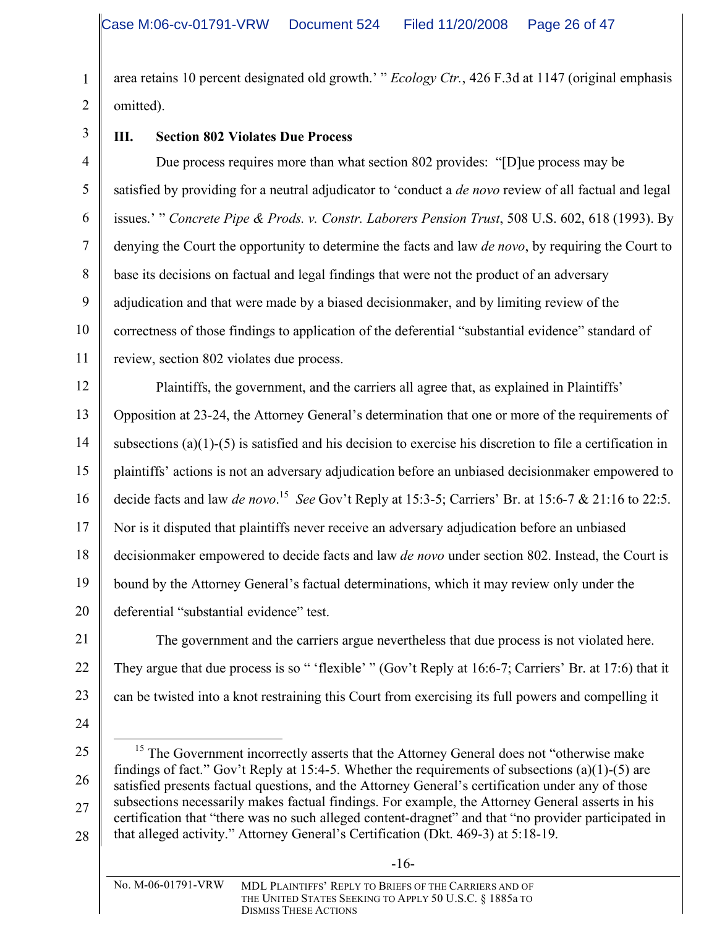area retains 10 percent designated old growth.' " *Ecology Ctr.*, 426 F.3d at 1147 (original emphasis omitted).

3

1

2

4

5

6

7

8

9

10

11

# **III. Section 802 Violates Due Process**

Due process requires more than what section 802 provides: "[D]ue process may be satisfied by providing for a neutral adjudicator to 'conduct a *de novo* review of all factual and legal issues.' " *Concrete Pipe & Prods. v. Constr. Laborers Pension Trust*, 508 U.S. 602, 618 (1993). By denying the Court the opportunity to determine the facts and law *de novo*, by requiring the Court to base its decisions on factual and legal findings that were not the product of an adversary adjudication and that were made by a biased decisionmaker, and by limiting review of the correctness of those findings to application of the deferential "substantial evidence" standard of review, section 802 violates due process.

12 13 14 15 16 17 18 19 20 Plaintiffs, the government, and the carriers all agree that, as explained in Plaintiffs' Opposition at 23-24, the Attorney General's determination that one or more of the requirements of subsections (a)(1)-(5) is satisfied and his decision to exercise his discretion to file a certification in plaintiffs' actions is not an adversary adjudication before an unbiased decisionmaker empowered to decide facts and law *de novo*. <sup>15</sup> *See* Gov't Reply at 15:3-5; Carriers' Br. at 15:6-7 & 21:16 to 22:5. Nor is it disputed that plaintiffs never receive an adversary adjudication before an unbiased decisionmaker empowered to decide facts and law *de novo* under section 802. Instead, the Court is bound by the Attorney General's factual determinations, which it may review only under the deferential "substantial evidence" test.

21 22 23 The government and the carriers argue nevertheless that due process is not violated here. They argue that due process is so " 'flexible' " (Gov't Reply at 16:6-7; Carriers' Br. at 17:6) that it can be twisted into a knot restraining this Court from exercising its full powers and compelling it

- 24
- 25

-16-

<sup>26</sup> 27 28 <sup>15</sup> The Government incorrectly asserts that the Attorney General does not "otherwise make findings of fact." Gov't Reply at 15:4-5. Whether the requirements of subsections (a)(1)-(5) are satisfied presents factual questions, and the Attorney General's certification under any of those subsections necessarily makes factual findings. For example, the Attorney General asserts in his certification that "there was no such alleged content-dragnet" and that "no provider participated in that alleged activity." Attorney General's Certification (Dkt. 469-3) at 5:18-19.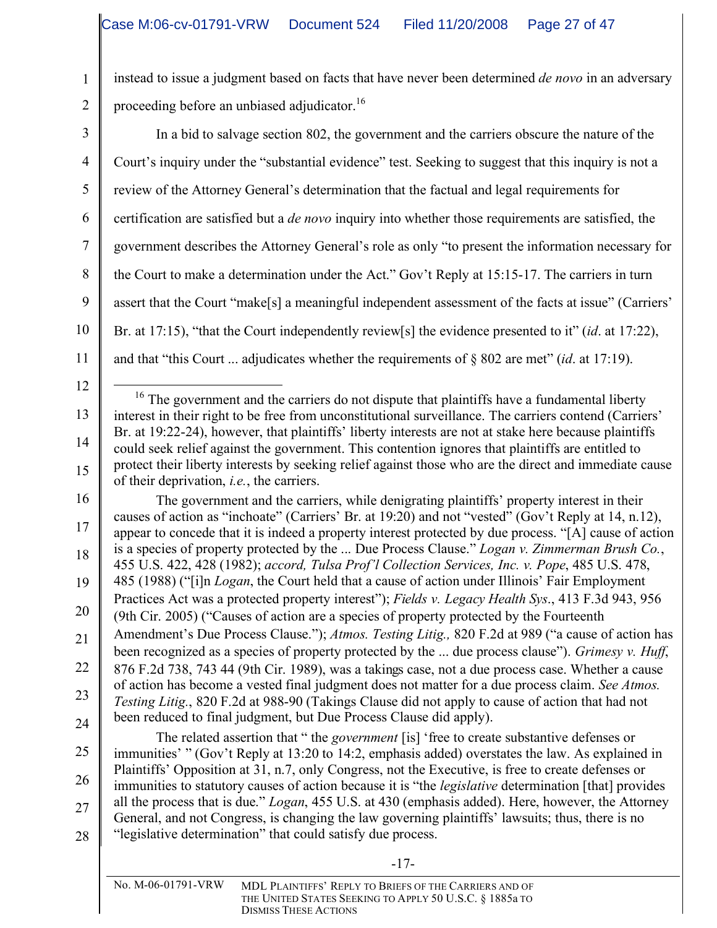1

2

3

4

5

6

7

8

9

10

11

instead to issue a judgment based on facts that have never been determined *de novo* in an adversary proceeding before an unbiased adjudicator.<sup>16</sup>

In a bid to salvage section 802, the government and the carriers obscure the nature of the Court's inquiry under the "substantial evidence" test. Seeking to suggest that this inquiry is not a review of the Attorney General's determination that the factual and legal requirements for certification are satisfied but a *de novo* inquiry into whether those requirements are satisfied, the government describes the Attorney General's role as only "to present the information necessary for the Court to make a determination under the Act." Gov't Reply at 15:15-17. The carriers in turn assert that the Court "make[s] a meaningful independent assessment of the facts at issue" (Carriers' Br. at 17:15), "that the Court independently review[s] the evidence presented to it" (*id*. at 17:22), and that "this Court ... adjudicates whether the requirements of § 802 are met" (*id*. at 17:19).

12 13 14 15  $16$  The government and the carriers do not dispute that plaintiffs have a fundamental liberty interest in their right to be free from unconstitutional surveillance. The carriers contend (Carriers' Br. at 19:22-24), however, that plaintiffs' liberty interests are not at stake here because plaintiffs could seek relief against the government. This contention ignores that plaintiffs are entitled to protect their liberty interests by seeking relief against those who are the direct and immediate cause of their deprivation, *i.e.*, the carriers.

16 17 18 19 20 21 22 23 24 The government and the carriers, while denigrating plaintiffs' property interest in their causes of action as "inchoate" (Carriers' Br. at 19:20) and not "vested" (Gov't Reply at 14, n.12), appear to concede that it is indeed a property interest protected by due process. "[A] cause of action is a species of property protected by the ... Due Process Clause." *Logan v. Zimmerman Brush Co.*, 455 U.S. 422, 428 (1982); *accord, Tulsa Prof'l Collection Services, Inc. v. Pope*, 485 U.S. 478, 485 (1988) ("[i]n *Logan*, the Court held that a cause of action under Illinois' Fair Employment Practices Act was a protected property interest"); *Fields v. Legacy Health Sys*., 413 F.3d 943, 956 (9th Cir. 2005) ("Causes of action are a species of property protected by the Fourteenth Amendment's Due Process Clause."); *Atmos. Testing Litig.,* 820 F.2d at 989 ("a cause of action has been recognized as a species of property protected by the ... due process clause"). *Grimesy v. Huff*, 876 F.2d 738, 743 44 (9th Cir. 1989), was a takings case, not a due process case. Whether a cause of action has become a vested final judgment does not matter for a due process claim. *See Atmos. Testing Litig.*, 820 F.2d at 988-90 (Takings Clause did not apply to cause of action that had not been reduced to final judgment, but Due Process Clause did apply).

25 26 27 28 The related assertion that " the *government* [is] 'free to create substantive defenses or immunities' " (Gov't Reply at 13:20 to 14:2, emphasis added) overstates the law. As explained in Plaintiffs' Opposition at 31, n.7, only Congress, not the Executive, is free to create defenses or immunities to statutory causes of action because it is "the *legislative* determination [that] provides all the process that is due." *Logan*, 455 U.S. at 430 (emphasis added). Here, however, the Attorney General, and not Congress, is changing the law governing plaintiffs' lawsuits; thus, there is no "legislative determination" that could satisfy due process.

No. M-06-01791-VRW MDL PLAINTIFFS' REPLY TO BRIEFS OF THE CARRIERS AND OF THE UNITED STATES SEEKING TO APPLY 50 U.S.C. § 1885a TO DISMISS THESE ACTIONS

-17-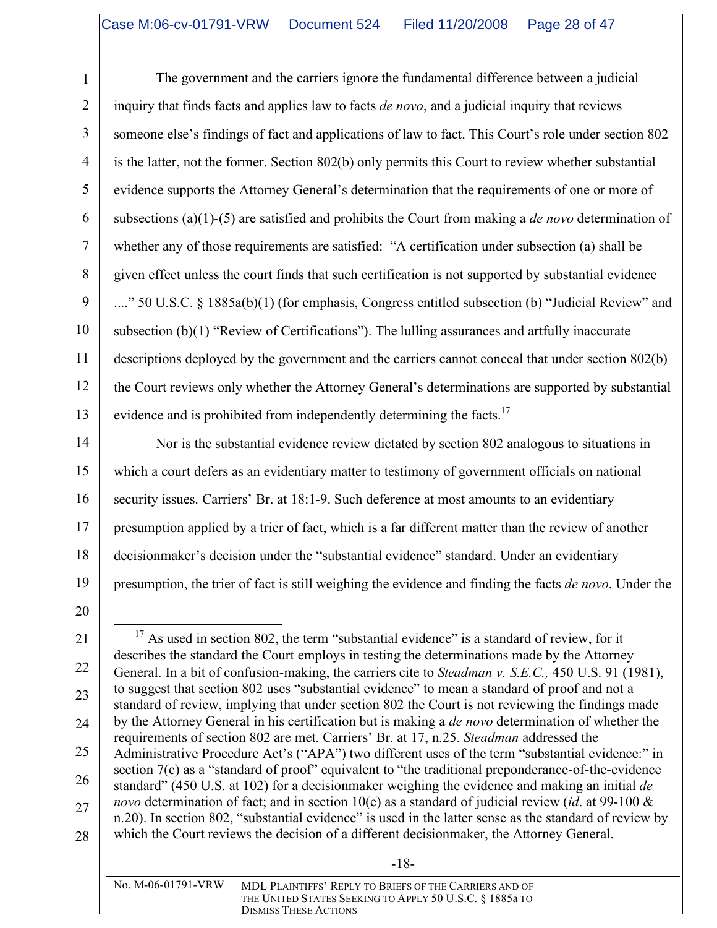The government and the carriers ignore the fundamental difference between a judicial inquiry that finds facts and applies law to facts *de novo*, and a judicial inquiry that reviews someone else's findings of fact and applications of law to fact. This Court's role under section 802 is the latter, not the former. Section 802(b) only permits this Court to review whether substantial evidence supports the Attorney General's determination that the requirements of one or more of subsections (a)(1)-(5) are satisfied and prohibits the Court from making a *de novo* determination of whether any of those requirements are satisfied: "A certification under subsection (a) shall be given effect unless the court finds that such certification is not supported by substantial evidence ...." 50 U.S.C. § 1885a(b)(1) (for emphasis, Congress entitled subsection (b) "Judicial Review" and subsection (b)(1) "Review of Certifications"). The lulling assurances and artfully inaccurate descriptions deployed by the government and the carriers cannot conceal that under section 802(b) the Court reviews only whether the Attorney General's determinations are supported by substantial evidence and is prohibited from independently determining the facts.<sup>17</sup>

14 15 16 17 18 19 Nor is the substantial evidence review dictated by section 802 analogous to situations in which a court defers as an evidentiary matter to testimony of government officials on national security issues. Carriers' Br. at 18:1-9. Such deference at most amounts to an evidentiary presumption applied by a trier of fact, which is a far different matter than the review of another decisionmaker's decision under the "substantial evidence" standard. Under an evidentiary presumption, the trier of fact is still weighing the evidence and finding the facts *de novo*. Under the

20

1

2

3

4

5

6

7

8

9

10

11

12

13

<sup>21</sup> 22 23 24 25 26 27 28 <sup>17</sup> As used in section 802, the term "substantial evidence" is a standard of review, for it describes the standard the Court employs in testing the determinations made by the Attorney General. In a bit of confusion-making, the carriers cite to *Steadman v. S.E.C.,* 450 U.S. 91 (1981), to suggest that section 802 uses "substantial evidence" to mean a standard of proof and not a standard of review, implying that under section 802 the Court is not reviewing the findings made by the Attorney General in his certification but is making a *de novo* determination of whether the requirements of section 802 are met. Carriers' Br. at 17, n.25. *Steadman* addressed the Administrative Procedure Act's ("APA") two different uses of the term "substantial evidence:" in section 7(c) as a "standard of proof" equivalent to "the traditional preponderance-of-the-evidence standard" (450 U.S. at 102) for a decisionmaker weighing the evidence and making an initial *de novo* determination of fact; and in section 10(e) as a standard of judicial review (*id*. at 99-100 & n.20). In section 802, "substantial evidence" is used in the latter sense as the standard of review by which the Court reviews the decision of a different decisionmaker, the Attorney General.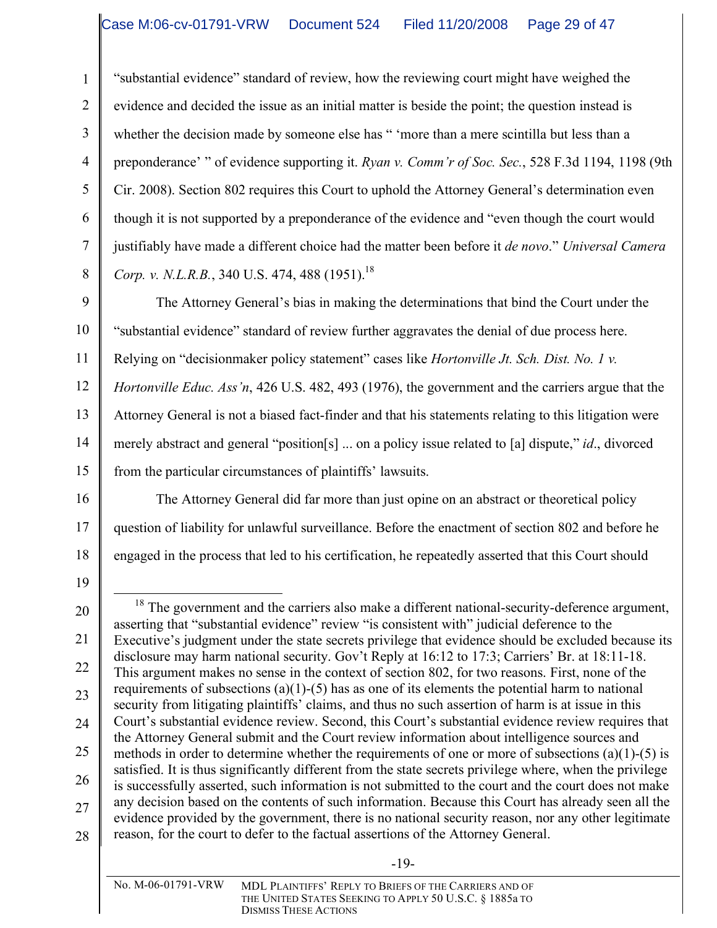"substantial evidence" standard of review, how the reviewing court might have weighed the evidence and decided the issue as an initial matter is beside the point; the question instead is whether the decision made by someone else has " 'more than a mere scintilla but less than a preponderance' " of evidence supporting it. *Ryan v. Comm'r of Soc. Sec.*, 528 F.3d 1194, 1198 (9th Cir. 2008). Section 802 requires this Court to uphold the Attorney General's determination even though it is not supported by a preponderance of the evidence and "even though the court would justifiably have made a different choice had the matter been before it *de novo*." *Universal Camera Corp. v. N.L.R.B.*, 340 U.S. 474, 488 (1951). 18

9 10 11 12 13 14 15 The Attorney General's bias in making the determinations that bind the Court under the "substantial evidence" standard of review further aggravates the denial of due process here. Relying on "decisionmaker policy statement" cases like *Hortonville Jt. Sch. Dist. No. 1 v. Hortonville Educ. Ass'n*, 426 U.S. 482, 493 (1976), the government and the carriers argue that the Attorney General is not a biased fact-finder and that his statements relating to this litigation were merely abstract and general "position[s] ... on a policy issue related to [a] dispute," *id*., divorced from the particular circumstances of plaintiffs' lawsuits.

The Attorney General did far more than just opine on an abstract or theoretical policy

question of liability for unlawful surveillance. Before the enactment of section 802 and before he

engaged in the process that led to his certification, he repeatedly asserted that this Court should

16 17

1

2

3

4

5

6

7

8

18

19 20

21

22

23

24

25

26

27

28

-19-

 $18$  The government and the carriers also make a different national-security-deference argument, asserting that "substantial evidence" review "is consistent with" judicial deference to the Executive's judgment under the state secrets privilege that evidence should be excluded because its disclosure may harm national security. Gov't Reply at 16:12 to 17:3; Carriers' Br. at 18:11-18. This argument makes no sense in the context of section 802, for two reasons. First, none of the requirements of subsections (a)(1)-(5) has as one of its elements the potential harm to national security from litigating plaintiffs' claims, and thus no such assertion of harm is at issue in this Court's substantial evidence review. Second, this Court's substantial evidence review requires that the Attorney General submit and the Court review information about intelligence sources and methods in order to determine whether the requirements of one or more of subsections (a)(1)-(5) is satisfied. It is thus significantly different from the state secrets privilege where, when the privilege is successfully asserted, such information is not submitted to the court and the court does not make any decision based on the contents of such information. Because this Court has already seen all the evidence provided by the government, there is no national security reason, nor any other legitimate reason, for the court to defer to the factual assertions of the Attorney General.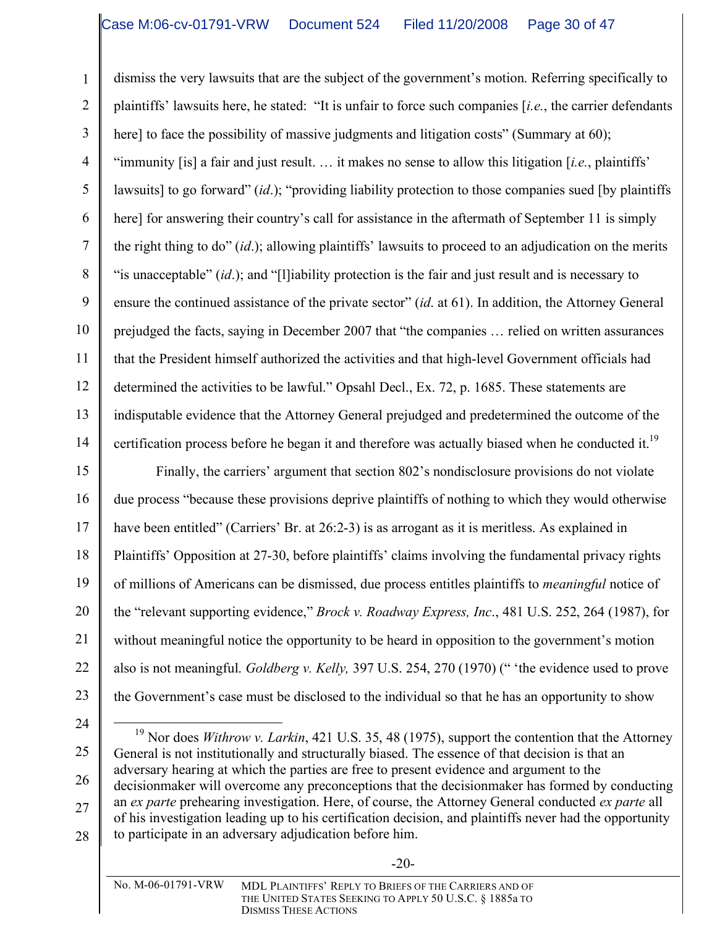1 2 3 4 5 6 7 8 9 10 11 12 13 14 dismiss the very lawsuits that are the subject of the government's motion. Referring specifically to plaintiffs' lawsuits here, he stated: "It is unfair to force such companies [*i.e.*, the carrier defendants here] to face the possibility of massive judgments and litigation costs" (Summary at 60); "immunity [is] a fair and just result. … it makes no sense to allow this litigation [*i.e.*, plaintiffs' lawsuits] to go forward" (*id*.); "providing liability protection to those companies sued [by plaintiffs here] for answering their country's call for assistance in the aftermath of September 11 is simply the right thing to do" (*id*.); allowing plaintiffs' lawsuits to proceed to an adjudication on the merits "is unacceptable" (*id*.); and "[l]iability protection is the fair and just result and is necessary to ensure the continued assistance of the private sector" (*id*. at 61). In addition, the Attorney General prejudged the facts, saying in December 2007 that "the companies … relied on written assurances that the President himself authorized the activities and that high-level Government officials had determined the activities to be lawful." Opsahl Decl., Ex. 72, p. 1685. These statements are indisputable evidence that the Attorney General prejudged and predetermined the outcome of the certification process before he began it and therefore was actually biased when he conducted it.<sup>19</sup>

15 16 17 18 19 20 21 22 23 Finally, the carriers' argument that section 802's nondisclosure provisions do not violate due process "because these provisions deprive plaintiffs of nothing to which they would otherwise have been entitled" (Carriers' Br. at 26:2-3) is as arrogant as it is meritless. As explained in Plaintiffs' Opposition at 27-30, before plaintiffs' claims involving the fundamental privacy rights of millions of Americans can be dismissed, due process entitles plaintiffs to *meaningful* notice of the "relevant supporting evidence," *Brock v. Roadway Express, Inc*., 481 U.S. 252, 264 (1987), for without meaningful notice the opportunity to be heard in opposition to the government's motion also is not meaningful. *Goldberg v. Kelly,* 397 U.S. 254, 270 (1970) (" 'the evidence used to prove the Government's case must be disclosed to the individual so that he has an opportunity to show

24 25 26 27 28 19 Nor does *Withrow v. Larkin*, 421 U.S. 35, <sup>48</sup> (1975), support the contention that the Attorney General is not institutionally and structurally biased. The essence of that decision is that an adversary hearing at which the parties are free to present evidence and argument to the decisionmaker will overcome any preconceptions that the decisionmaker has formed by conducting an *ex parte* prehearing investigation. Here, of course, the Attorney General conducted *ex parte* all of his investigation leading up to his certification decision, and plaintiffs never had the opportunity to participate in an adversary adjudication before him.

-20-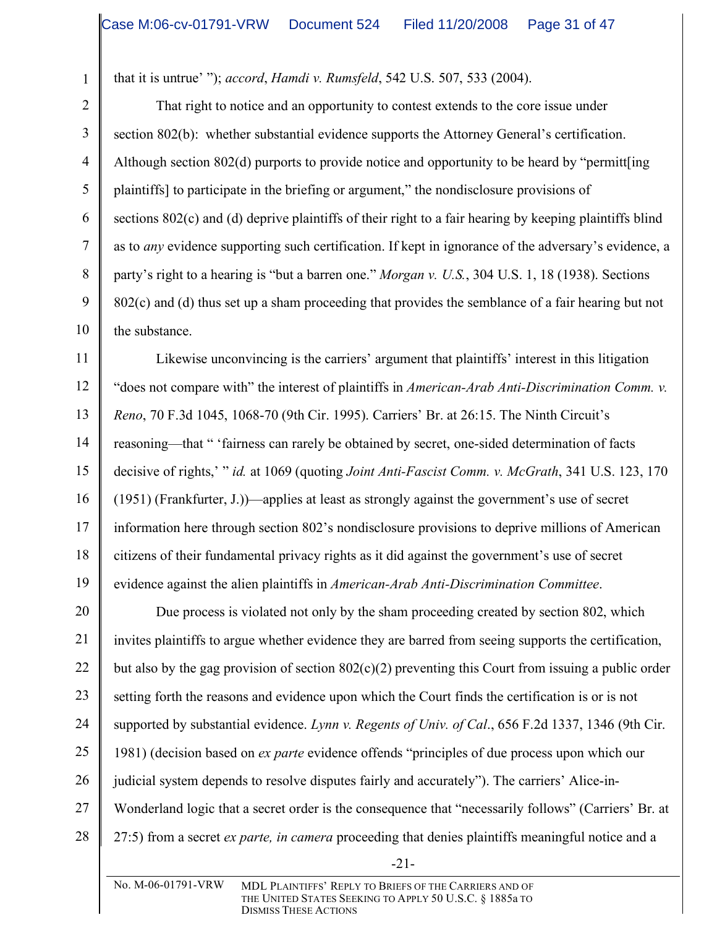that it is untrue' "); *accord*, *Hamdi v. Rumsfeld*, 542 U.S. 507, 533 (2004).

1

2

3

4

5

6

7

8

9

10

That right to notice and an opportunity to contest extends to the core issue under section 802(b): whether substantial evidence supports the Attorney General's certification. Although section 802(d) purports to provide notice and opportunity to be heard by "permitt[ing plaintiffs] to participate in the briefing or argument," the nondisclosure provisions of sections 802(c) and (d) deprive plaintiffs of their right to a fair hearing by keeping plaintiffs blind as to *any* evidence supporting such certification. If kept in ignorance of the adversary's evidence, a party's right to a hearing is "but a barren one." *Morgan v. U.S.*, 304 U.S. 1, 18 (1938). Sections 802(c) and (d) thus set up a sham proceeding that provides the semblance of a fair hearing but not the substance.

11 12 13 14 15 16 17 18 19 Likewise unconvincing is the carriers' argument that plaintiffs' interest in this litigation "does not compare with" the interest of plaintiffs in *American-Arab Anti-Discrimination Comm. v. Reno*, 70 F.3d 1045, 1068-70 (9th Cir. 1995). Carriers' Br. at 26:15. The Ninth Circuit's reasoning—that " 'fairness can rarely be obtained by secret, one-sided determination of facts decisive of rights,' " *id.* at 1069 (quoting *Joint Anti-Fascist Comm. v. McGrath*, 341 U.S. 123, 170 (1951) (Frankfurter, J.))—applies at least as strongly against the government's use of secret information here through section 802's nondisclosure provisions to deprive millions of American citizens of their fundamental privacy rights as it did against the government's use of secret evidence against the alien plaintiffs in *American-Arab Anti-Discrimination Committee*.

20 21 22 23 24 25 26 27 28 Due process is violated not only by the sham proceeding created by section 802, which invites plaintiffs to argue whether evidence they are barred from seeing supports the certification, but also by the gag provision of section  $802(c)(2)$  preventing this Court from issuing a public order setting forth the reasons and evidence upon which the Court finds the certification is or is not supported by substantial evidence. *Lynn v. Regents of Univ. of Cal*., 656 F.2d 1337, 1346 (9th Cir. 1981) (decision based on *ex parte* evidence offends "principles of due process upon which our judicial system depends to resolve disputes fairly and accurately"). The carriers' Alice-in-Wonderland logic that a secret order is the consequence that "necessarily follows" (Carriers' Br. at 27:5) from a secret *ex parte, in camera* proceeding that denies plaintiffs meaningful notice and a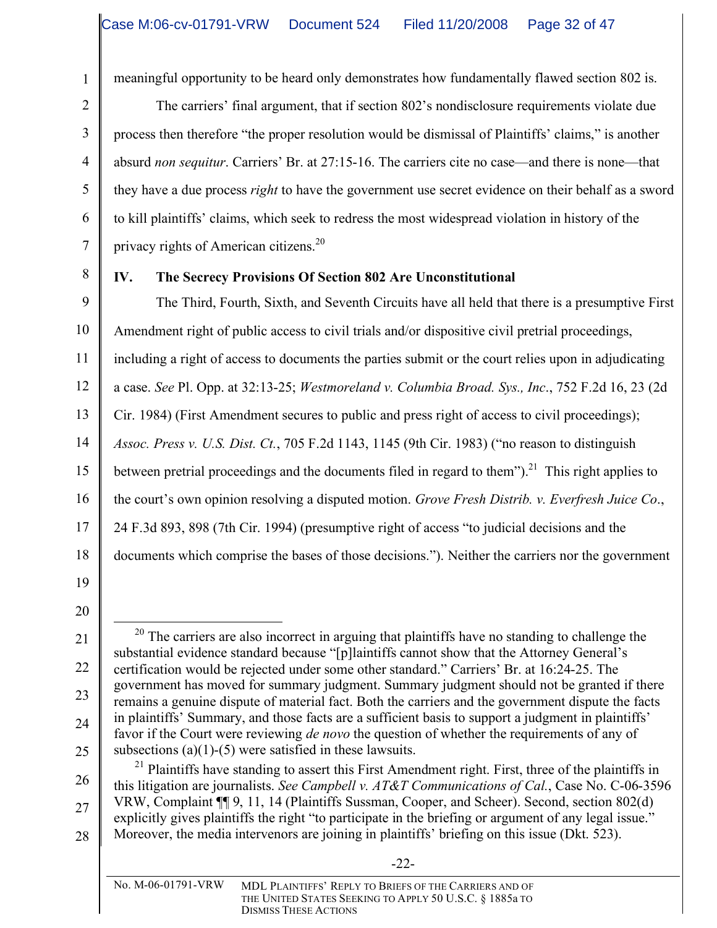meaningful opportunity to be heard only demonstrates how fundamentally flawed section 802 is.

The carriers' final argument, that if section 802's nondisclosure requirements violate due process then therefore "the proper resolution would be dismissal of Plaintiffs' claims," is another absurd *non sequitur*. Carriers' Br. at 27:15-16. The carriers cite no case—and there is none—that they have a due process *right* to have the government use secret evidence on their behalf as a sword to kill plaintiffs' claims, which seek to redress the most widespread violation in history of the privacy rights of American citizens.<sup>20</sup>

8

1

2

3

4

5

6

7

# **IV. The Secrecy Provisions Of Section 802 Are Unconstitutional**

9 10 11 12 13 14 15 16 17 18 The Third, Fourth, Sixth, and Seventh Circuits have all held that there is a presumptive First Amendment right of public access to civil trials and/or dispositive civil pretrial proceedings, including a right of access to documents the parties submit or the court relies upon in adjudicating a case. *See* Pl. Opp. at 32:13-25; *Westmoreland v. Columbia Broad. Sys., Inc*., 752 F.2d 16, 23 (2d Cir. 1984) (First Amendment secures to public and press right of access to civil proceedings); *Assoc. Press v. U.S. Dist. Ct.*, 705 F.2d 1143, 1145 (9th Cir. 1983) ("no reason to distinguish between pretrial proceedings and the documents filed in regard to them").<sup>21</sup> This right applies to the court's own opinion resolving a disputed motion. *Grove Fresh Distrib. v. Everfresh Juice Co*., 24 F.3d 893, 898 (7th Cir. 1994) (presumptive right of access "to judicial decisions and the documents which comprise the bases of those decisions."). Neither the carriers nor the government

- 19
- 20

21

22

23

24

25

26 27 28 <sup>21</sup> Plaintiffs have standing to assert this First Amendment right. First, three of the plaintiffs in this litigation are journalists. *See Campbell v. AT&T Communications of Cal.*, Case No. C-06-3596 VRW, Complaint ¶¶ 9, 11, 14 (Plaintiffs Sussman, Cooper, and Scheer). Second, section 802(d) explicitly gives plaintiffs the right "to participate in the briefing or argument of any legal issue." Moreover, the media intervenors are joining in plaintiffs' briefing on this issue (Dkt. 523).

 $20$  The carriers are also incorrect in arguing that plaintiffs have no standing to challenge the substantial evidence standard because "[p]laintiffs cannot show that the Attorney General's certification would be rejected under some other standard." Carriers' Br. at 16:24-25. The government has moved for summary judgment. Summary judgment should not be granted if there remains a genuine dispute of material fact. Both the carriers and the government dispute the facts in plaintiffs' Summary, and those facts are a sufficient basis to support a judgment in plaintiffs' favor if the Court were reviewing *de novo* the question of whether the requirements of any of subsections (a)(1)-(5) were satisfied in these lawsuits.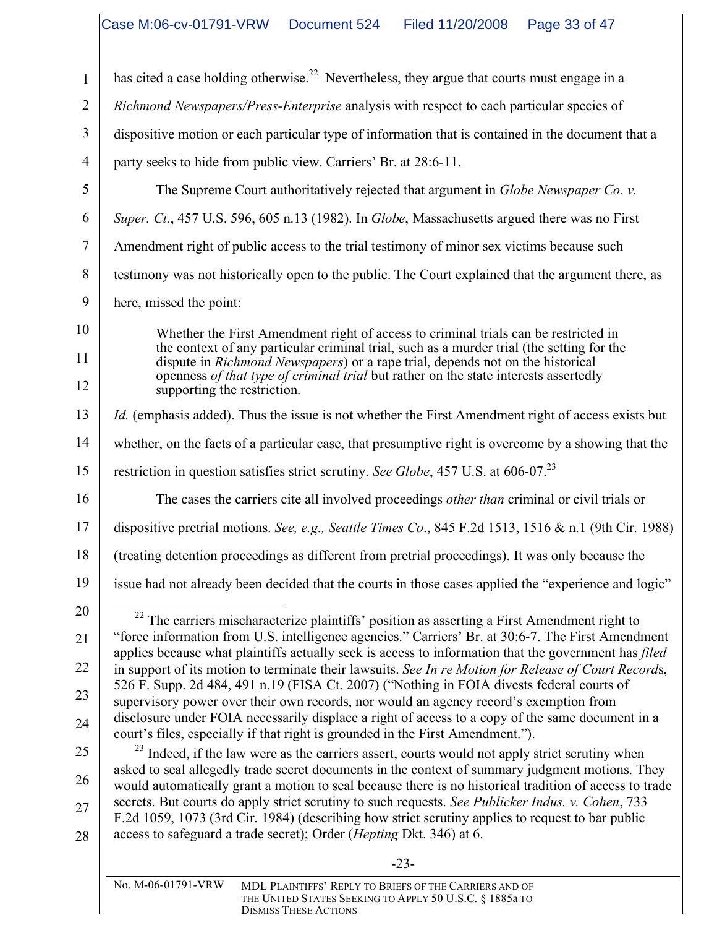-23- No. M-06-01791-VRW MDL PLAINTIFFS' REPLY TO BRIEFS OF THE CARRIERS AND OF 1 2 3 4 5 6 7 8 9 10 11 12 13 14 15 16 17 18 19 20 21 22 23 24 25 26 27 28 has cited a case holding otherwise.<sup>22</sup> Nevertheless, they argue that courts must engage in a *Richmond Newspapers/Press-Enterprise* analysis with respect to each particular species of dispositive motion or each particular type of information that is contained in the document that a party seeks to hide from public view. Carriers' Br. at 28:6-11. The Supreme Court authoritatively rejected that argument in *Globe Newspaper Co. v. Super. Ct.*, 457 U.S. 596, 605 n.13 (1982). In *Globe*, Massachusetts argued there was no First Amendment right of public access to the trial testimony of minor sex victims because such testimony was not historically open to the public. The Court explained that the argument there, as here, missed the point: Whether the First Amendment right of access to criminal trials can be restricted in the context of any particular criminal trial, such as a murder trial (the setting for the dispute in *Richmond Newspapers*) or a rape trial, depends not on the historical openness *of that type of criminal trial* but rather on the state interests assertedly supporting the restriction. *Id.* (emphasis added). Thus the issue is not whether the First Amendment right of access exists but whether, on the facts of a particular case, that presumptive right is overcome by a showing that the restriction in question satisfies strict scrutiny. *See Globe*, 457 U.S. at 606-07. 23 The cases the carriers cite all involved proceedings *other than* criminal or civil trials or dispositive pretrial motions. *See, e.g., Seattle Times Co*., 845 F.2d 1513, 1516 & n.1 (9th Cir. 1988) (treating detention proceedings as different from pretrial proceedings). It was only because the issue had not already been decided that the courts in those cases applied the "experience and logic"  $^{22}$  The carriers mischaracterize plaintiffs' position as asserting a First Amendment right to "force information from U.S. intelligence agencies." Carriers' Br. at 30:6-7. The First Amendment applies because what plaintiffs actually seek is access to information that the government has *filed* in support of its motion to terminate their lawsuits. *See In re Motion for Release of Court Record*s, 526 F. Supp. 2d 484, 491 n.19 (FISA Ct. 2007) ("Nothing in FOIA divests federal courts of supervisory power over their own records, nor would an agency record's exemption from disclosure under FOIA necessarily displace a right of access to a copy of the same document in a court's files, especially if that right is grounded in the First Amendment."). <sup>23</sup> Indeed, if the law were as the carriers assert, courts would not apply strict scrutiny when asked to seal allegedly trade secret documents in the context of summary judgment motions. They would automatically grant a motion to seal because there is no historical tradition of access to trade secrets. But courts do apply strict scrutiny to such requests. *See Publicker Indus. v. Cohen*, 733 F.2d 1059, 1073 (3rd Cir. 1984) (describing how strict scrutiny applies to request to bar public access to safeguard a trade secret); Order (*Hepting* Dkt. 346) at 6.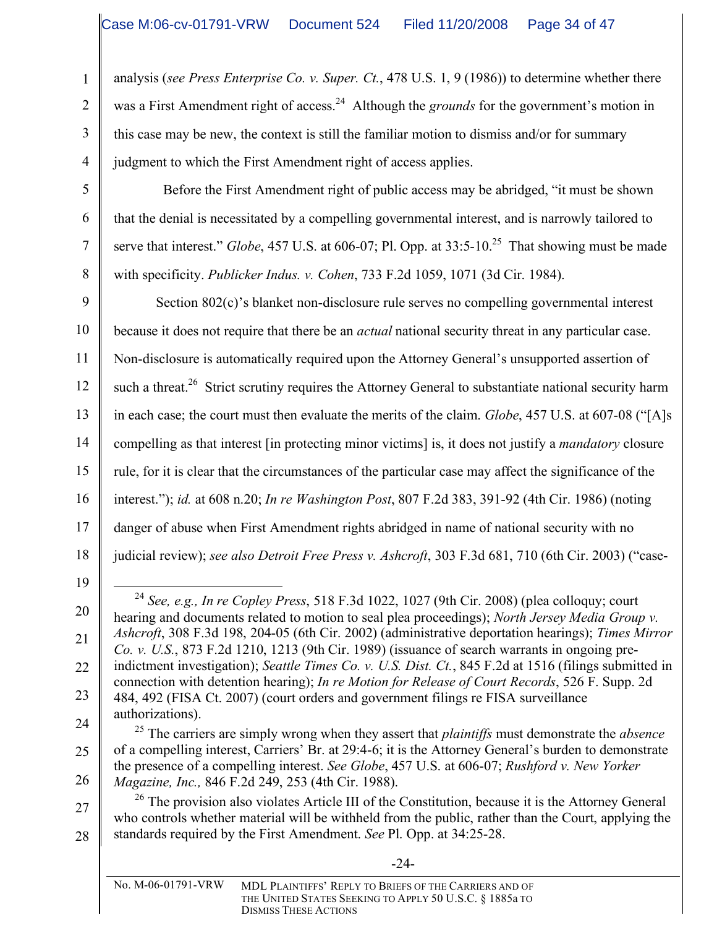analysis (*see Press Enterprise Co. v. Super. Ct.*, 478 U.S. 1, 9 (1986)) to determine whether there was a First Amendment right of access.<sup>24</sup> Although the *grounds* for the government's motion in this case may be new, the context is still the familiar motion to dismiss and/or for summary judgment to which the First Amendment right of access applies.

Before the First Amendment right of public access may be abridged, "it must be shown that the denial is necessitated by a compelling governmental interest, and is narrowly tailored to serve that interest." *Globe*, 457 U.S. at 606-07; Pl. Opp. at 33:5-10.<sup>25</sup> That showing must be made with specificity. *Publicker Indus. v. Cohen*, 733 F.2d 1059, 1071 (3d Cir. 1984).

9 10 11 12 13 14 15 16 17 18 Section 802(c)'s blanket non-disclosure rule serves no compelling governmental interest because it does not require that there be an *actual* national security threat in any particular case. Non-disclosure is automatically required upon the Attorney General's unsupported assertion of such a threat.<sup>26</sup> Strict scrutiny requires the Attorney General to substantiate national security harm in each case; the court must then evaluate the merits of the claim. *Globe*, 457 U.S. at 607-08 ("[A]s compelling as that interest [in protecting minor victims] is, it does not justify a *mandatory* closure rule, for it is clear that the circumstances of the particular case may affect the significance of the interest."); *id.* at 608 n.20; *In re Washington Post*, 807 F.2d 383, 391-92 (4th Cir. 1986) (noting danger of abuse when First Amendment rights abridged in name of national security with no judicial review); *see also Detroit Free Press v. Ashcroft*, 303 F.3d 681, 710 (6th Cir. 2003) ("case-

20

21

22

23

27

28

1

2

3

4

5

6

7

8

<sup>19</sup>

 <sup>24</sup> *See, e.g., In re Copley Press*, 518 F.3d 1022, <sup>1027</sup> (9th Cir. 2008) (plea colloquy; court hearing and documents related to motion to seal plea proceedings); *North Jersey Media Group v. Ashcroft*, 308 F.3d 198, 204-05 (6th Cir. 2002) (administrative deportation hearings); *Times Mirror Co. v. U.S.*, 873 F.2d 1210, 1213 (9th Cir. 1989) (issuance of search warrants in ongoing preindictment investigation); *Seattle Times Co. v. U.S. Dist. Ct.*, 845 F.2d at 1516 (filings submitted in connection with detention hearing); *In re Motion for Release of Court Records*, 526 F. Supp. 2d 484, 492 (FISA Ct. 2007) (court orders and government filings re FISA surveillance authorizations).

<sup>24</sup> 25 26 <sup>25</sup> The carriers are simply wrong when they assert that *plaintiffs* must demonstrate the *absence* of a compelling interest, Carriers' Br. at 29:4-6; it is the Attorney General's burden to demonstrate the presence of a compelling interest. *See Globe*, 457 U.S. at 606-07; *Rushford v. New Yorker Magazine, Inc.,* 846 F.2d 249, 253 (4th Cir. 1988).

<sup>&</sup>lt;sup>26</sup> The provision also violates Article III of the Constitution, because it is the Attorney General who controls whether material will be withheld from the public, rather than the Court, applying the standards required by the First Amendment. *See* Pl. Opp. at 34:25-28.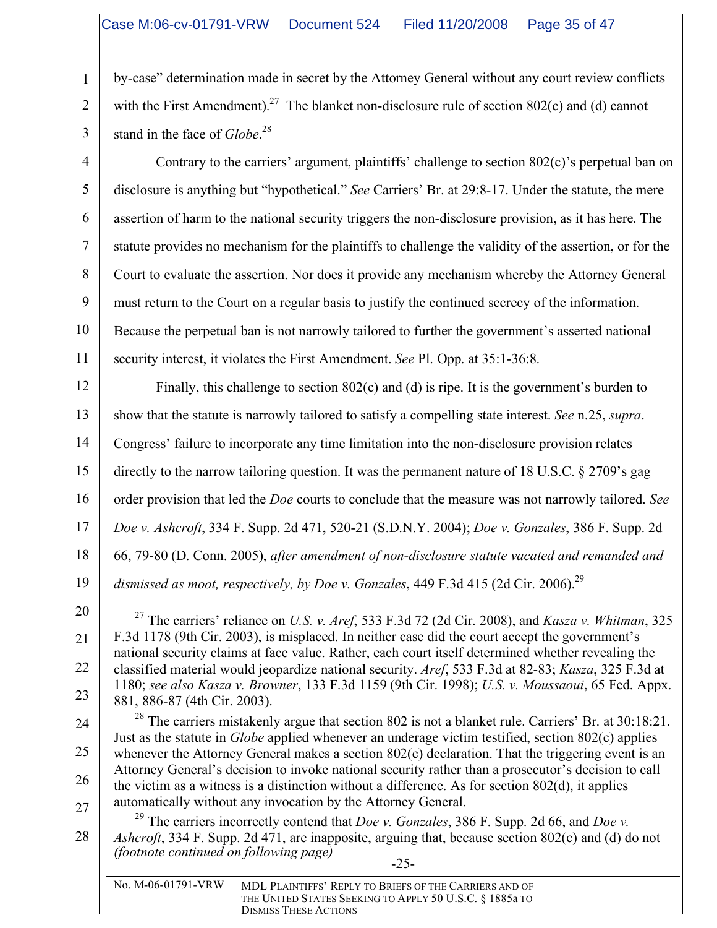by-case" determination made in secret by the Attorney General without any court review conflicts with the First Amendment).<sup>27</sup> The blanket non-disclosure rule of section 802(c) and (d) cannot stand in the face of *Globe*. 28

Contrary to the carriers' argument, plaintiffs' challenge to section 802(c)'s perpetual ban on disclosure is anything but "hypothetical." *See* Carriers' Br. at 29:8-17. Under the statute, the mere assertion of harm to the national security triggers the non-disclosure provision, as it has here. The statute provides no mechanism for the plaintiffs to challenge the validity of the assertion, or for the Court to evaluate the assertion. Nor does it provide any mechanism whereby the Attorney General must return to the Court on a regular basis to justify the continued secrecy of the information. Because the perpetual ban is not narrowly tailored to further the government's asserted national security interest, it violates the First Amendment. *See* Pl. Opp. at 35:1-36:8.

12 13 14 15 16 17 18 19 Finally, this challenge to section 802(c) and (d) is ripe. It is the government's burden to show that the statute is narrowly tailored to satisfy a compelling state interest. *See* n.25, *supra*. Congress' failure to incorporate any time limitation into the non-disclosure provision relates directly to the narrow tailoring question. It was the permanent nature of 18 U.S.C. § 2709's gag order provision that led the *Doe* courts to conclude that the measure was not narrowly tailored. *See Doe v. Ashcroft*, 334 F. Supp. 2d 471, 520-21 (S.D.N.Y. 2004); *Doe v. Gonzales*, 386 F. Supp. 2d 66, 79-80 (D. Conn. 2005), *after amendment of non-disclosure statute vacated and remanded and dismissed as moot, respectively, by Doe v. Gonzales*, 449 F.3d 415 (2d Cir. 2006). 29

22

23

24

25

26

27

1

2

3

4

5

6

7

8

9

10

11

-25- 28 <sup>29</sup> The carriers incorrectly contend that *Doe v. Gonzales*, 386 F. Supp. 2d 66, and *Doe v. Ashcroft*, 334 F. Supp. 2d 471, are inapposite, arguing that, because section 802(c) and (d) do not *(footnote continued on following page)*

<sup>20</sup> 21

 <sup>27</sup> The carriers' reliance on *U.S. v. Aref*, <sup>533</sup> F.3d <sup>72</sup> (2d Cir. 2008), and *Kasza v. Whitman*, <sup>325</sup> F.3d 1178 (9th Cir. 2003), is misplaced. In neither case did the court accept the government's national security claims at face value. Rather, each court itself determined whether revealing the classified material would jeopardize national security. *Aref*, 533 F.3d at 82-83; *Kasza*, 325 F.3d at 1180; *see also Kasza v. Browner*, 133 F.3d 1159 (9th Cir. 1998); *U.S. v. Moussaoui*, 65 Fed. Appx. 881, 886-87 (4th Cir. 2003).

 $28$  The carriers mistakenly argue that section 802 is not a blanket rule. Carriers' Br. at 30:18:21. Just as the statute in *Globe* applied whenever an underage victim testified, section 802(c) applies whenever the Attorney General makes a section 802(c) declaration. That the triggering event is an Attorney General's decision to invoke national security rather than a prosecutor's decision to call the victim as a witness is a distinction without a difference. As for section 802(d), it applies automatically without any invocation by the Attorney General.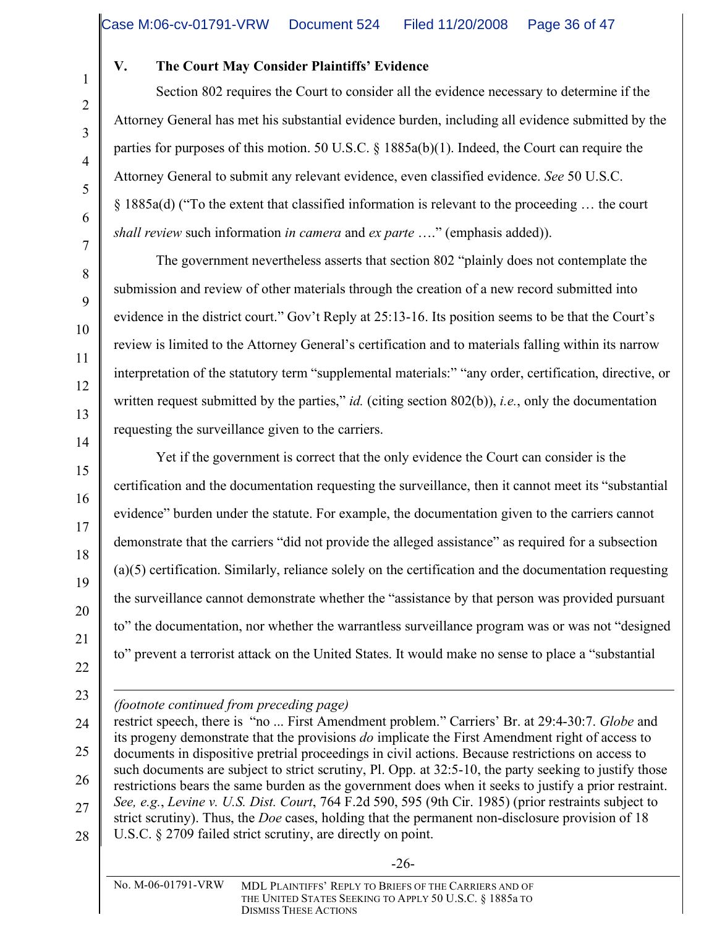# **V. The Court May Consider Plaintiffs' Evidence**

Section 802 requires the Court to consider all the evidence necessary to determine if the Attorney General has met his substantial evidence burden, including all evidence submitted by the parties for purposes of this motion. 50 U.S.C. § 1885a(b)(1). Indeed, the Court can require the Attorney General to submit any relevant evidence, even classified evidence. *See* 50 U.S.C. § 1885a(d) ("To the extent that classified information is relevant to the proceeding … the court *shall review* such information *in camera* and *ex parte* …." (emphasis added)).

The government nevertheless asserts that section 802 "plainly does not contemplate the submission and review of other materials through the creation of a new record submitted into evidence in the district court." Gov't Reply at 25:13-16. Its position seems to be that the Court's review is limited to the Attorney General's certification and to materials falling within its narrow interpretation of the statutory term "supplemental materials:" "any order, certification, directive, or written request submitted by the parties," *id.* (citing section 802(b)), *i.e.*, only the documentation requesting the surveillance given to the carriers.

Yet if the government is correct that the only evidence the Court can consider is the certification and the documentation requesting the surveillance, then it cannot meet its "substantial evidence" burden under the statute. For example, the documentation given to the carriers cannot demonstrate that the carriers "did not provide the alleged assistance" as required for a subsection (a)(5) certification. Similarly, reliance solely on the certification and the documentation requesting the surveillance cannot demonstrate whether the "assistance by that person was provided pursuant to" the documentation, nor whether the warrantless surveillance program was or was not "designed to" prevent a terrorist attack on the United States. It would make no sense to place a "substantial

 $\overline{a}$ *(footnote continued from preceding page)*

restrict speech, there is "no ... First Amendment problem." Carriers' Br. at 29:4-30:7. *Globe* and its progeny demonstrate that the provisions *do* implicate the First Amendment right of access to documents in dispositive pretrial proceedings in civil actions. Because restrictions on access to such documents are subject to strict scrutiny, Pl. Opp. at 32:5-10, the party seeking to justify those restrictions bears the same burden as the government does when it seeks to justify a prior restraint. *See, e.g.*, *Levine v. U.S. Dist. Court*, 764 F.2d 590, 595 (9th Cir. 1985) (prior restraints subject to strict scrutiny). Thus, the *Doe* cases, holding that the permanent non-disclosure provision of 18 U.S.C. § 2709 failed strict scrutiny, are directly on point.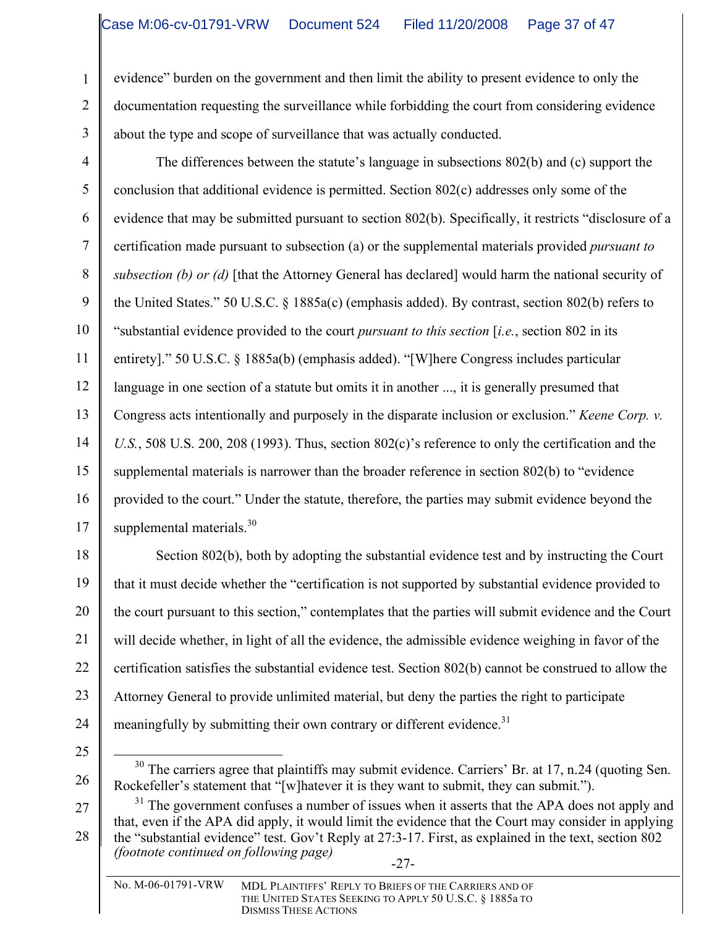evidence" burden on the government and then limit the ability to present evidence to only the documentation requesting the surveillance while forbidding the court from considering evidence about the type and scope of surveillance that was actually conducted.

4 5 6 7 8 9 10 11 12 13 14 15 16 17 The differences between the statute's language in subsections 802(b) and (c) support the conclusion that additional evidence is permitted. Section 802(c) addresses only some of the evidence that may be submitted pursuant to section 802(b). Specifically, it restricts "disclosure of a certification made pursuant to subsection (a) or the supplemental materials provided *pursuant to subsection (b) or (d)* [that the Attorney General has declared] would harm the national security of the United States." 50 U.S.C. § 1885a(c) (emphasis added). By contrast, section 802(b) refers to "substantial evidence provided to the court *pursuant to this section* [*i.e.*, section 802 in its entirety]." 50 U.S.C. § 1885a(b) (emphasis added). "[W]here Congress includes particular language in one section of a statute but omits it in another ..., it is generally presumed that Congress acts intentionally and purposely in the disparate inclusion or exclusion." *Keene Corp. v. U.S.*, 508 U.S. 200, 208 (1993). Thus, section 802(c)'s reference to only the certification and the supplemental materials is narrower than the broader reference in section 802(b) to "evidence provided to the court." Under the statute, therefore, the parties may submit evidence beyond the supplemental materials.<sup>30</sup>

18 19 20 21 22 23 24 Section 802(b), both by adopting the substantial evidence test and by instructing the Court that it must decide whether the "certification is not supported by substantial evidence provided to the court pursuant to this section," contemplates that the parties will submit evidence and the Court will decide whether, in light of all the evidence, the admissible evidence weighing in favor of the certification satisfies the substantial evidence test. Section 802(b) cannot be construed to allow the Attorney General to provide unlimited material, but deny the parties the right to participate meaningfully by submitting their own contrary or different evidence.<sup>31</sup>

25

26

1

2

3

 $30$  The carriers agree that plaintiffs may submit evidence. Carriers' Br. at 17, n.24 (quoting Sen.) Rockefeller's statement that "[w]hatever it is they want to submit, they can submit.").

-27- 27 28  $31$  The government confuses a number of issues when it asserts that the APA does not apply and that, even if the APA did apply, it would limit the evidence that the Court may consider in applying the "substantial evidence" test. Gov't Reply at 27:3-17. First, as explained in the text, section 802 *(footnote continued on following page)*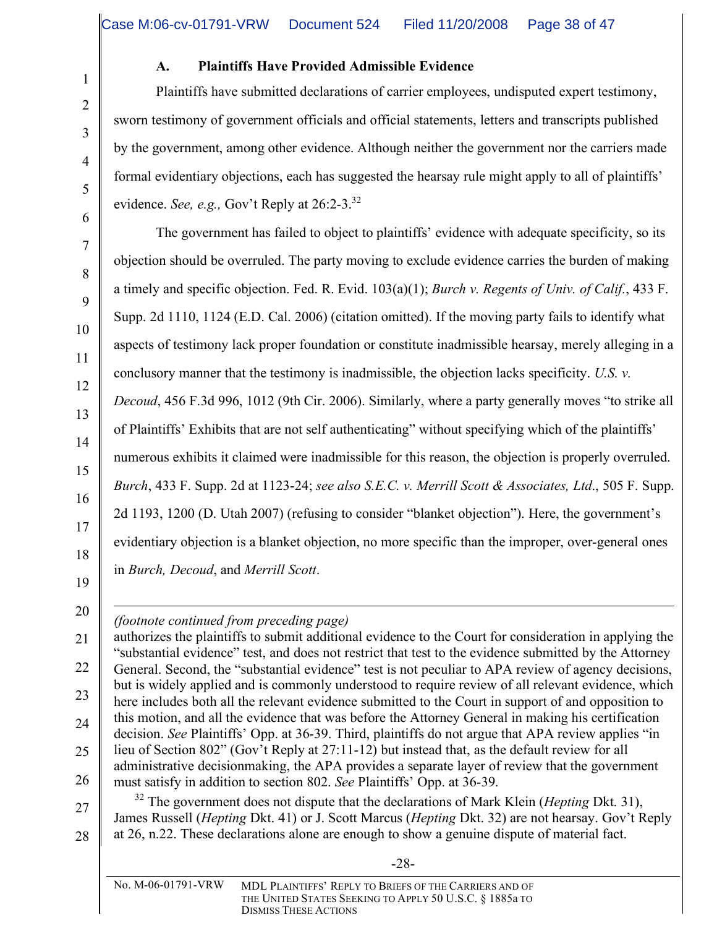#### **A. Plaintiffs Have Provided Admissible Evidence**

Plaintiffs have submitted declarations of carrier employees, undisputed expert testimony, sworn testimony of government officials and official statements, letters and transcripts published by the government, among other evidence. Although neither the government nor the carriers made formal evidentiary objections, each has suggested the hearsay rule might apply to all of plaintiffs' evidence. *See, e.g.,* Gov't Reply at 26:2-3. 32

The government has failed to object to plaintiffs' evidence with adequate specificity, so its objection should be overruled. The party moving to exclude evidence carries the burden of making a timely and specific objection. Fed. R. Evid. 103(a)(1); *Burch v. Regents of Univ. of Calif.*, 433 F. Supp. 2d 1110, 1124 (E.D. Cal. 2006) (citation omitted). If the moving party fails to identify what aspects of testimony lack proper foundation or constitute inadmissible hearsay, merely alleging in a conclusory manner that the testimony is inadmissible, the objection lacks specificity. *U.S. v. Decoud*, 456 F.3d 996, 1012 (9th Cir. 2006). Similarly, where a party generally moves "to strike all of Plaintiffs' Exhibits that are not self authenticating" without specifying which of the plaintiffs' numerous exhibits it claimed were inadmissible for this reason, the objection is properly overruled. *Burch*, 433 F. Supp. 2d at 1123-24; *see also S.E.C. v. Merrill Scott & Associates, Ltd*., 505 F. Supp. 2d 1193, 1200 (D. Utah 2007) (refusing to consider "blanket objection"). Here, the government's evidentiary objection is a blanket objection, no more specific than the improper, over-general ones in *Burch, Decoud*, and *Merrill Scott*.

*(footnote continued from preceding page)*

authorizes the plaintiffs to submit additional evidence to the Court for consideration in applying the "substantial evidence" test, and does not restrict that test to the evidence submitted by the Attorney General. Second, the "substantial evidence" test is not peculiar to APA review of agency decisions, but is widely applied and is commonly understood to require review of all relevant evidence, which here includes both all the relevant evidence submitted to the Court in support of and opposition to this motion, and all the evidence that was before the Attorney General in making his certification decision. *See* Plaintiffs' Opp. at 36-39. Third, plaintiffs do not argue that APA review applies "in lieu of Section 802" (Gov't Reply at 27:11-12) but instead that, as the default review for all administrative decisionmaking, the APA provides a separate layer of review that the government must satisfy in addition to section 802. *See* Plaintiffs' Opp. at 36-39.

<sup>32</sup> The government does not dispute that the declarations of Mark Klein (*Hepting Dkt.* 31), James Russell (*Hepting* Dkt. 41) or J. Scott Marcus (*Hepting* Dkt. 32) are not hearsay. Gov't Reply at 26, n.22. These declarations alone are enough to show a genuine dispute of material fact.

 $\overline{a}$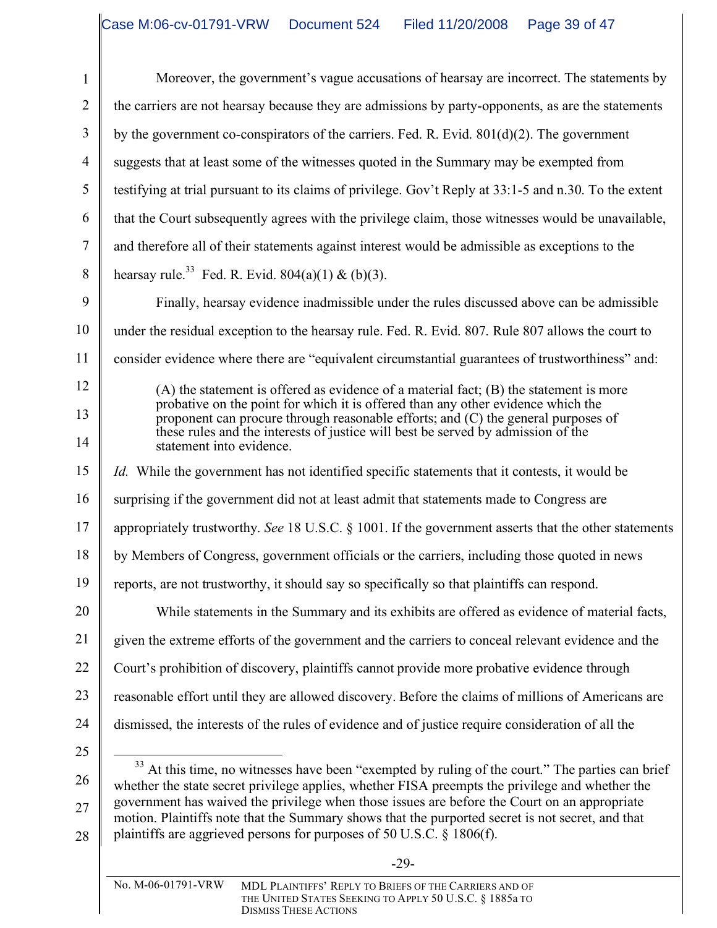Moreover, the government's vague accusations of hearsay are incorrect. The statements by the carriers are not hearsay because they are admissions by party-opponents, as are the statements by the government co-conspirators of the carriers. Fed. R. Evid. 801(d)(2). The government suggests that at least some of the witnesses quoted in the Summary may be exempted from testifying at trial pursuant to its claims of privilege. Gov't Reply at 33:1-5 and n.30. To the extent that the Court subsequently agrees with the privilege claim, those witnesses would be unavailable, and therefore all of their statements against interest would be admissible as exceptions to the hearsay rule.<sup>33</sup> Fed. R. Evid.  $804(a)(1) & (b)(3)$ .

9 10 11 Finally, hearsay evidence inadmissible under the rules discussed above can be admissible under the residual exception to the hearsay rule. Fed. R. Evid. 807. Rule 807 allows the court to consider evidence where there are "equivalent circumstantial guarantees of trustworthiness" and:

> (A) the statement is offered as evidence of a material fact; (B) the statement is more probative on the point for which it is offered than any other evidence which the proponent can procure through reasonable efforts; and (C) the general purposes of these rules and the interests of justice will best be served by admission of the statement into evidence.

15 16 17 18 19 20 21 *Id.* While the government has not identified specific statements that it contests, it would be surprising if the government did not at least admit that statements made to Congress are appropriately trustworthy. *See* 18 U.S.C. § 1001. If the government asserts that the other statements by Members of Congress, government officials or the carriers, including those quoted in news reports, are not trustworthy, it should say so specifically so that plaintiffs can respond. While statements in the Summary and its exhibits are offered as evidence of material facts, given the extreme efforts of the government and the carriers to conceal relevant evidence and the

22 Court's prohibition of discovery, plaintiffs cannot provide more probative evidence through

23 reasonable effort until they are allowed discovery. Before the claims of millions of Americans are

- 24 dismissed, the interests of the rules of evidence and of justice require consideration of all the
- 25

26

27

28

1

2

3

4

5

6

7

8

12

13

14

<sup>33</sup> At this time, no witnesses have been "exempted by ruling of the court." The parties can brief whether the state secret privilege applies, whether FISA preempts the privilege and whether the government has waived the privilege when those issues are before the Court on an appropriate motion. Plaintiffs note that the Summary shows that the purported secret is not secret, and that plaintiffs are aggrieved persons for purposes of 50 U.S.C. § 1806(f).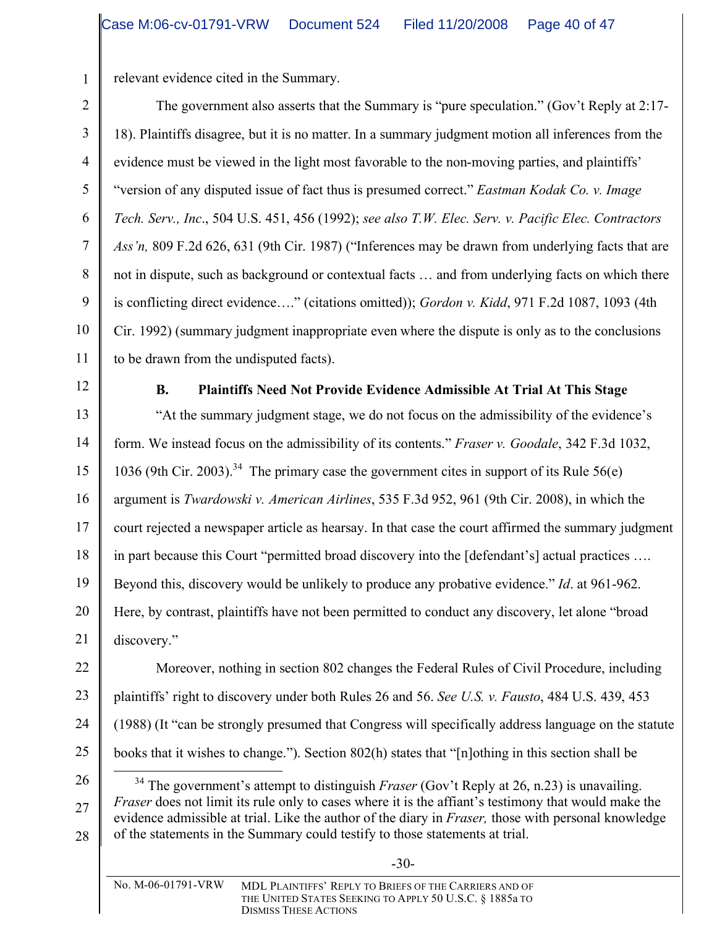relevant evidence cited in the Summary.

The government also asserts that the Summary is "pure speculation." (Gov't Reply at 2:17- 18). Plaintiffs disagree, but it is no matter. In a summary judgment motion all inferences from the evidence must be viewed in the light most favorable to the non-moving parties, and plaintiffs' "version of any disputed issue of fact thus is presumed correct." *Eastman Kodak Co. v. Image Tech. Serv., Inc*., 504 U.S. 451, 456 (1992); *see also T.W. Elec. Serv. v. Pacific Elec. Contractors Ass'n,* 809 F.2d 626, 631 (9th Cir. 1987) ("Inferences may be drawn from underlying facts that are not in dispute, such as background or contextual facts … and from underlying facts on which there is conflicting direct evidence…." (citations omitted)); *Gordon v. Kidd*, 971 F.2d 1087, 1093 (4th Cir. 1992) (summary judgment inappropriate even where the dispute is only as to the conclusions to be drawn from the undisputed facts).

12

# **B. Plaintiffs Need Not Provide Evidence Admissible At Trial At This Stage**

"At the summary judgment stage, we do not focus on the admissibility of the evidence's form. We instead focus on the admissibility of its contents." *Fraser v. Goodale*, 342 F.3d 1032, 1036 (9th Cir. 2003).<sup>34</sup> The primary case the government cites in support of its Rule 56(e) argument is *Twardowski v. American Airlines*, 535 F.3d 952, 961 (9th Cir. 2008), in which the court rejected a newspaper article as hearsay. In that case the court affirmed the summary judgment in part because this Court "permitted broad discovery into the [defendant's] actual practices …. Beyond this, discovery would be unlikely to produce any probative evidence." *Id*. at 961-962. Here, by contrast, plaintiffs have not been permitted to conduct any discovery, let alone "broad discovery."

22 23 24 25 Moreover, nothing in section 802 changes the Federal Rules of Civil Procedure, including plaintiffs' right to discovery under both Rules 26 and 56. *See U.S. v. Fausto*, 484 U.S. 439, 453 (1988) (It "can be strongly presumed that Congress will specifically address language on the statute books that it wishes to change."). Section 802(h) states that "[n]othing in this section shall be

26 27 28 <sup>34</sup> The government's attempt to distinguish *Fraser* (Gov't Reply at 26, n.23) is unavailing. *Fraser* does not limit its rule only to cases where it is the affiant's testimony that would make the evidence admissible at trial. Like the author of the diary in *Fraser,* those with personal knowledge of the statements in the Summary could testify to those statements at trial.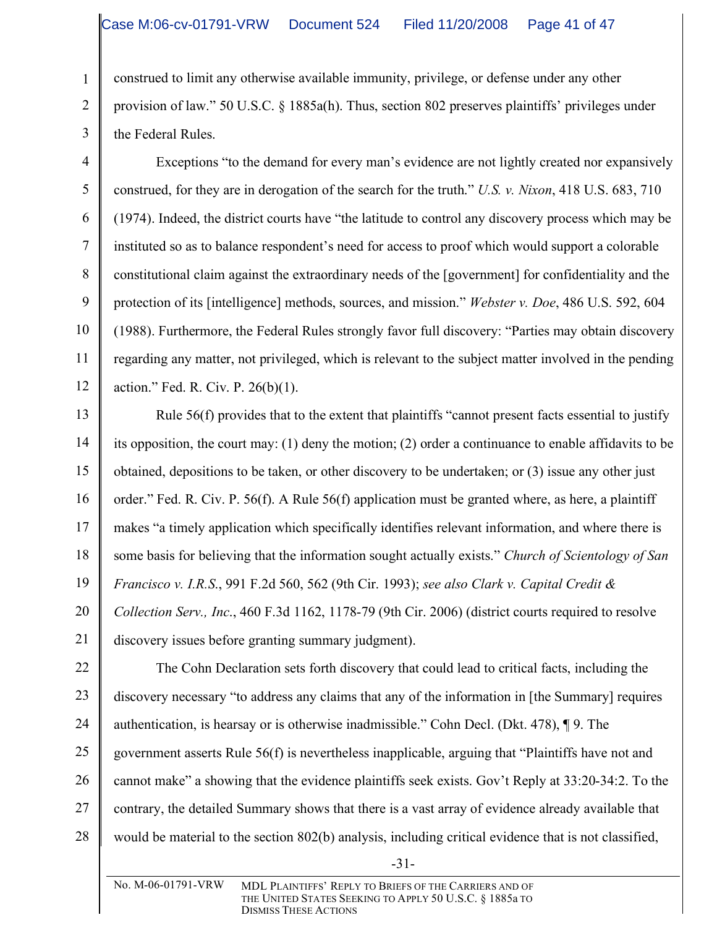1

2

3

4

5

6

7

8

9

10

11

12

construed to limit any otherwise available immunity, privilege, or defense under any other provision of law." 50 U.S.C. § 1885a(h). Thus, section 802 preserves plaintiffs' privileges under the Federal Rules.

Exceptions "to the demand for every man's evidence are not lightly created nor expansively construed, for they are in derogation of the search for the truth." *U.S. v. Nixon*, 418 U.S. 683, 710 (1974). Indeed, the district courts have "the latitude to control any discovery process which may be instituted so as to balance respondent's need for access to proof which would support a colorable constitutional claim against the extraordinary needs of the [government] for confidentiality and the protection of its [intelligence] methods, sources, and mission." *Webster v. Doe*, 486 U.S. 592, 604 (1988). Furthermore, the Federal Rules strongly favor full discovery: "Parties may obtain discovery regarding any matter, not privileged, which is relevant to the subject matter involved in the pending action." Fed. R. Civ. P. 26(b)(1).

13 14 15 16 17 18 19 20 21 Rule 56(f) provides that to the extent that plaintiffs "cannot present facts essential to justify its opposition, the court may: (1) deny the motion; (2) order a continuance to enable affidavits to be obtained, depositions to be taken, or other discovery to be undertaken; or (3) issue any other just order." Fed. R. Civ. P. 56(f). A Rule 56(f) application must be granted where, as here, a plaintiff makes "a timely application which specifically identifies relevant information, and where there is some basis for believing that the information sought actually exists." *Church of Scientology of San Francisco v. I.R.S*., 991 F.2d 560, 562 (9th Cir. 1993); *see also Clark v. Capital Credit & Collection Serv., Inc*., 460 F.3d 1162, 1178-79 (9th Cir. 2006) (district courts required to resolve discovery issues before granting summary judgment).

22 23 24 25 26 27 28 The Cohn Declaration sets forth discovery that could lead to critical facts, including the discovery necessary "to address any claims that any of the information in [the Summary] requires authentication, is hearsay or is otherwise inadmissible." Cohn Decl. (Dkt. 478), ¶ 9. The government asserts Rule 56(f) is nevertheless inapplicable, arguing that "Plaintiffs have not and cannot make" a showing that the evidence plaintiffs seek exists. Gov't Reply at 33:20-34:2. To the contrary, the detailed Summary shows that there is a vast array of evidence already available that would be material to the section 802(b) analysis, including critical evidence that is not classified,

-31-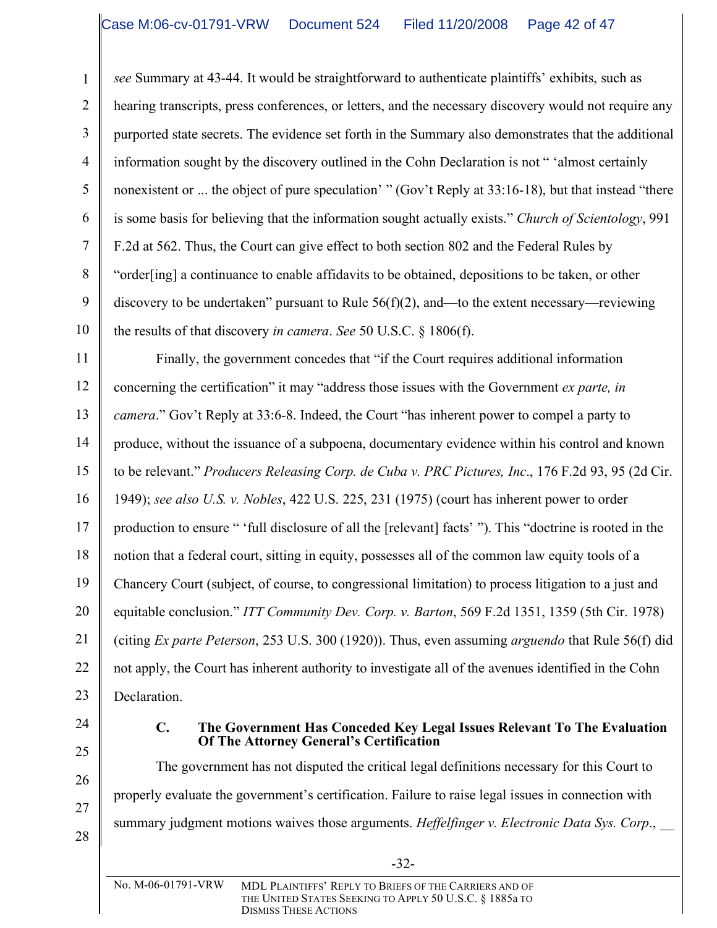*see* Summary at 43-44. It would be straightforward to authenticate plaintiffs' exhibits, such as hearing transcripts, press conferences, or letters, and the necessary discovery would not require any purported state secrets. The evidence set forth in the Summary also demonstrates that the additional information sought by the discovery outlined in the Cohn Declaration is not " 'almost certainly nonexistent or ... the object of pure speculation' " (Gov't Reply at 33:16-18), but that instead "there is some basis for believing that the information sought actually exists." *Church of Scientology*, 991 F.2d at 562. Thus, the Court can give effect to both section 802 and the Federal Rules by "order[ing] a continuance to enable affidavits to be obtained, depositions to be taken, or other discovery to be undertaken" pursuant to Rule 56(f)(2), and—to the extent necessary—reviewing the results of that discovery *in camera*. *See* 50 U.S.C. § 1806(f).

11 12 13 14 15 16 17 18 19 20 21 22 23 Finally, the government concedes that "if the Court requires additional information concerning the certification" it may "address those issues with the Government *ex parte, in camera*." Gov't Reply at 33:6-8. Indeed, the Court "has inherent power to compel a party to produce, without the issuance of a subpoena, documentary evidence within his control and known to be relevant." *Producers Releasing Corp. de Cuba v. PRC Pictures, Inc*., 176 F.2d 93, 95 (2d Cir. 1949); *see also U.S. v. Nobles*, 422 U.S. 225, 231 (1975) (court has inherent power to order production to ensure " 'full disclosure of all the [relevant] facts' "). This "doctrine is rooted in the notion that a federal court, sitting in equity, possesses all of the common law equity tools of a Chancery Court (subject, of course, to congressional limitation) to process litigation to a just and equitable conclusion." *ITT Community Dev. Corp. v. Barton*, 569 F.2d 1351, 1359 (5th Cir. 1978) (citing *Ex parte Peterson*, 253 U.S. 300 (1920)). Thus, even assuming *arguendo* that Rule 56(f) did not apply, the Court has inherent authority to investigate all of the avenues identified in the Cohn Declaration.

24 25

26

27

1

2

3

4

5

6

7

8

9

10

#### **C. The Government Has Conceded Key Legal Issues Relevant To The Evaluation Of The Attorney General's Certification**

The government has not disputed the critical legal definitions necessary for this Court to properly evaluate the government's certification. Failure to raise legal issues in connection with summary judgment motions waives those arguments. *Heffelfinger v. Electronic Data Sys. Corp*., \_\_

28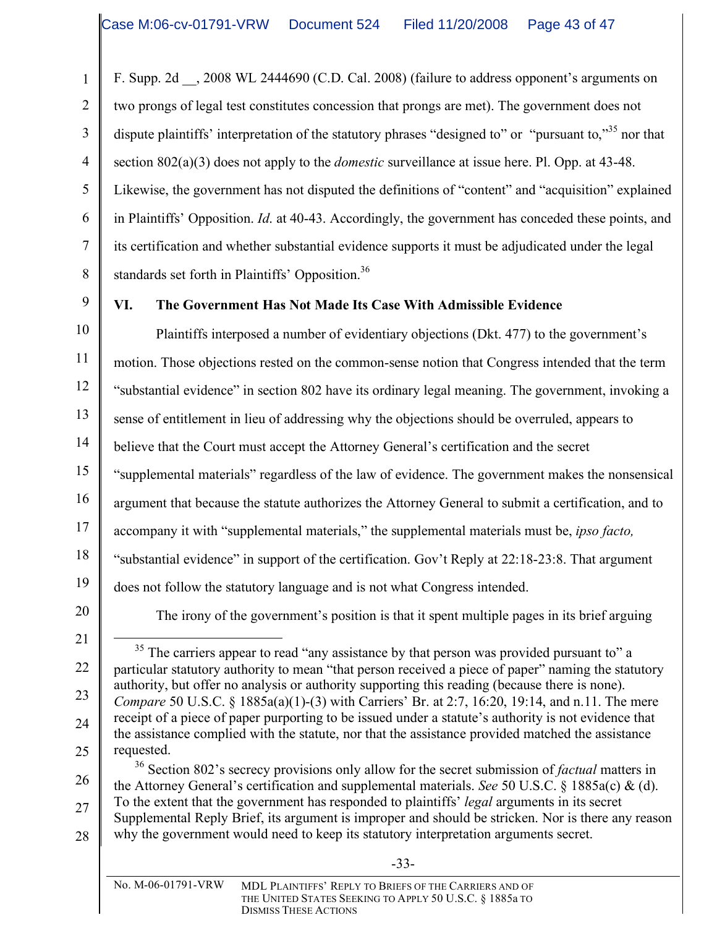F. Supp. 2d \_\_, 2008 WL 2444690 (C.D. Cal. 2008) (failure to address opponent's arguments on two prongs of legal test constitutes concession that prongs are met). The government does not dispute plaintiffs' interpretation of the statutory phrases "designed to" or "pursuant to,"<sup>35</sup> nor that section 802(a)(3) does not apply to the *domestic* surveillance at issue here. Pl. Opp. at 43-48. Likewise, the government has not disputed the definitions of "content" and "acquisition" explained in Plaintiffs' Opposition. *Id*. at 40-43. Accordingly, the government has conceded these points, and its certification and whether substantial evidence supports it must be adjudicated under the legal standards set forth in Plaintiffs' Opposition.<sup>36</sup>

9

1

2

3

4

5

6

7

8

# **VI. The Government Has Not Made Its Case With Admissible Evidence**

10 11 12 13 14 15 16 17 18 19 Plaintiffs interposed a number of evidentiary objections (Dkt. 477) to the government's motion. Those objections rested on the common-sense notion that Congress intended that the term "substantial evidence" in section 802 have its ordinary legal meaning. The government, invoking a sense of entitlement in lieu of addressing why the objections should be overruled, appears to believe that the Court must accept the Attorney General's certification and the secret "supplemental materials" regardless of the law of evidence. The government makes the nonsensical argument that because the statute authorizes the Attorney General to submit a certification, and to accompany it with "supplemental materials," the supplemental materials must be, *ipso facto,* "substantial evidence" in support of the certification. Gov't Reply at 22:18-23:8. That argument does not follow the statutory language and is not what Congress intended.

20

The irony of the government's position is that it spent multiple pages in its brief arguing

21 22 23 24 25 <sup>35</sup> The carriers appear to read "any assistance by that person was provided pursuant to" a particular statutory authority to mean "that person received a piece of paper" naming the statutory authority, but offer no analysis or authority supporting this reading (because there is none). *Compare* 50 U.S.C. § 1885a(a)(1)-(3) with Carriers' Br. at 2:7, 16:20, 19:14, and n.11. The mere receipt of a piece of paper purporting to be issued under a statute's authority is not evidence that the assistance complied with the statute, nor that the assistance provided matched the assistance requested.

26 27 28 <sup>36</sup> Section 802's secrecy provisions only allow for the secret submission of *factual* matters in the Attorney General's certification and supplemental materials. *See* 50 U.S.C. § 1885a(c) & (d). To the extent that the government has responded to plaintiffs' *legal* arguments in its secret Supplemental Reply Brief, its argument is improper and should be stricken. Nor is there any reason why the government would need to keep its statutory interpretation arguments secret.

-33-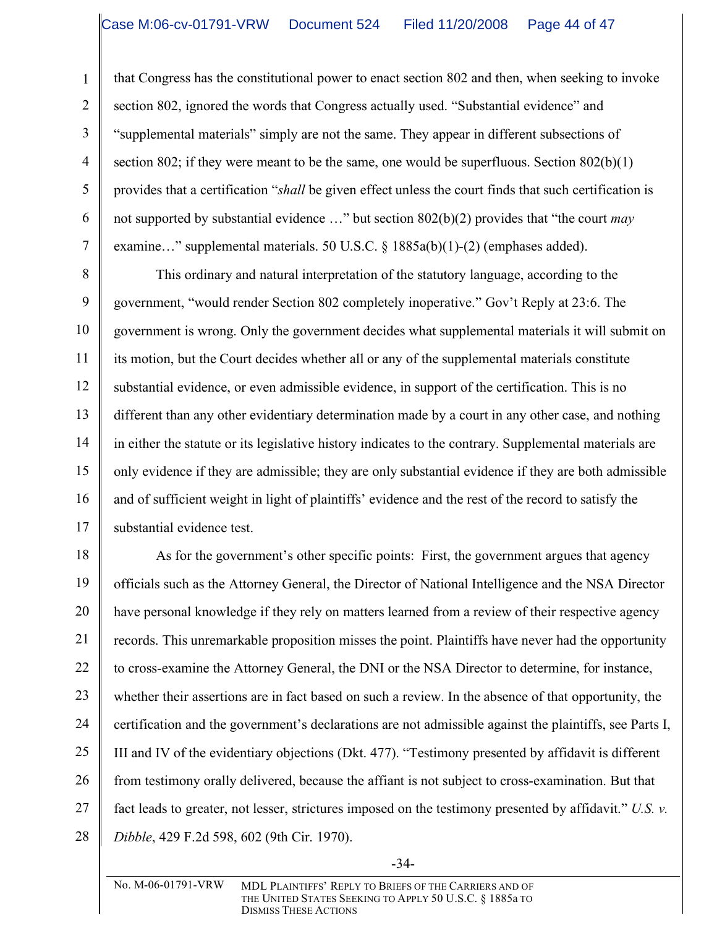1

2

3

4

5

6

7

that Congress has the constitutional power to enact section 802 and then, when seeking to invoke section 802, ignored the words that Congress actually used. "Substantial evidence" and "supplemental materials" simply are not the same. They appear in different subsections of section 802; if they were meant to be the same, one would be superfluous. Section 802(b)(1) provides that a certification "*shall* be given effect unless the court finds that such certification is not supported by substantial evidence …" but section 802(b)(2) provides that "the court *may* examine…" supplemental materials. 50 U.S.C. § 1885a(b)(1)-(2) (emphases added).

8 9 10 11 12 13 14 15 16 17 This ordinary and natural interpretation of the statutory language, according to the government, "would render Section 802 completely inoperative." Gov't Reply at 23:6. The government is wrong. Only the government decides what supplemental materials it will submit on its motion, but the Court decides whether all or any of the supplemental materials constitute substantial evidence, or even admissible evidence, in support of the certification. This is no different than any other evidentiary determination made by a court in any other case, and nothing in either the statute or its legislative history indicates to the contrary. Supplemental materials are only evidence if they are admissible; they are only substantial evidence if they are both admissible and of sufficient weight in light of plaintiffs' evidence and the rest of the record to satisfy the substantial evidence test.

18 19 20 21 22 23 24 25 26 27 28 As for the government's other specific points: First, the government argues that agency officials such as the Attorney General, the Director of National Intelligence and the NSA Director have personal knowledge if they rely on matters learned from a review of their respective agency records. This unremarkable proposition misses the point. Plaintiffs have never had the opportunity to cross-examine the Attorney General, the DNI or the NSA Director to determine, for instance, whether their assertions are in fact based on such a review. In the absence of that opportunity, the certification and the government's declarations are not admissible against the plaintiffs, see Parts I, III and IV of the evidentiary objections (Dkt. 477). "Testimony presented by affidavit is different from testimony orally delivered, because the affiant is not subject to cross-examination. But that fact leads to greater, not lesser, strictures imposed on the testimony presented by affidavit." *U.S. v. Dibble*, 429 F.2d 598, 602 (9th Cir. 1970).

-34-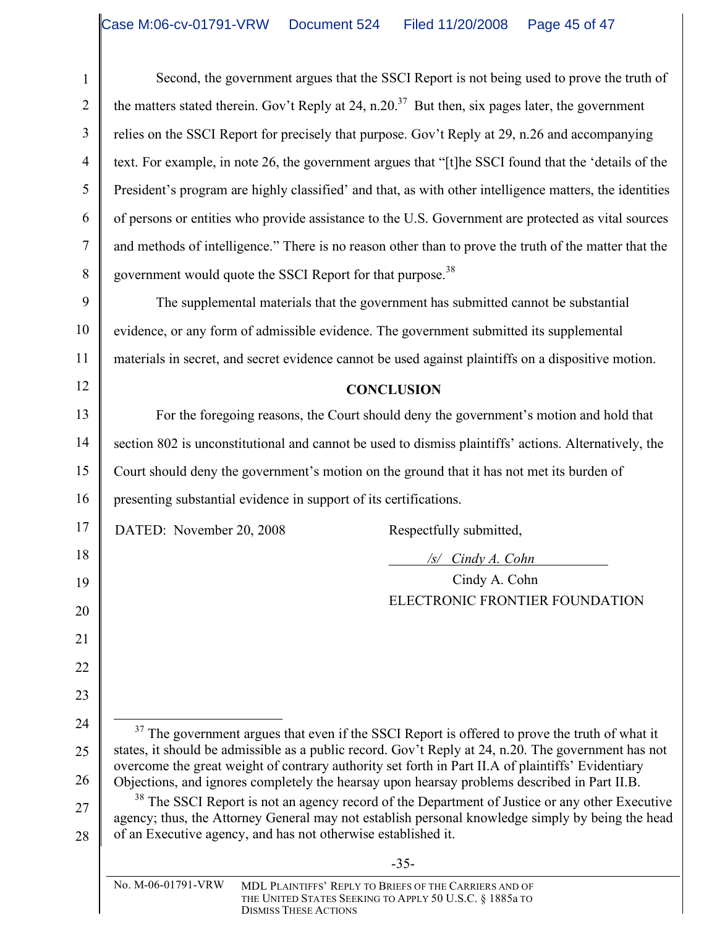Second, the government argues that the SSCI Report is not being used to prove the truth of the matters stated therein. Gov't Reply at 24, n.20.<sup>37</sup> But then, six pages later, the government relies on the SSCI Report for precisely that purpose. Gov't Reply at 29, n.26 and accompanying text. For example, in note 26, the government argues that "[t]he SSCI found that the 'details of the President's program are highly classified' and that, as with other intelligence matters, the identities of persons or entities who provide assistance to the U.S. Government are protected as vital sources and methods of intelligence." There is no reason other than to prove the truth of the matter that the government would quote the SSCI Report for that purpose.<sup>38</sup>

The supplemental materials that the government has submitted cannot be substantial evidence, or any form of admissible evidence. The government submitted its supplemental materials in secret, and secret evidence cannot be used against plaintiffs on a dispositive motion.

#### **CONCLUSION**

13 14 15 16 For the foregoing reasons, the Court should deny the government's motion and hold that section 802 is unconstitutional and cannot be used to dismiss plaintiffs' actions. Alternatively, the Court should deny the government's motion on the ground that it has not met its burden of presenting substantial evidence in support of its certifications.

DATED: November 20, 2008 Respectfully submitted,

1

2

3

4

5

6

7

8

9

10

11

12

17

18

19

20

21

22

23

24

25

26

*/s/ Cindy A. Cohn*

Cindy A. Cohn ELECTRONIC FRONTIER FOUNDATION

| <sup>37</sup> The government argues that even if the SSCI Report is offered to prove the truth of what it |
|-----------------------------------------------------------------------------------------------------------|
| states, it should be admissible as a public record. Gov't Reply at 24, n.20. The government has not       |
| overcome the great weight of contrary authority set forth in Part II.A of plaintiffs' Evidentiary         |
| Objections, and ignores completely the hearsay upon hearsay problems described in Part II.B.              |

27 28 <sup>38</sup> The SSCI Report is not an agency record of the Department of Justice or any other Executive agency; thus, the Attorney General may not establish personal knowledge simply by being the head of an Executive agency, and has not otherwise established it.

-35-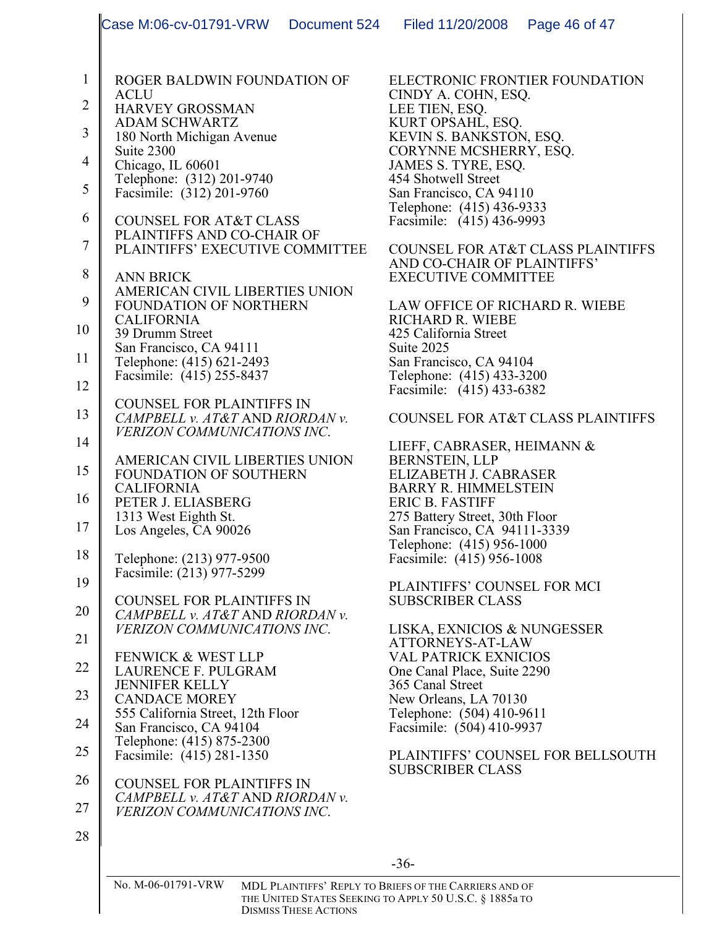|                | Case M:06-cv-01791-VRW                                                | Document 524 | Filed 11/20/2008                                                                                                  | Page 46 of 47                                |
|----------------|-----------------------------------------------------------------------|--------------|-------------------------------------------------------------------------------------------------------------------|----------------------------------------------|
| $\mathbf{1}$   | ROGER BALDWIN FOUNDATION OF                                           |              | ELECTRONIC FRONTIER FOUNDATION                                                                                    |                                              |
| $\overline{2}$ | <b>ACLU</b><br><b>HARVEY GROSSMAN</b>                                 |              | CINDY A. COHN, ESQ.<br>LEE TIEN, ESQ.                                                                             |                                              |
|                | <b>ADAM SCHWARTZ</b>                                                  |              | KURT OPSAHL, ESQ.                                                                                                 |                                              |
| 3              | 180 North Michigan Avenue<br>Suite 2300                               |              | KEVIN S. BANKSTON, ESQ.<br>CORYNNE MCSHERRY, ESQ.                                                                 |                                              |
| $\overline{4}$ | Chicago, IL 60601                                                     |              | JAMES S. TYRE, ESQ.                                                                                               |                                              |
| 5              | Telephone: (312) 201-9740<br>Facsimile: (312) 201-9760                |              | 454 Shotwell Street<br>San Francisco, CA 94110                                                                    |                                              |
| 6              | <b>COUNSEL FOR AT&amp;T CLASS</b>                                     |              | Telephone: (415) 436-9333<br>Facsimile: (415) 436-9993                                                            |                                              |
| 7              | PLAINTIFFS AND CO-CHAIR OF                                            |              |                                                                                                                   |                                              |
|                | PLAINTIFFS' EXECUTIVE COMMITTEE                                       |              | AND CO-CHAIR OF PLAINTIFFS'                                                                                       | <b>COUNSEL FOR AT&amp;T CLASS PLAINTIFFS</b> |
| 8              | <b>ANN BRICK</b><br>AMERICAN CIVIL LIBERTIES UNION                    |              | <b>EXECUTIVE COMMITTEE</b>                                                                                        |                                              |
| 9              | FOUNDATION OF NORTHERN                                                |              | LAW OFFICE OF RICHARD R. WIEBE                                                                                    |                                              |
| 10             | <b>CALIFORNIA</b><br>39 Drumm Street                                  |              | RICHARD R. WIEBE<br>425 California Street                                                                         |                                              |
| 11             | San Francisco, CA 94111<br>Telephone: (415) 621-2493                  |              | Suite 2025<br>San Francisco, CA 94104                                                                             |                                              |
| 12             | Facsimile: (415) 255-8437                                             |              | Telephone: (415) 433-3200                                                                                         |                                              |
|                | <b>COUNSEL FOR PLAINTIFFS IN</b>                                      |              | Facsimile: (415) 433-6382                                                                                         |                                              |
| 13             | CAMPBELL v. AT&T AND RIORDAN v.<br><i>VERIZON COMMUNICATIONS INC.</i> |              |                                                                                                                   | <b>COUNSEL FOR AT&amp;T CLASS PLAINTIFFS</b> |
| 14             |                                                                       |              | LIEFF, CABRASER, HEIMANN &                                                                                        |                                              |
| 15             | AMERICAN CIVIL LIBERTIES UNION<br>FOUNDATION OF SOUTHERN              |              | <b>BERNSTEIN, LLP</b><br>ELIZABETH J. CABRASER                                                                    |                                              |
| 16             | <b>CALIFORNIA</b><br>PETER J. ELIASBERG                               |              | <b>BARRY R. HIMMELSTEIN</b><br><b>ERIC B. FASTIFF</b>                                                             |                                              |
| 17             | 1313 West Eighth St.                                                  |              | 275 Battery Street, 30th Floor                                                                                    |                                              |
|                | Los Angeles, CA 90026                                                 |              | San Francisco, CA 94111-3339<br>Telephone: (415) 956-1000                                                         |                                              |
| 18             | Telephone: (213) 977-9500<br>Facsimile: (213) 977-5299                |              | Facsimile: (415) 956-1008                                                                                         |                                              |
| 19             |                                                                       |              | PLAINTIFFS' COUNSEL FOR MCI                                                                                       |                                              |
| 20             | <b>COUNSEL FOR PLAINTIFFS IN</b><br>CAMPBELL v. AT&T AND RIORDAN v.   |              | <b>SUBSCRIBER CLASS</b>                                                                                           |                                              |
| 21             | <i>VERIZON COMMUNICATIONS INC.</i>                                    |              | LISKA, EXNICIOS & NUNGESSER<br>ATTORNEYS-AT-LAW                                                                   |                                              |
| 22             | <b>FENWICK &amp; WEST LLP</b>                                         |              | <b>VAL PATRICK EXNICIOS</b>                                                                                       |                                              |
|                | LAURENCE F. PULGRAM<br><b>JENNIFER KELLY</b>                          |              | One Canal Place, Suite 2290<br>365 Canal Street                                                                   |                                              |
| 23             | <b>CANDACE MOREY</b><br>555 California Street, 12th Floor             |              | New Orleans, LA 70130<br>Telephone: (504) 410-9611                                                                |                                              |
| 24             | San Francisco, CA 94104                                               |              | Facsimile: (504) 410-9937                                                                                         |                                              |
| 25             | Telephone: (415) 875-2300<br>Facsimile: (415) 281-1350                |              |                                                                                                                   | PLAINTIFFS' COUNSEL FOR BELLSOUTH            |
| 26             | <b>COUNSEL FOR PLAINTIFFS IN</b>                                      |              | <b>SUBSCRIBER CLASS</b>                                                                                           |                                              |
| 27             | CAMPBELL v. AT&T AND RIORDAN v.<br><i>VERIZON COMMUNICATIONS INC.</i> |              |                                                                                                                   |                                              |
|                |                                                                       |              |                                                                                                                   |                                              |
| 28             |                                                                       |              |                                                                                                                   |                                              |
|                |                                                                       |              | $-36-$                                                                                                            |                                              |
|                | No. M-06-01791-VRW                                                    |              | MDL PLAINTIFFS' REPLY TO BRIEFS OF THE CARRIERS AND OF<br>THE UNITED STATES SEEKING TO APPLY 50 U.S.C. § 1885a TO |                                              |

DISMISS THESE ACTIONS